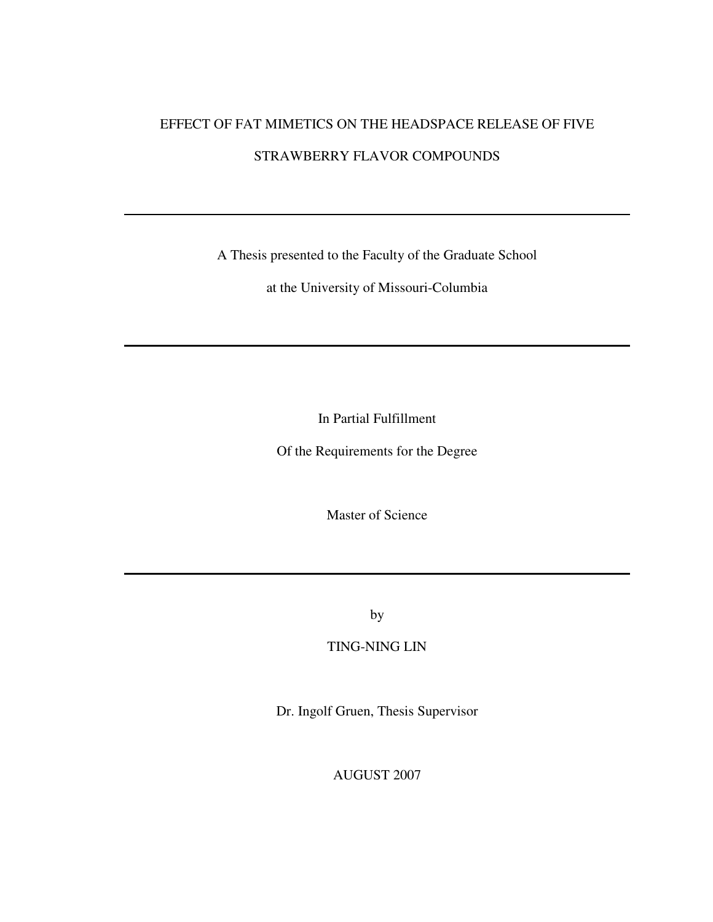# EFFECT OF FAT MIMETICS ON THE HEADSPACE RELEASE OF FIVE

# STRAWBERRY FLAVOR COMPOUNDS

A Thesis presented to the Faculty of the Graduate School

at the University of Missouri-Columbia

In Partial Fulfillment

Of the Requirements for the Degree

Master of Science

by

TING-NING LIN

Dr. Ingolf Gruen, Thesis Supervisor

AUGUST 2007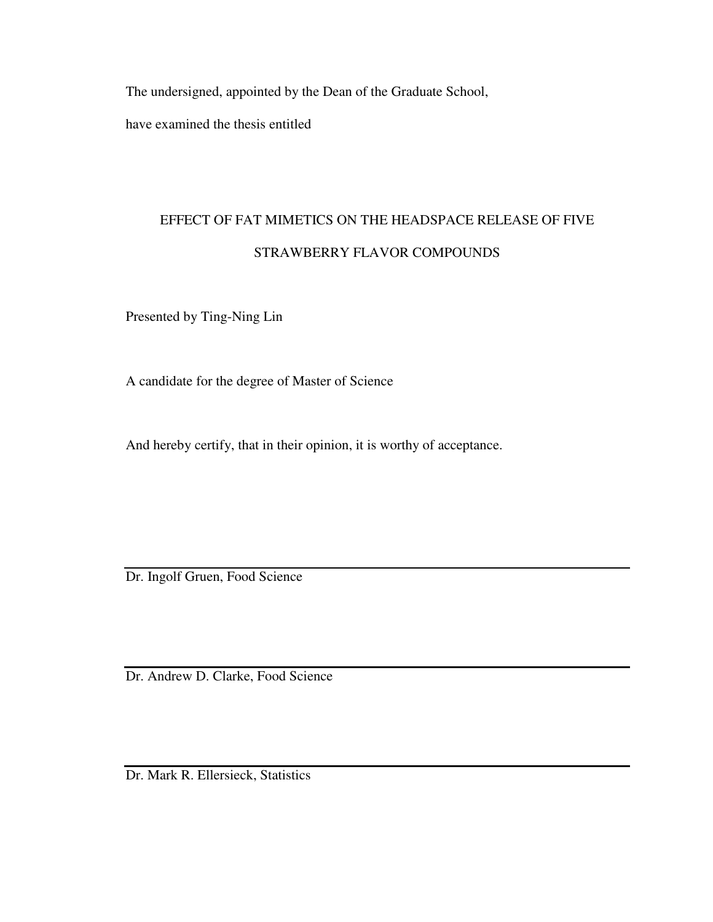The undersigned, appointed by the Dean of the Graduate School,

have examined the thesis entitled

# EFFECT OF FAT MIMETICS ON THE HEADSPACE RELEASE OF FIVE STRAWBERRY FLAVOR COMPOUNDS

Presented by Ting-Ning Lin

A candidate for the degree of Master of Science

And hereby certify, that in their opinion, it is worthy of acceptance.

Dr. Ingolf Gruen, Food Science

Dr. Andrew D. Clarke, Food Science

Dr. Mark R. Ellersieck, Statistics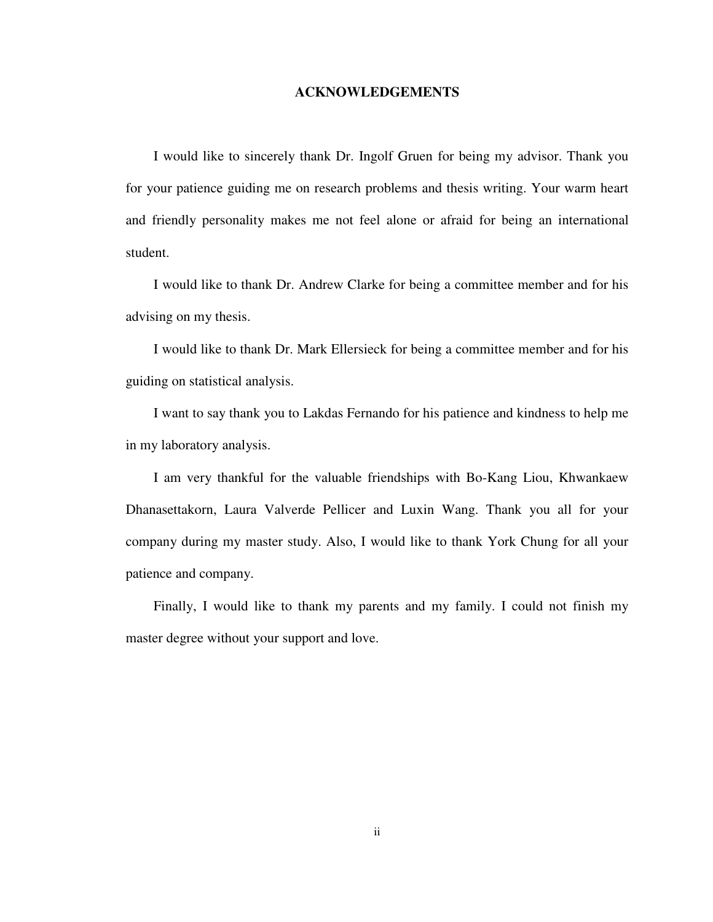#### **ACKNOWLEDGEMENTS**

I would like to sincerely thank Dr. Ingolf Gruen for being my advisor. Thank you for your patience guiding me on research problems and thesis writing. Your warm heart and friendly personality makes me not feel alone or afraid for being an international student.

I would like to thank Dr. Andrew Clarke for being a committee member and for his advising on my thesis.

I would like to thank Dr. Mark Ellersieck for being a committee member and for his guiding on statistical analysis.

I want to say thank you to Lakdas Fernando for his patience and kindness to help me in my laboratory analysis.

I am very thankful for the valuable friendships with Bo-Kang Liou, Khwankaew Dhanasettakorn, Laura Valverde Pellicer and Luxin Wang. Thank you all for your company during my master study. Also, I would like to thank York Chung for all your patience and company.

Finally, I would like to thank my parents and my family. I could not finish my master degree without your support and love.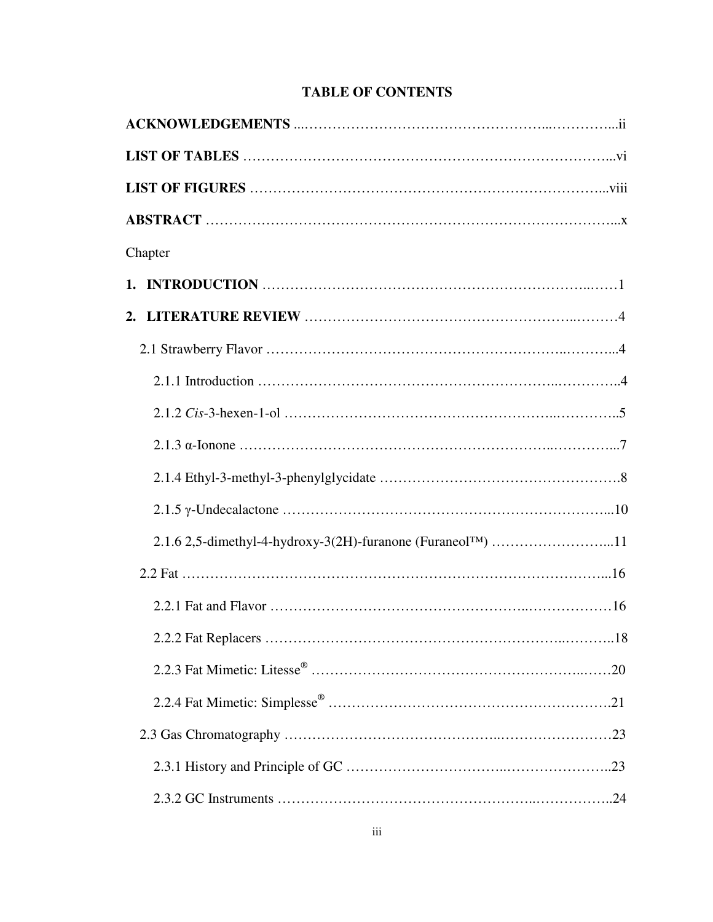| Chapter |  |  |
|---------|--|--|
|         |  |  |
|         |  |  |
|         |  |  |
|         |  |  |
|         |  |  |
|         |  |  |
|         |  |  |
|         |  |  |
|         |  |  |
|         |  |  |
|         |  |  |
|         |  |  |
|         |  |  |
|         |  |  |
|         |  |  |
|         |  |  |
|         |  |  |

# **TABLE OF CONTENTS**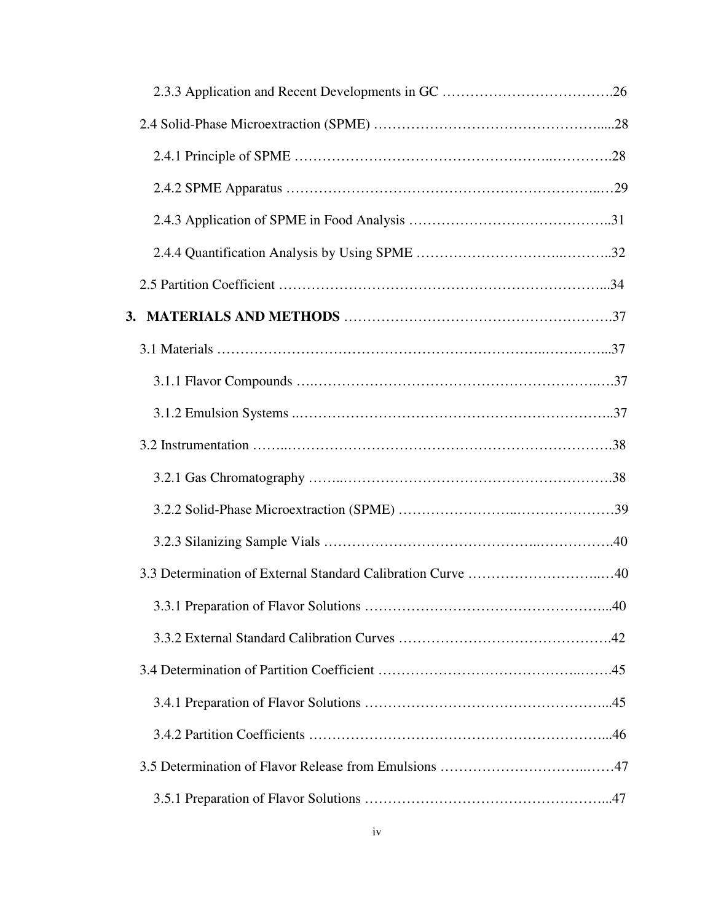| 3.3 Determination of External Standard Calibration Curve 40 |
|-------------------------------------------------------------|
|                                                             |
|                                                             |
|                                                             |
|                                                             |
|                                                             |
|                                                             |
|                                                             |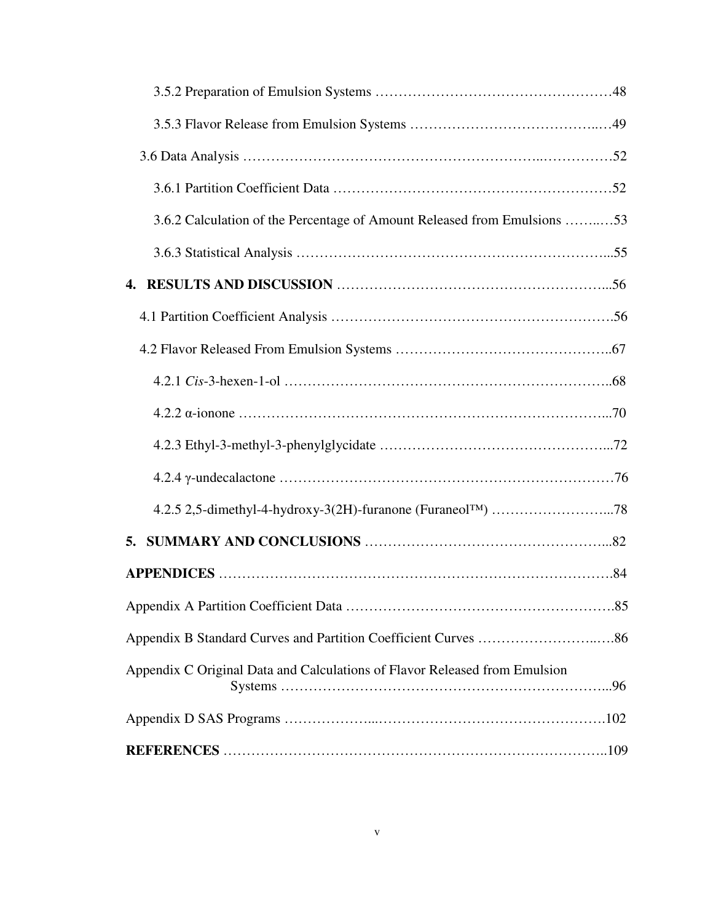| 3.6.2 Calculation of the Percentage of Amount Released from Emulsions 53                         |
|--------------------------------------------------------------------------------------------------|
|                                                                                                  |
|                                                                                                  |
|                                                                                                  |
|                                                                                                  |
|                                                                                                  |
|                                                                                                  |
|                                                                                                  |
|                                                                                                  |
|                                                                                                  |
| 5.                                                                                               |
|                                                                                                  |
|                                                                                                  |
|                                                                                                  |
| Appendix C Original Data and Calculations of Flavor Released from Emulsion<br>$Systems \dots 96$ |
|                                                                                                  |
|                                                                                                  |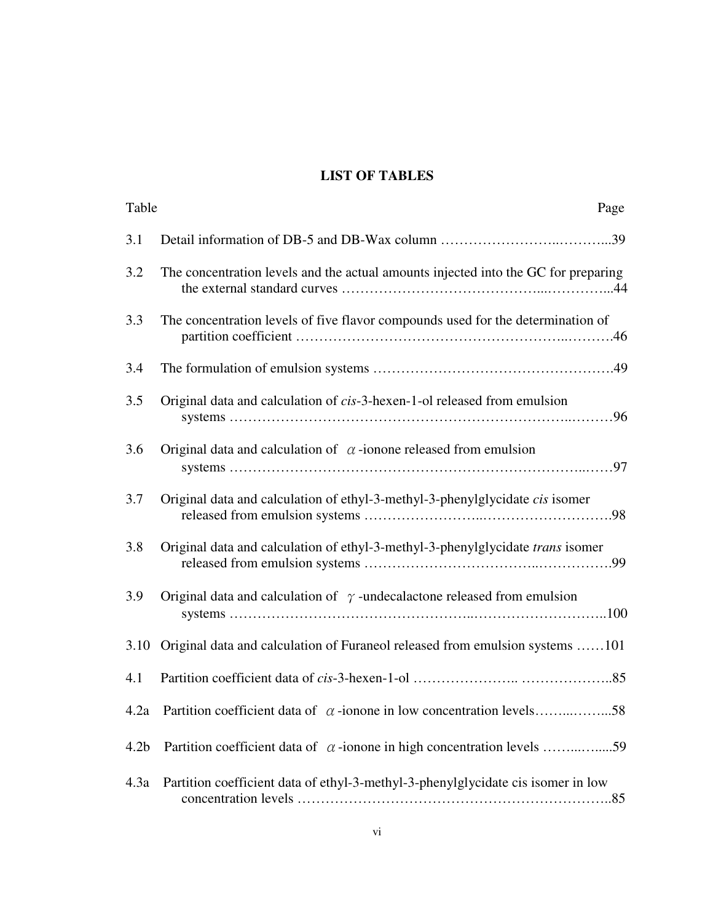# **LIST OF TABLES**

| Table            | Page                                                                               |
|------------------|------------------------------------------------------------------------------------|
| 3.1              |                                                                                    |
| 3.2              | The concentration levels and the actual amounts injected into the GC for preparing |
| 3.3              | The concentration levels of five flavor compounds used for the determination of    |
| 3.4              |                                                                                    |
| 3.5              | Original data and calculation of cis-3-hexen-1-ol released from emulsion           |
| 3.6              | Original data and calculation of $\alpha$ -ionone released from emulsion           |
| 3.7              | Original data and calculation of ethyl-3-methyl-3-phenylglycidate cis isomer       |
| 3.8              | Original data and calculation of ethyl-3-methyl-3-phenylglycidate trans isomer     |
| 3.9              | Original data and calculation of $\gamma$ -undecalactone released from emulsion    |
| 3.10             | Original data and calculation of Furaneol released from emulsion systems 101       |
| 4.1              |                                                                                    |
| 4.2a             | Partition coefficient data of $\alpha$ -ionone in low concentration levels58       |
| 4.2 <sub>b</sub> | Partition coefficient data of $\alpha$ -ionone in high concentration levels 59     |
| 4.3a             | Partition coefficient data of ethyl-3-methyl-3-phenylglycidate cis isomer in low   |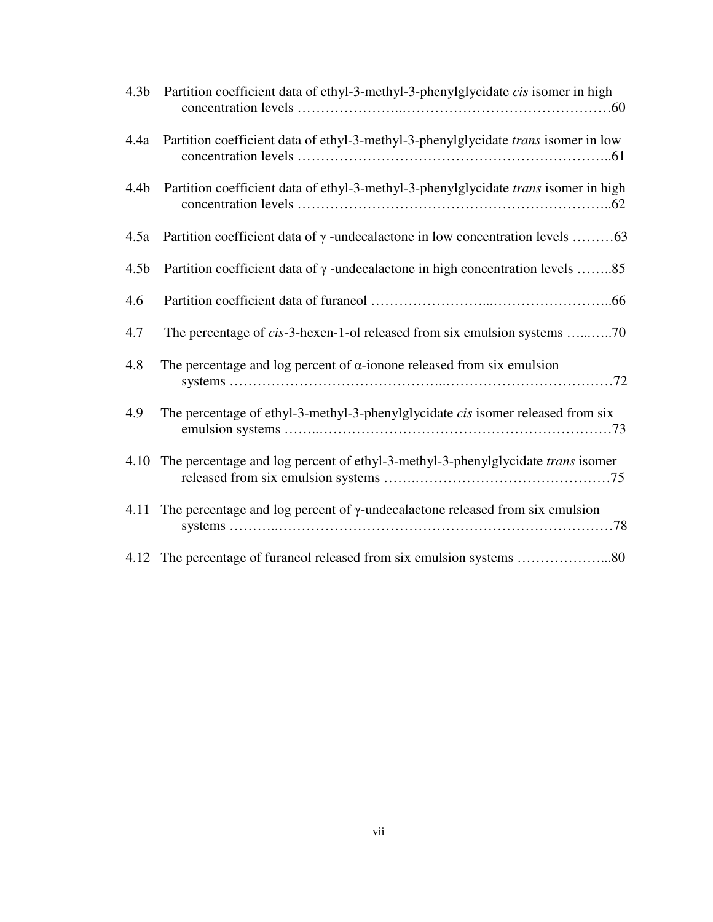| 4.3 <sub>b</sub> | Partition coefficient data of ethyl-3-methyl-3-phenylglycidate cis isomer in high         |
|------------------|-------------------------------------------------------------------------------------------|
|                  | 4.4a Partition coefficient data of ethyl-3-methyl-3-phenylglycidate trans isomer in low   |
| 4.4 <sub>b</sub> | Partition coefficient data of ethyl-3-methyl-3-phenylglycidate trans isomer in high       |
| 4.5a             |                                                                                           |
| 4.5 <sub>b</sub> | Partition coefficient data of $\gamma$ -undecalactone in high concentration levels 85     |
| 4.6              |                                                                                           |
| 4.7              | The percentage of cis-3-hexen-1-ol released from six emulsion systems 70                  |
| 4.8              | The percentage and log percent of $\alpha$ -ionone released from six emulsion             |
| 4.9              | The percentage of ethyl-3-methyl-3-phenylglycidate cis isomer released from six           |
| 4.10             | The percentage and log percent of ethyl-3-methyl-3-phenylglycidate <i>trans</i> isomer    |
|                  | 4.11 The percentage and log percent of $\gamma$ -undecalactone released from six emulsion |
|                  |                                                                                           |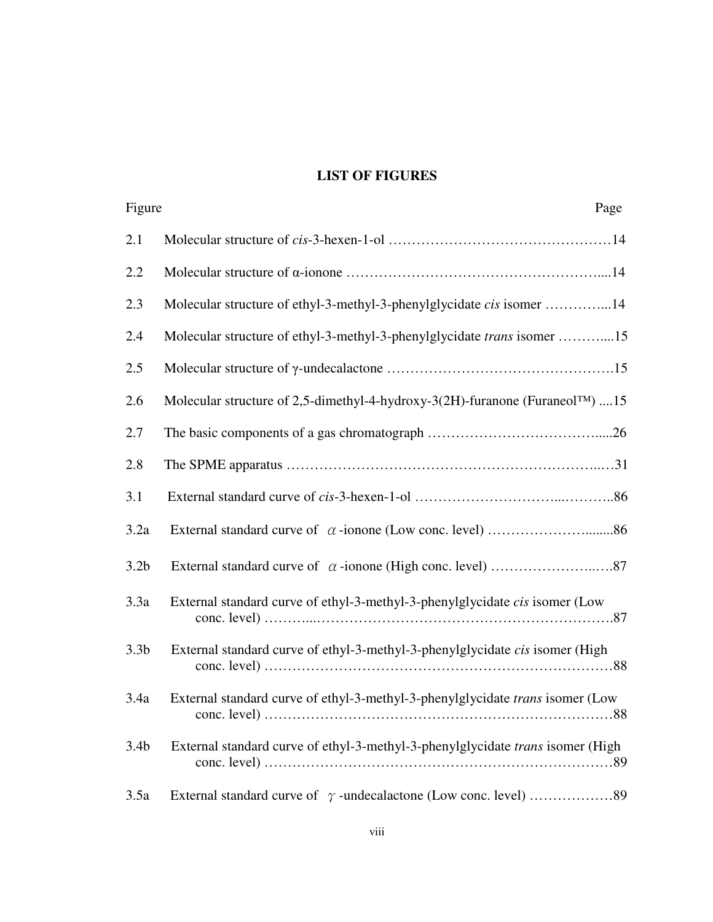# **LIST OF FIGURES**

| Figure           | Page                                                                                      |
|------------------|-------------------------------------------------------------------------------------------|
| 2.1              |                                                                                           |
| 2.2              |                                                                                           |
| 2.3              | Molecular structure of ethyl-3-methyl-3-phenylglycidate cis isomer 14                     |
| 2.4              | Molecular structure of ethyl-3-methyl-3-phenylglycidate trans isomer 15                   |
| 2.5              |                                                                                           |
| 2.6              | Molecular structure of 2,5-dimethyl-4-hydroxy-3(2H)-furanone (Furaneol <sup>TM</sup> ) 15 |
| 2.7              |                                                                                           |
| 2.8              |                                                                                           |
| 3.1              |                                                                                           |
| 3.2a             |                                                                                           |
| 3.2 <sub>b</sub> |                                                                                           |
| 3.3a             | External standard curve of ethyl-3-methyl-3-phenylglycidate cis isomer (Low               |
| 3.3 <sub>b</sub> | External standard curve of ethyl-3-methyl-3-phenylglycidate cis isomer (High              |
| 3.4a             | External standard curve of ethyl-3-methyl-3-phenylglycidate trans isomer (Low             |
| 3.4 <sub>b</sub> | External standard curve of ethyl-3-methyl-3-phenylglycidate trans isomer (High            |
| 3.5a             |                                                                                           |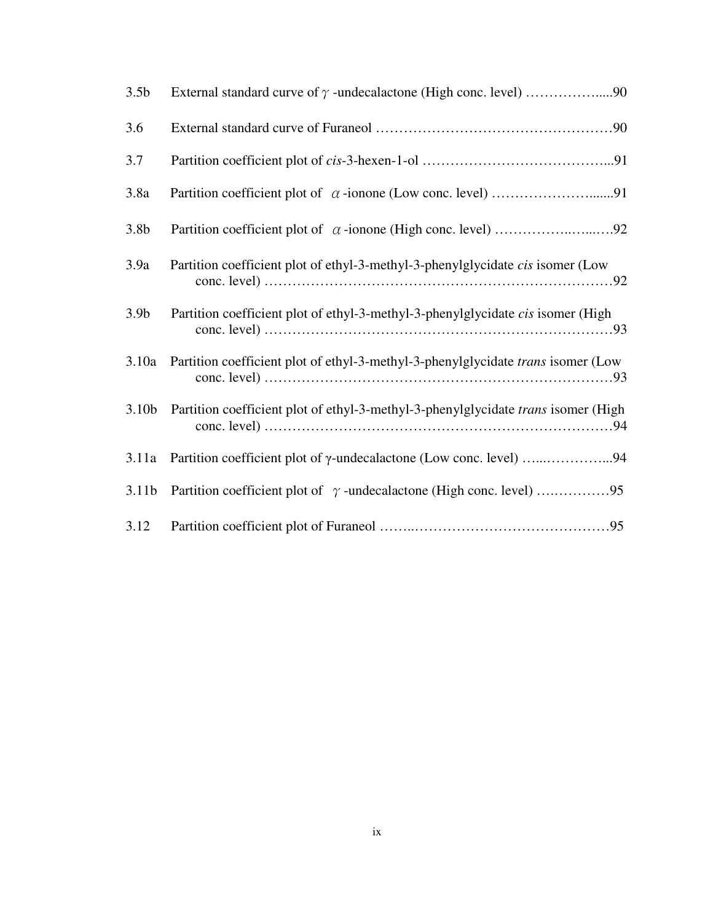| 3.5 <sub>b</sub>  |                                                                                   |
|-------------------|-----------------------------------------------------------------------------------|
| 3.6               |                                                                                   |
| 3.7               |                                                                                   |
| 3.8a              |                                                                                   |
| 3.8 <sub>b</sub>  |                                                                                   |
| 3.9a              | Partition coefficient plot of ethyl-3-methyl-3-phenylglycidate cis isomer (Low    |
| 3.9 <sub>b</sub>  | Partition coefficient plot of ethyl-3-methyl-3-phenylglycidate cis isomer (High   |
| 3.10a             | Partition coefficient plot of ethyl-3-methyl-3-phenylglycidate trans isomer (Low  |
| 3.10 <sub>b</sub> | Partition coefficient plot of ethyl-3-methyl-3-phenylglycidate trans isomer (High |
| 3.11a             | Partition coefficient plot of γ-undecalactone (Low conc. level) 94                |
| 3.11 <sub>b</sub> |                                                                                   |
| 3.12              |                                                                                   |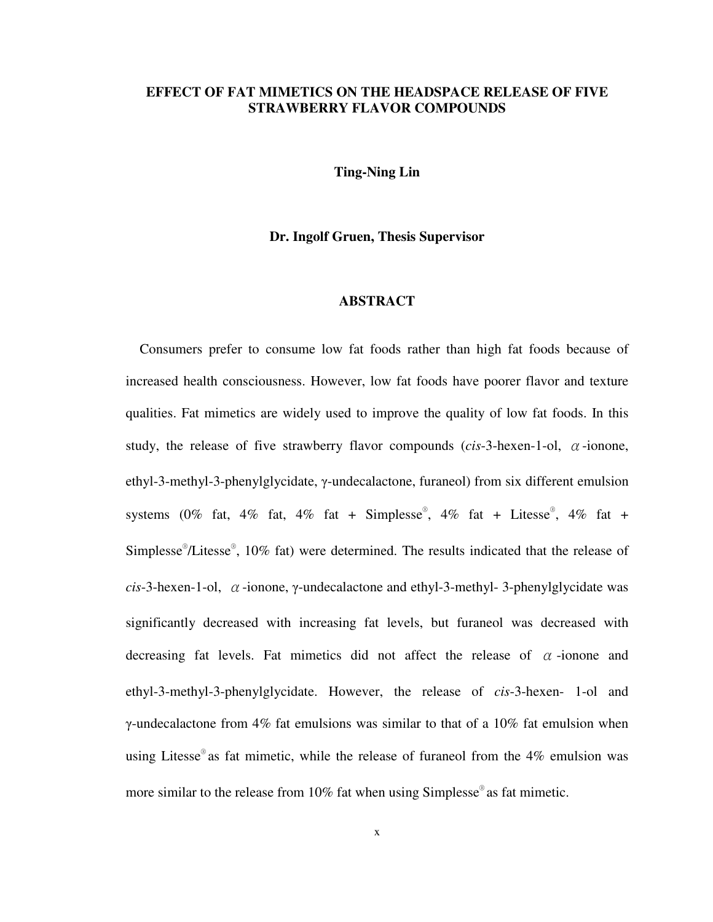### **EFFECT OF FAT MIMETICS ON THE HEADSPACE RELEASE OF FIVE STRAWBERRY FLAVOR COMPOUNDS**

**Ting-Ning Lin** 

#### **Dr. Ingolf Gruen, Thesis Supervisor**

# **ABSTRACT**

Consumers prefer to consume low fat foods rather than high fat foods because of increased health consciousness. However, low fat foods have poorer flavor and texture qualities. Fat mimetics are widely used to improve the quality of low fat foods. In this study, the release of five strawberry flavor compounds (*cis*-3-hexen-1-ol, α-ionone, ethyl-3-methyl-3-phenylglycidate, γ-undecalactone, furaneol) from six different emulsion systems (0% fat, 4% fat, 4% fat + Simplesse®, 4% fat + Litesse®, 4% fat + Simplesse<sup>®</sup>/Litesse<sup>®</sup>, 10% fat) were determined. The results indicated that the release of *cis*-3-hexen-1-ol, α-ionone, γ-undecalactone and ethyl-3-methyl- 3-phenylglycidate was significantly decreased with increasing fat levels, but furaneol was decreased with decreasing fat levels. Fat mimetics did not affect the release of  $\alpha$ -ionone and ethyl-3-methyl-3-phenylglycidate. However, the release of *cis*-3-hexen- 1-ol and γ-undecalactone from  $4\%$  fat emulsions was similar to that of a 10% fat emulsion when using Litesse® as fat mimetic, while the release of furaneol from the 4% emulsion was more similar to the release from 10% fat when using Simplesse® as fat mimetic.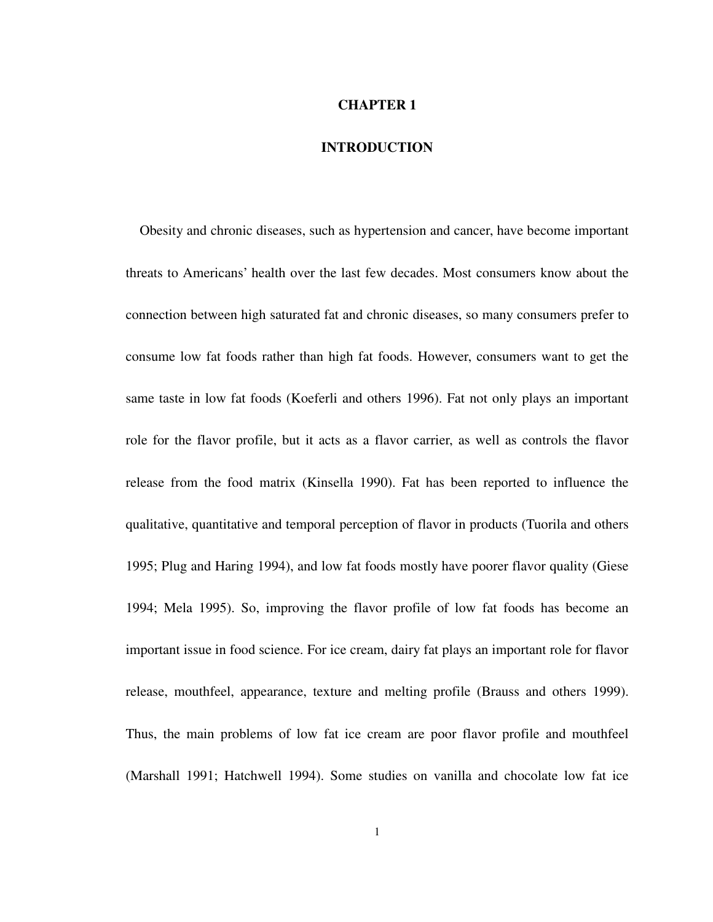#### **CHAPTER 1**

# **INTRODUCTION**

Obesity and chronic diseases, such as hypertension and cancer, have become important threats to Americans' health over the last few decades. Most consumers know about the connection between high saturated fat and chronic diseases, so many consumers prefer to consume low fat foods rather than high fat foods. However, consumers want to get the same taste in low fat foods (Koeferli and others 1996). Fat not only plays an important role for the flavor profile, but it acts as a flavor carrier, as well as controls the flavor release from the food matrix (Kinsella 1990). Fat has been reported to influence the qualitative, quantitative and temporal perception of flavor in products (Tuorila and others 1995; Plug and Haring 1994), and low fat foods mostly have poorer flavor quality (Giese 1994; Mela 1995). So, improving the flavor profile of low fat foods has become an important issue in food science. For ice cream, dairy fat plays an important role for flavor release, mouthfeel, appearance, texture and melting profile (Brauss and others 1999). Thus, the main problems of low fat ice cream are poor flavor profile and mouthfeel (Marshall 1991; Hatchwell 1994). Some studies on vanilla and chocolate low fat ice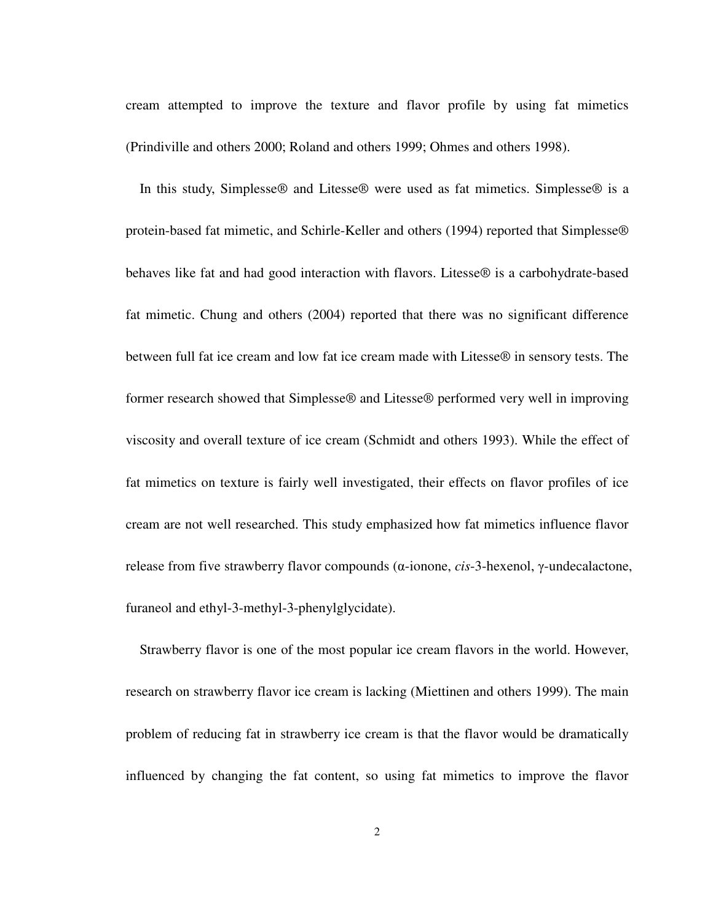cream attempted to improve the texture and flavor profile by using fat mimetics (Prindiville and others 2000; Roland and others 1999; Ohmes and others 1998).

In this study, Simplesse® and Litesse® were used as fat mimetics. Simplesse® is a protein-based fat mimetic, and Schirle-Keller and others (1994) reported that Simplesse® behaves like fat and had good interaction with flavors. Litesse® is a carbohydrate-based fat mimetic. Chung and others (2004) reported that there was no significant difference between full fat ice cream and low fat ice cream made with Litesse® in sensory tests. The former research showed that Simplesse® and Litesse® performed very well in improving viscosity and overall texture of ice cream (Schmidt and others 1993). While the effect of fat mimetics on texture is fairly well investigated, their effects on flavor profiles of ice cream are not well researched. This study emphasized how fat mimetics influence flavor release from five strawberry flavor compounds (α-ionone, *cis*-3-hexenol, γ-undecalactone, furaneol and ethyl-3-methyl-3-phenylglycidate).

Strawberry flavor is one of the most popular ice cream flavors in the world. However, research on strawberry flavor ice cream is lacking (Miettinen and others 1999). The main problem of reducing fat in strawberry ice cream is that the flavor would be dramatically influenced by changing the fat content, so using fat mimetics to improve the flavor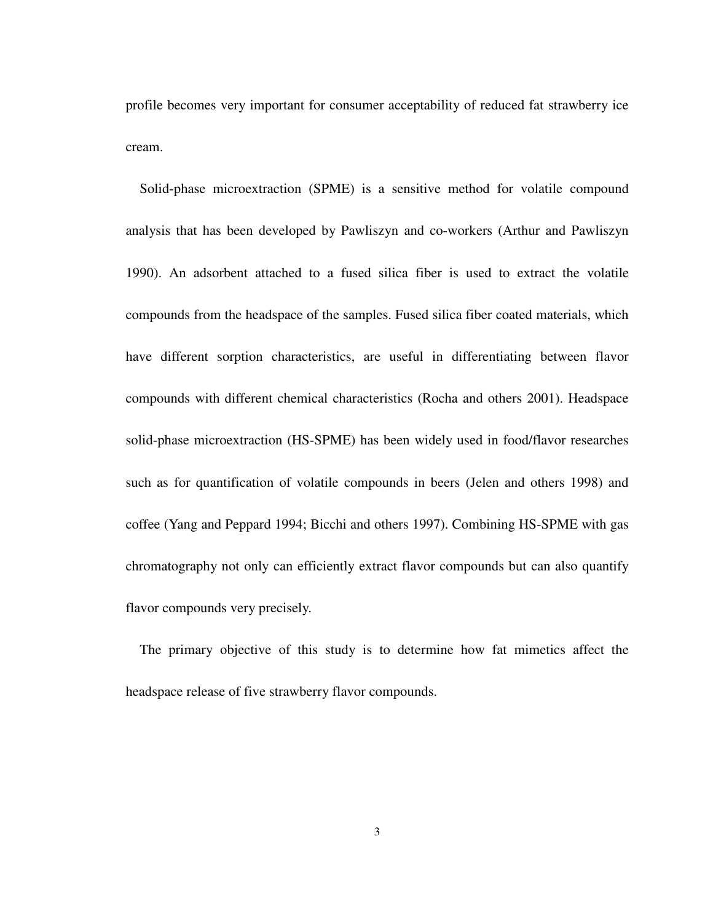profile becomes very important for consumer acceptability of reduced fat strawberry ice cream.

Solid-phase microextraction (SPME) is a sensitive method for volatile compound analysis that has been developed by Pawliszyn and co-workers (Arthur and Pawliszyn 1990). An adsorbent attached to a fused silica fiber is used to extract the volatile compounds from the headspace of the samples. Fused silica fiber coated materials, which have different sorption characteristics, are useful in differentiating between flavor compounds with different chemical characteristics (Rocha and others 2001). Headspace solid-phase microextraction (HS-SPME) has been widely used in food/flavor researches such as for quantification of volatile compounds in beers (Jelen and others 1998) and coffee (Yang and Peppard 1994; Bicchi and others 1997). Combining HS-SPME with gas chromatography not only can efficiently extract flavor compounds but can also quantify flavor compounds very precisely.

The primary objective of this study is to determine how fat mimetics affect the headspace release of five strawberry flavor compounds.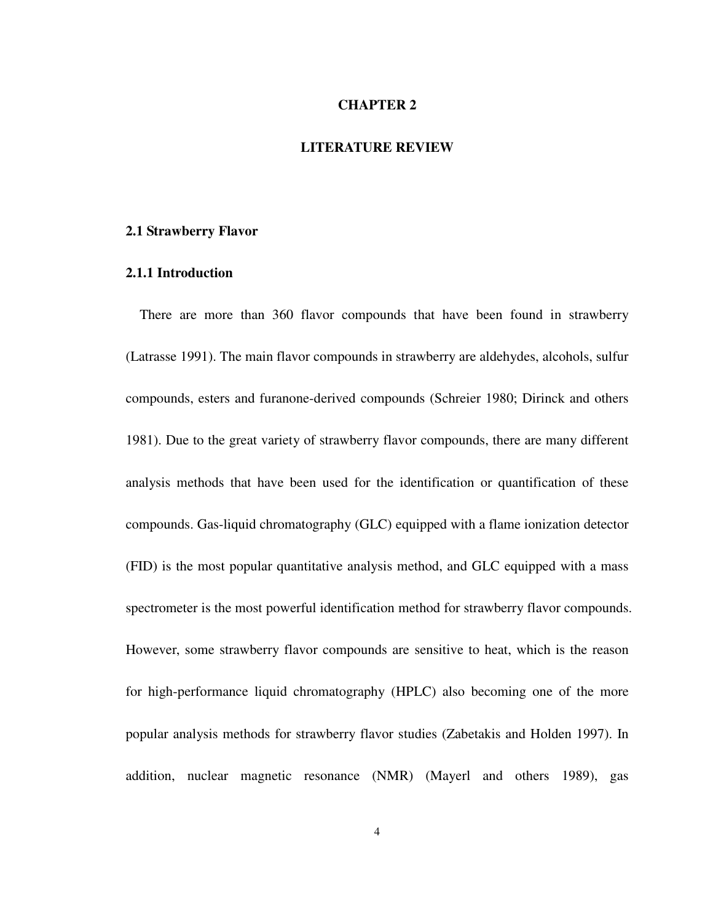# **CHAPTER 2**

### **LITERATURE REVIEW**

#### **2.1 Strawberry Flavor**

#### **2.1.1 Introduction**

There are more than 360 flavor compounds that have been found in strawberry (Latrasse 1991). The main flavor compounds in strawberry are aldehydes, alcohols, sulfur compounds, esters and furanone-derived compounds (Schreier 1980; Dirinck and others 1981). Due to the great variety of strawberry flavor compounds, there are many different analysis methods that have been used for the identification or quantification of these compounds. Gas-liquid chromatography (GLC) equipped with a flame ionization detector (FID) is the most popular quantitative analysis method, and GLC equipped with a mass spectrometer is the most powerful identification method for strawberry flavor compounds. However, some strawberry flavor compounds are sensitive to heat, which is the reason for high-performance liquid chromatography (HPLC) also becoming one of the more popular analysis methods for strawberry flavor studies (Zabetakis and Holden 1997). In addition, nuclear magnetic resonance (NMR) (Mayerl and others 1989), gas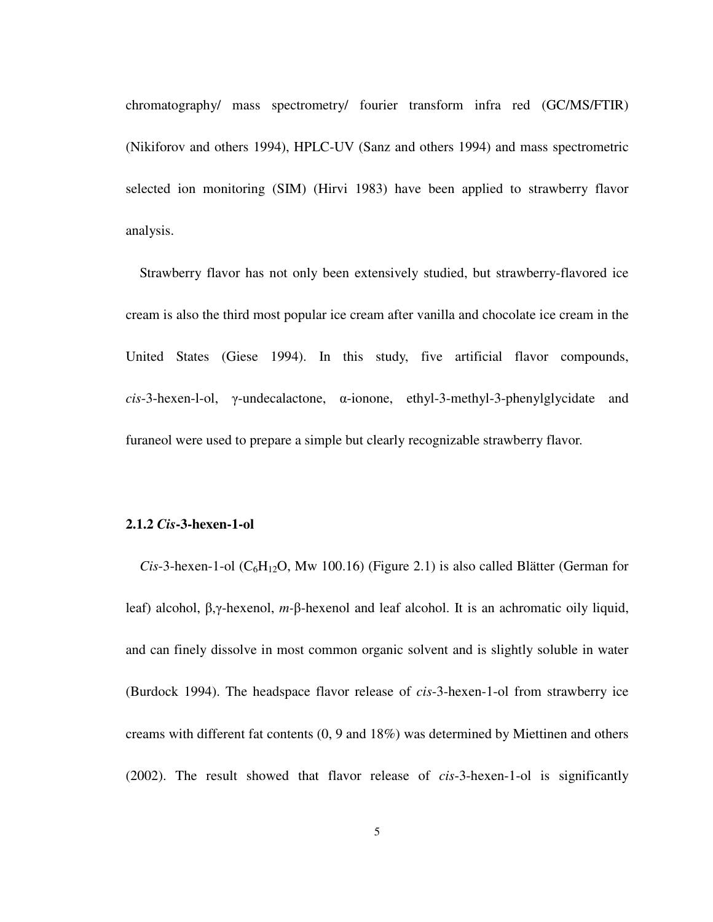chromatography/ mass spectrometry/ fourier transform infra red (GC/MS/FTIR) (Nikiforov and others 1994), HPLC-UV (Sanz and others 1994) and mass spectrometric selected ion monitoring (SIM) (Hirvi 1983) have been applied to strawberry flavor analysis.

Strawberry flavor has not only been extensively studied, but strawberry-flavored ice cream is also the third most popular ice cream after vanilla and chocolate ice cream in the United States (Giese 1994). In this study, five artificial flavor compounds, *cis*-3-hexen-l-ol, γ-undecalactone, α-ionone, ethyl-3-methyl-3-phenylglycidate and furaneol were used to prepare a simple but clearly recognizable strawberry flavor.

#### **2.1.2** *Cis***-3-hexen-1-ol**

*Cis*-3-hexen-1-ol ( $C_6H_{12}O$ , Mw 100.16) (Figure 2.1) is also called Blätter (German for leaf) alcohol, β,γ-hexenol, *m-*β-hexenol and leaf alcohol. It is an achromatic oily liquid, and can finely dissolve in most common organic solvent and is slightly soluble in water (Burdock 1994). The headspace flavor release of *cis*-3-hexen-1-ol from strawberry ice creams with different fat contents (0, 9 and 18%) was determined by Miettinen and others (2002). The result showed that flavor release of *cis*-3-hexen-1-ol is significantly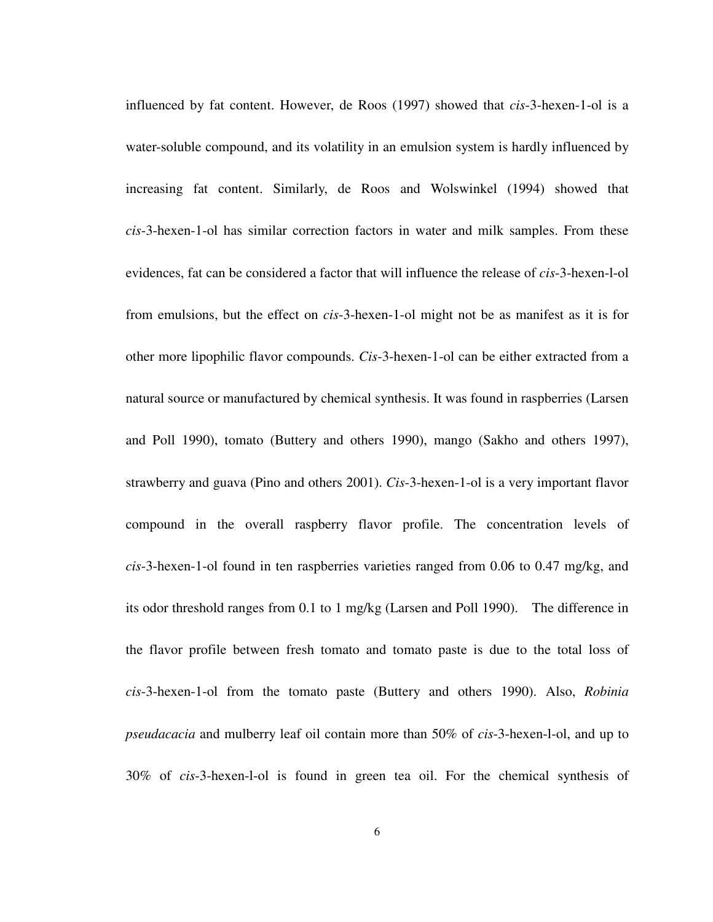influenced by fat content. However, de Roos (1997) showed that *cis*-3-hexen-1-ol is a water-soluble compound, and its volatility in an emulsion system is hardly influenced by increasing fat content. Similarly, de Roos and Wolswinkel (1994) showed that *cis*-3-hexen-1-ol has similar correction factors in water and milk samples. From these evidences, fat can be considered a factor that will influence the release of *cis*-3-hexen-l-ol from emulsions, but the effect on *cis*-3-hexen-1-ol might not be as manifest as it is for other more lipophilic flavor compounds. *Cis*-3-hexen-1-ol can be either extracted from a natural source or manufactured by chemical synthesis. It was found in raspberries (Larsen and Poll 1990), tomato (Buttery and others 1990), mango (Sakho and others 1997), strawberry and guava (Pino and others 2001). *Cis*-3-hexen-1-ol is a very important flavor compound in the overall raspberry flavor profile. The concentration levels of *cis*-3-hexen-1-ol found in ten raspberries varieties ranged from 0.06 to 0.47 mg/kg, and its odor threshold ranges from 0.1 to 1 mg/kg (Larsen and Poll 1990). The difference in the flavor profile between fresh tomato and tomato paste is due to the total loss of *cis*-3-hexen-1-ol from the tomato paste (Buttery and others 1990). Also, *Robinia pseudacacia* and mulberry leaf oil contain more than 50% of *cis*-3-hexen-l-ol, and up to 30% of *cis*-3-hexen-l-ol is found in green tea oil. For the chemical synthesis of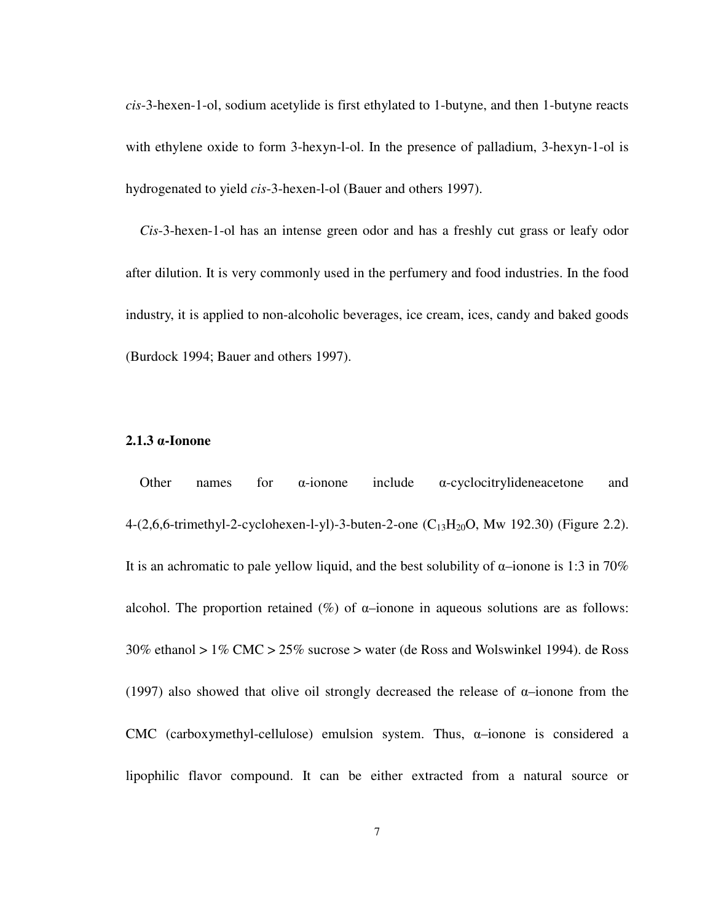*cis*-3-hexen-1-ol, sodium acetylide is first ethylated to 1-butyne, and then 1-butyne reacts with ethylene oxide to form 3-hexyn-l-ol. In the presence of palladium, 3-hexyn-1-ol is hydrogenated to yield *cis*-3-hexen-l-ol (Bauer and others 1997).

*Cis*-3-hexen-1-ol has an intense green odor and has a freshly cut grass or leafy odor after dilution. It is very commonly used in the perfumery and food industries. In the food industry, it is applied to non-alcoholic beverages, ice cream, ices, candy and baked goods (Burdock 1994; Bauer and others 1997).

#### **2.1.3** α**-Ionone**

Other names for  $\alpha$ -ionone include  $\alpha$ -cyclocitrylideneacetone and 4-(2,6,6-trimethyl-2-cyclohexen-l-yl)-3-buten-2-one  $(C_{13}H_{20}O, Mw 192.30)$  (Figure 2.2). It is an achromatic to pale yellow liquid, and the best solubility of  $\alpha$ -ionone is 1:3 in 70% alcohol. The proportion retained  $(\%)$  of  $\alpha$ -ionone in aqueous solutions are as follows: 30% ethanol > 1% CMC > 25% sucrose > water (de Ross and Wolswinkel 1994). de Ross (1997) also showed that olive oil strongly decreased the release of  $\alpha$ -ionone from the CMC (carboxymethyl-cellulose) emulsion system. Thus,  $\alpha$ -ionone is considered a lipophilic flavor compound. It can be either extracted from a natural source or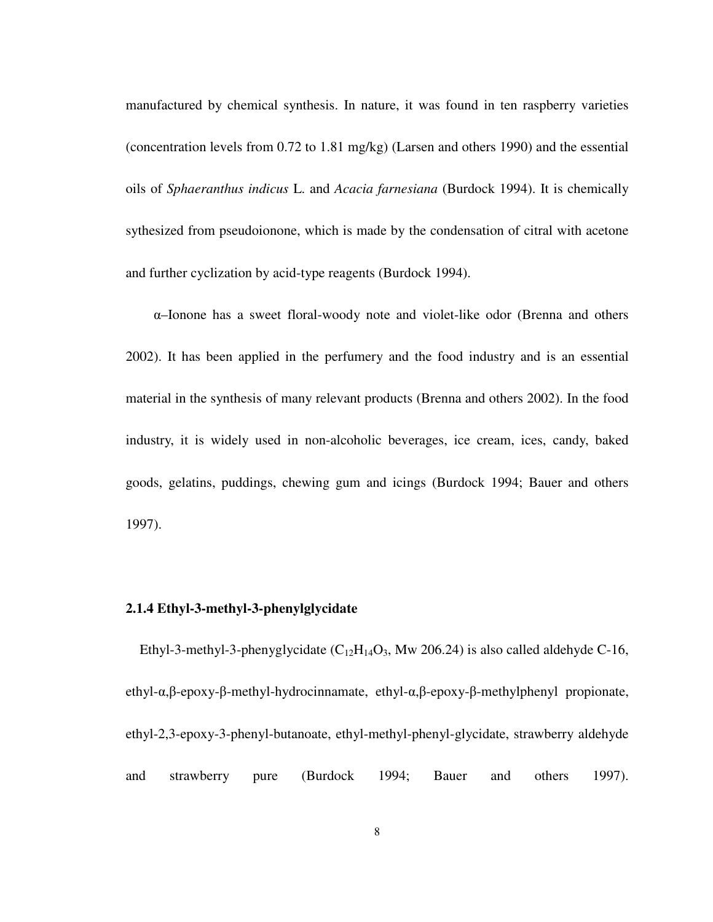manufactured by chemical synthesis. In nature, it was found in ten raspberry varieties (concentration levels from 0.72 to 1.81 mg/kg) (Larsen and others 1990) and the essential oils of *Sphaeranthus indicus* L. and *Acacia farnesiana* (Burdock 1994). It is chemically sythesized from pseudoionone, which is made by the condensation of citral with acetone and further cyclization by acid-type reagents (Burdock 1994).

 α–Ionone has a sweet floral-woody note and violet-like odor (Brenna and others 2002). It has been applied in the perfumery and the food industry and is an essential material in the synthesis of many relevant products (Brenna and others 2002). In the food industry, it is widely used in non-alcoholic beverages, ice cream, ices, candy, baked goods, gelatins, puddings, chewing gum and icings (Burdock 1994; Bauer and others 1997).

# **2.1.4 Ethyl-3-methyl-3-phenylglycidate**

Ethyl-3-methyl-3-phenyglycidate  $(C_{12}H_{14}O_3)$ , Mw 206.24) is also called aldehyde C-16, ethyl-α,β-epoxy-β-methyl-hydrocinnamate, ethyl-α,β-epoxy-β-methylphenyl propionate, ethyl-2,3-epoxy-3-phenyl-butanoate, ethyl-methyl-phenyl-glycidate, strawberry aldehyde and strawberry pure (Burdock 1994; Bauer and others 1997).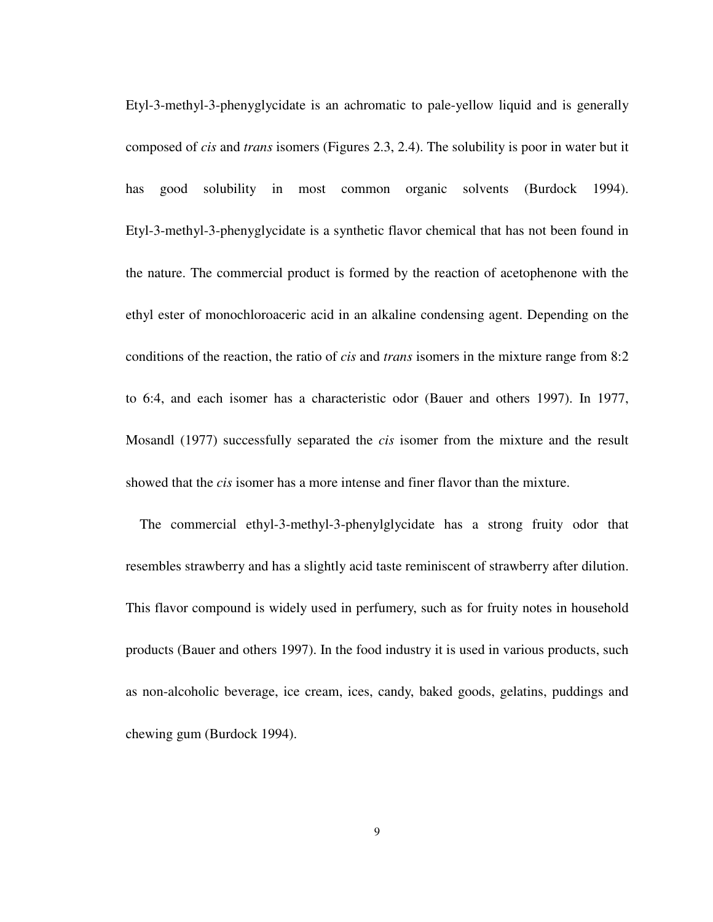Etyl-3-methyl-3-phenyglycidate is an achromatic to pale-yellow liquid and is generally composed of *cis* and *trans* isomers (Figures 2.3, 2.4). The solubility is poor in water but it has good solubility in most common organic solvents (Burdock 1994). Etyl-3-methyl-3-phenyglycidate is a synthetic flavor chemical that has not been found in the nature. The commercial product is formed by the reaction of acetophenone with the ethyl ester of monochloroaceric acid in an alkaline condensing agent. Depending on the conditions of the reaction, the ratio of *cis* and *trans* isomers in the mixture range from 8:2 to 6:4, and each isomer has a characteristic odor (Bauer and others 1997). In 1977, Mosandl (1977) successfully separated the *cis* isomer from the mixture and the result showed that the *cis* isomer has a more intense and finer flavor than the mixture.

The commercial ethyl-3-methyl-3-phenylglycidate has a strong fruity odor that resembles strawberry and has a slightly acid taste reminiscent of strawberry after dilution. This flavor compound is widely used in perfumery, such as for fruity notes in household products (Bauer and others 1997). In the food industry it is used in various products, such as non-alcoholic beverage, ice cream, ices, candy, baked goods, gelatins, puddings and chewing gum (Burdock 1994).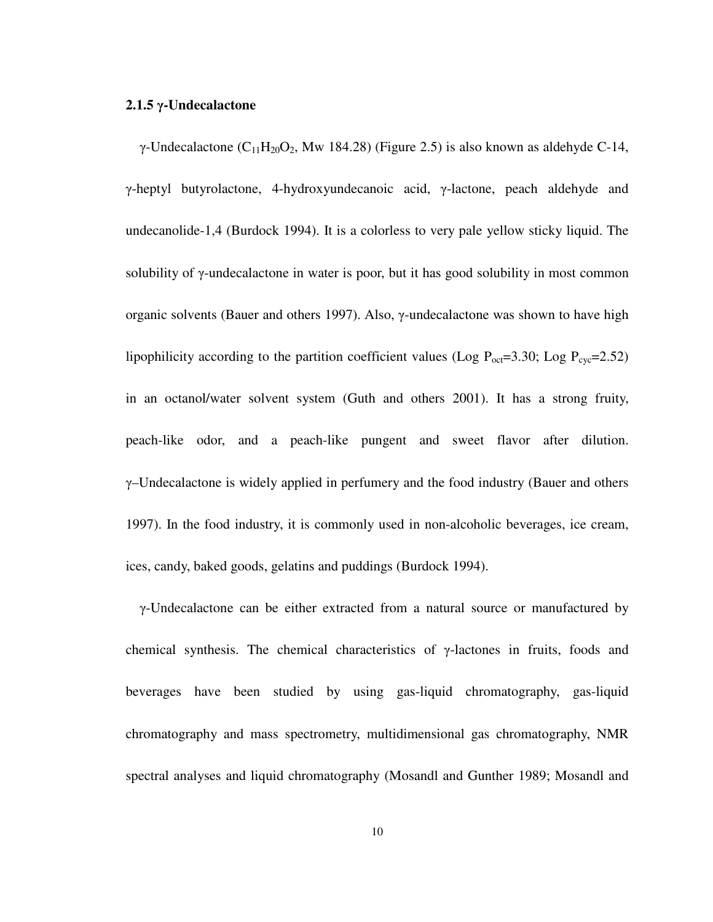#### **2.1.5** γ**-Undecalactone**

γ-Undecalactone (C<sub>11</sub>H<sub>20</sub>O<sub>2</sub>, Mw 184.28) (Figure 2.5) is also known as aldehyde C-14, γ-heptyl butyrolactone, 4-hydroxyundecanoic acid, γ-lactone, peach aldehyde and undecanolide-1,4 (Burdock 1994). It is a colorless to very pale yellow sticky liquid. The solubility of γ-undecalactone in water is poor, but it has good solubility in most common organic solvents (Bauer and others 1997). Also, γ-undecalactone was shown to have high lipophilicity according to the partition coefficient values (Log  $P_{\text{oct}}=3.30$ ; Log  $P_{\text{cyc}}=2.52$ ) in an octanol/water solvent system (Guth and others 2001). It has a strong fruity, peach-like odor, and a peach-like pungent and sweet flavor after dilution.  $\gamma$ –Undecalactone is widely applied in perfumery and the food industry (Bauer and others 1997). In the food industry, it is commonly used in non-alcoholic beverages, ice cream, ices, candy, baked goods, gelatins and puddings (Burdock 1994).

γ-Undecalactone can be either extracted from a natural source or manufactured by chemical synthesis. The chemical characteristics of γ-lactones in fruits, foods and beverages have been studied by using gas-liquid chromatography, gas-liquid chromatography and mass spectrometry, multidimensional gas chromatography, NMR spectral analyses and liquid chromatography (Mosandl and Gunther 1989; Mosandl and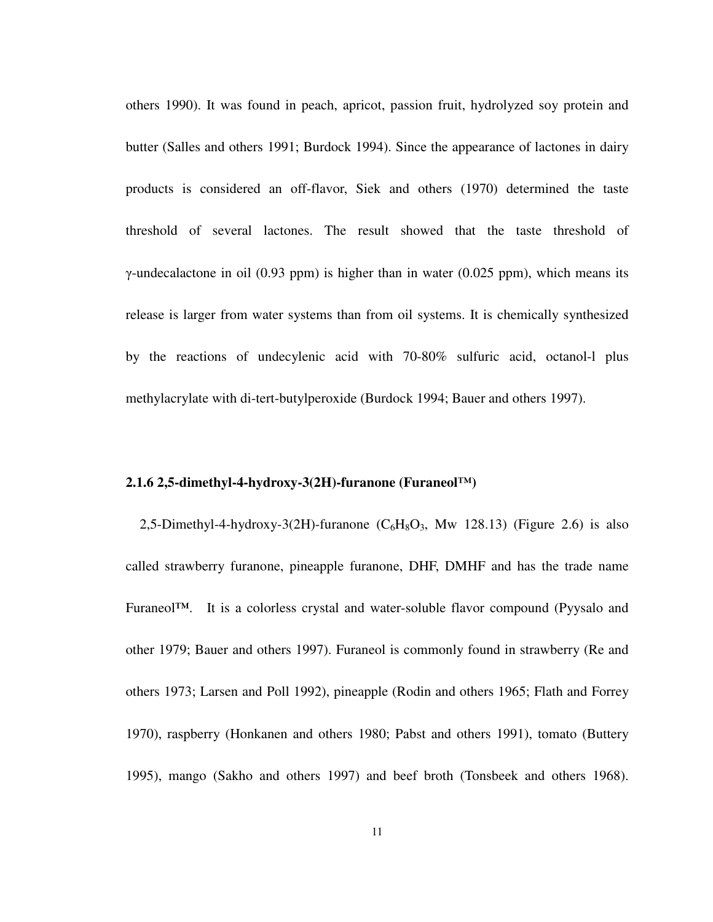others 1990). It was found in peach, apricot, passion fruit, hydrolyzed soy protein and butter (Salles and others 1991; Burdock 1994). Since the appearance of lactones in dairy products is considered an off-flavor, Siek and others (1970) determined the taste threshold of several lactones. The result showed that the taste threshold of γ-undecalactone in oil (0.93 ppm) is higher than in water (0.025 ppm), which means its release is larger from water systems than from oil systems. It is chemically synthesized by the reactions of undecylenic acid with 70-80% sulfuric acid, octanol-l plus methylacrylate with di-tert-butylperoxide (Burdock 1994; Bauer and others 1997).

#### **2.1.6 2,5-dimethyl-4-hydroxy-3(2H)-furanone (Furaneol™)**

2,5-Dimethyl-4-hydroxy-3(2H)-furanone  $(C_6H_8O_3)$ , Mw 128.13) (Figure 2.6) is also called strawberry furanone, pineapple furanone, DHF, DMHF and has the trade name Furaneol**™**. It is a colorless crystal and water-soluble flavor compound (Pyysalo and other 1979; Bauer and others 1997). Furaneol is commonly found in strawberry (Re and others 1973; Larsen and Poll 1992), pineapple (Rodin and others 1965; Flath and Forrey 1970), raspberry (Honkanen and others 1980; Pabst and others 1991), tomato (Buttery 1995), mango (Sakho and others 1997) and beef broth (Tonsbeek and others 1968).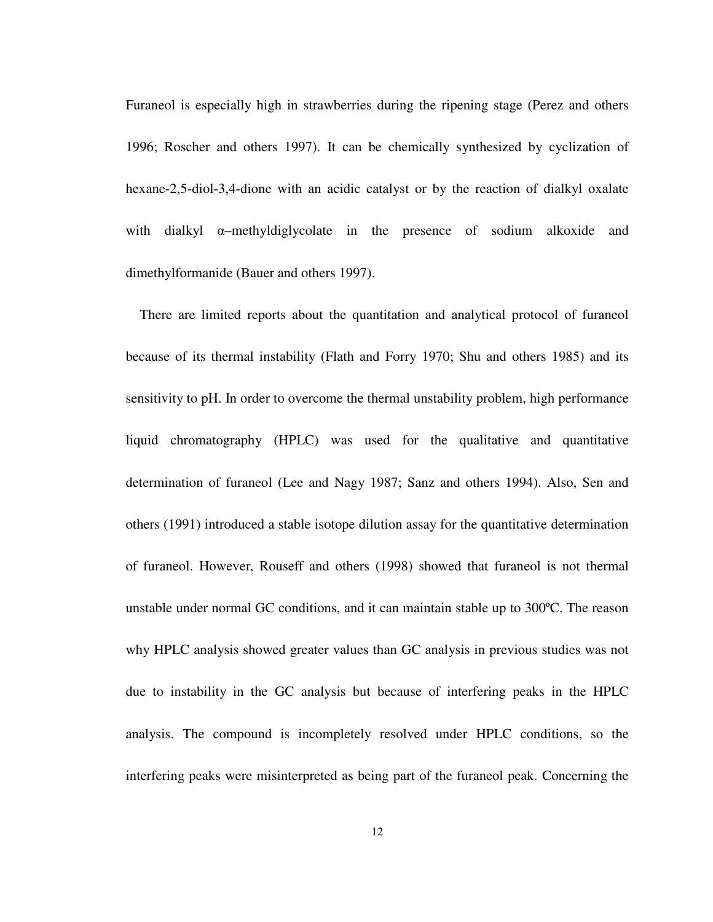Furaneol is especially high in strawberries during the ripening stage (Perez and others 1996; Roscher and others 1997). It can be chemically synthesized by cyclization of hexane-2,5-diol-3,4-dione with an acidic catalyst or by the reaction of dialkyl oxalate with dialkyl α–methyldiglycolate in the presence of sodium alkoxide and dimethylformanide (Bauer and others 1997).

There are limited reports about the quantitation and analytical protocol of furaneol because of its thermal instability (Flath and Forry 1970; Shu and others 1985) and its sensitivity to pH. In order to overcome the thermal unstability problem, high performance liquid chromatography (HPLC) was used for the qualitative and quantitative determination of furaneol (Lee and Nagy 1987; Sanz and others 1994). Also, Sen and others (1991) introduced a stable isotope dilution assay for the quantitative determination of furaneol. However, Rouseff and others (1998) showed that furaneol is not thermal unstable under normal GC conditions, and it can maintain stable up to 300ºC. The reason why HPLC analysis showed greater values than GC analysis in previous studies was not due to instability in the GC analysis but because of interfering peaks in the HPLC analysis. The compound is incompletely resolved under HPLC conditions, so the interfering peaks were misinterpreted as being part of the furaneol peak. Concerning the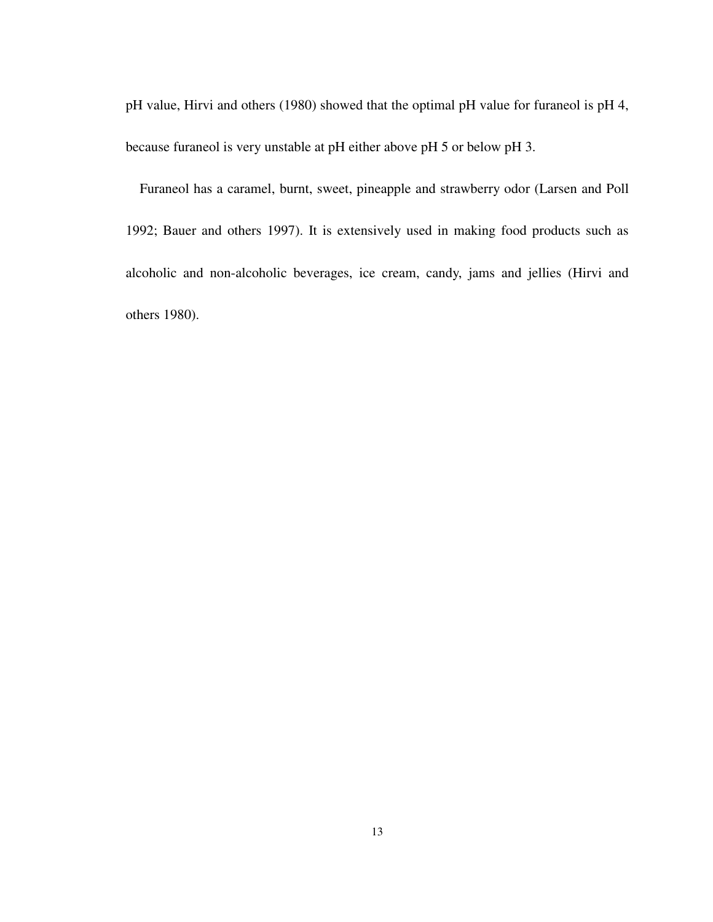pH value, Hirvi and others (1980) showed that the optimal pH value for furaneol is pH 4, because furaneol is very unstable at pH either above pH 5 or below pH 3.

Furaneol has a caramel, burnt, sweet, pineapple and strawberry odor (Larsen and Poll 1992; Bauer and others 1997). It is extensively used in making food products such as alcoholic and non-alcoholic beverages, ice cream, candy, jams and jellies (Hirvi and others 1980).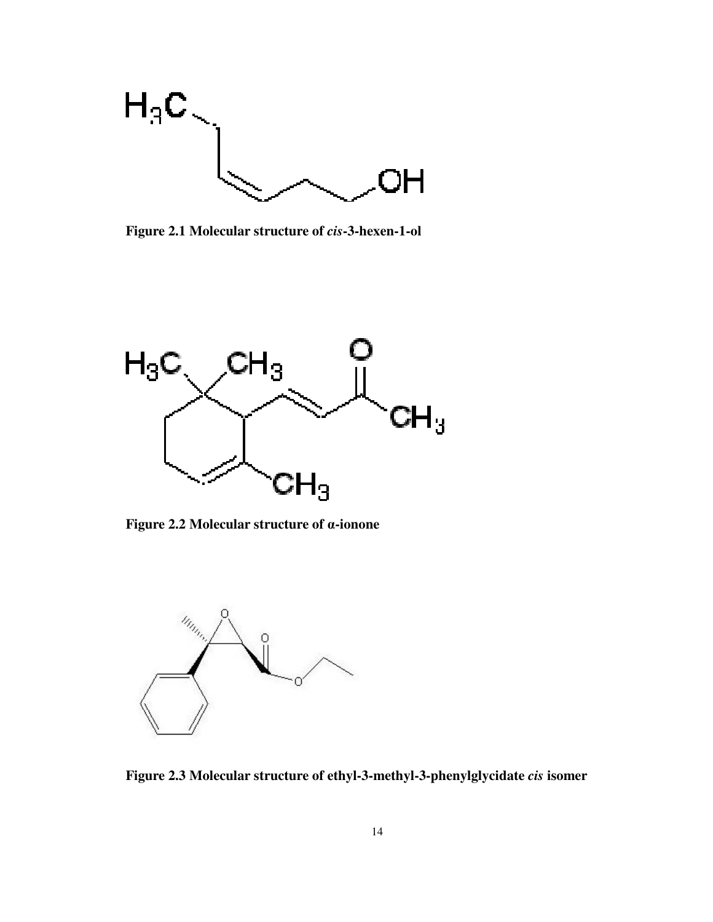

**Figure 2.1 Molecular structure of** *cis***-3-hexen-1-ol** 



**Figure 2.2 Molecular structure of** α**-ionone** 



**Figure 2.3 Molecular structure of ethyl-3-methyl-3-phenylglycidate** *cis* **isomer**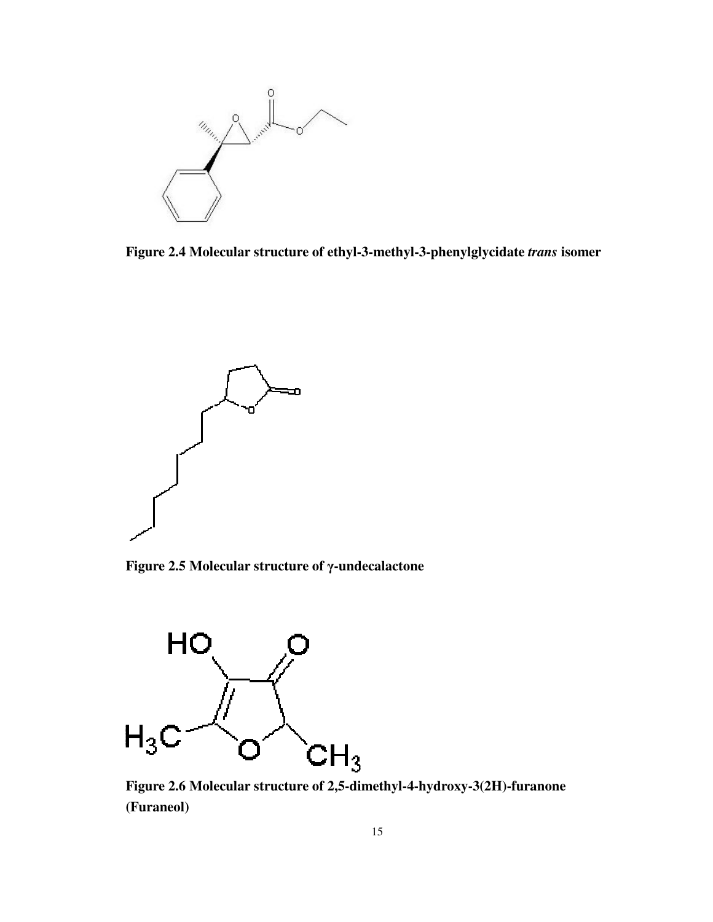

**Figure 2.4 Molecular structure of ethyl-3-methyl-3-phenylglycidate** *trans* **isomer** 



**Figure 2.5 Molecular structure of** γ**-undecalactone** 



**Figure 2.6 Molecular structure of 2,5-dimethyl-4-hydroxy-3(2H)-furanone (Furaneol)**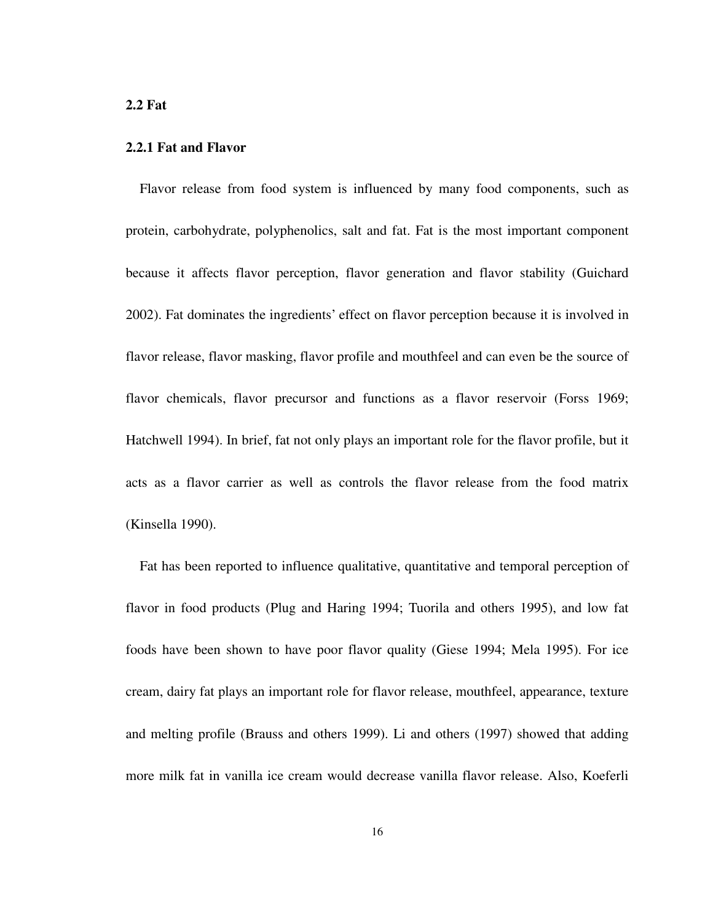#### **2.2 Fat**

### **2.2.1 Fat and Flavor**

Flavor release from food system is influenced by many food components, such as protein, carbohydrate, polyphenolics, salt and fat. Fat is the most important component because it affects flavor perception, flavor generation and flavor stability (Guichard 2002). Fat dominates the ingredients' effect on flavor perception because it is involved in flavor release, flavor masking, flavor profile and mouthfeel and can even be the source of flavor chemicals, flavor precursor and functions as a flavor reservoir (Forss 1969; Hatchwell 1994). In brief, fat not only plays an important role for the flavor profile, but it acts as a flavor carrier as well as controls the flavor release from the food matrix (Kinsella 1990).

Fat has been reported to influence qualitative, quantitative and temporal perception of flavor in food products (Plug and Haring 1994; Tuorila and others 1995), and low fat foods have been shown to have poor flavor quality (Giese 1994; Mela 1995). For ice cream, dairy fat plays an important role for flavor release, mouthfeel, appearance, texture and melting profile (Brauss and others 1999). Li and others (1997) showed that adding more milk fat in vanilla ice cream would decrease vanilla flavor release. Also, Koeferli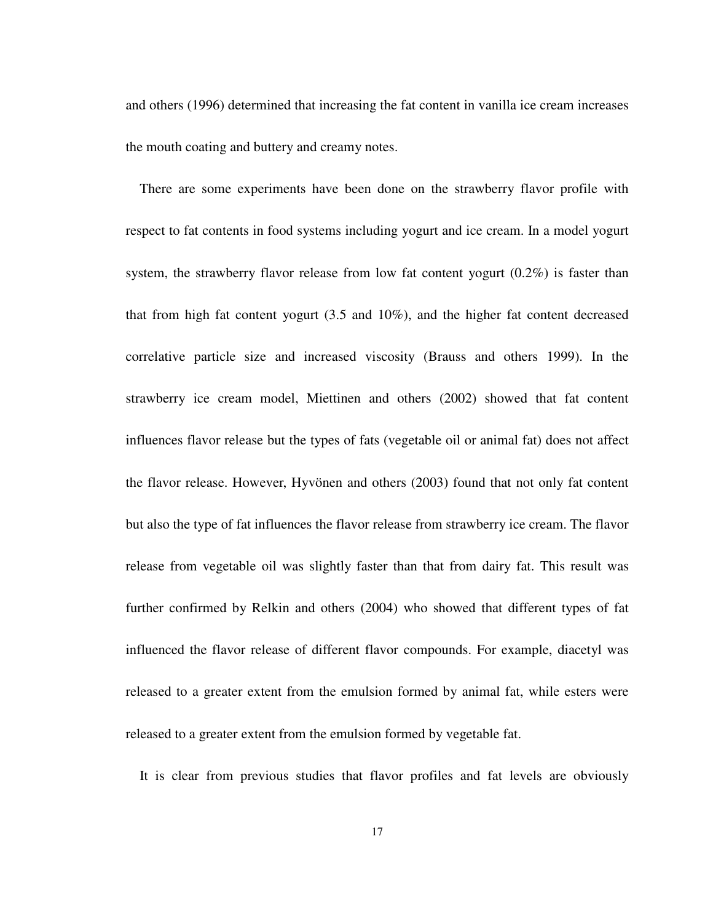and others (1996) determined that increasing the fat content in vanilla ice cream increases the mouth coating and buttery and creamy notes.

There are some experiments have been done on the strawberry flavor profile with respect to fat contents in food systems including yogurt and ice cream. In a model yogurt system, the strawberry flavor release from low fat content yogurt  $(0.2\%)$  is faster than that from high fat content yogurt (3.5 and 10%), and the higher fat content decreased correlative particle size and increased viscosity (Brauss and others 1999). In the strawberry ice cream model, Miettinen and others (2002) showed that fat content influences flavor release but the types of fats (vegetable oil or animal fat) does not affect the flavor release. However, Hyvönen and others (2003) found that not only fat content but also the type of fat influences the flavor release from strawberry ice cream. The flavor release from vegetable oil was slightly faster than that from dairy fat. This result was further confirmed by Relkin and others (2004) who showed that different types of fat influenced the flavor release of different flavor compounds. For example, diacetyl was released to a greater extent from the emulsion formed by animal fat, while esters were released to a greater extent from the emulsion formed by vegetable fat.

It is clear from previous studies that flavor profiles and fat levels are obviously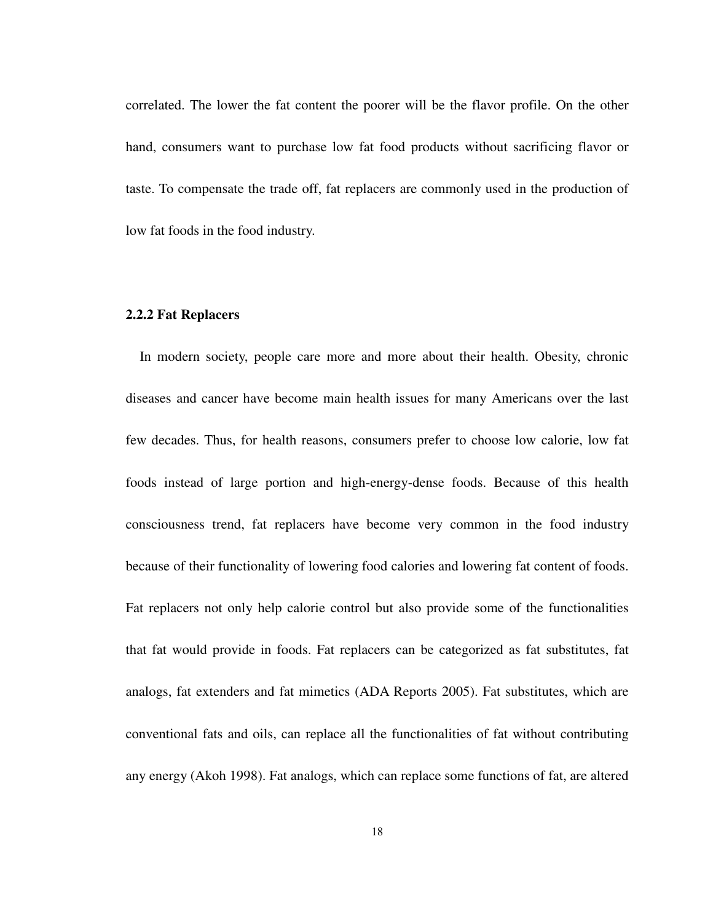correlated. The lower the fat content the poorer will be the flavor profile. On the other hand, consumers want to purchase low fat food products without sacrificing flavor or taste. To compensate the trade off, fat replacers are commonly used in the production of low fat foods in the food industry.

#### **2.2.2 Fat Replacers**

In modern society, people care more and more about their health. Obesity, chronic diseases and cancer have become main health issues for many Americans over the last few decades. Thus, for health reasons, consumers prefer to choose low calorie, low fat foods instead of large portion and high-energy-dense foods. Because of this health consciousness trend, fat replacers have become very common in the food industry because of their functionality of lowering food calories and lowering fat content of foods. Fat replacers not only help calorie control but also provide some of the functionalities that fat would provide in foods. Fat replacers can be categorized as fat substitutes, fat analogs, fat extenders and fat mimetics (ADA Reports 2005). Fat substitutes, which are conventional fats and oils, can replace all the functionalities of fat without contributing any energy (Akoh 1998). Fat analogs, which can replace some functions of fat, are altered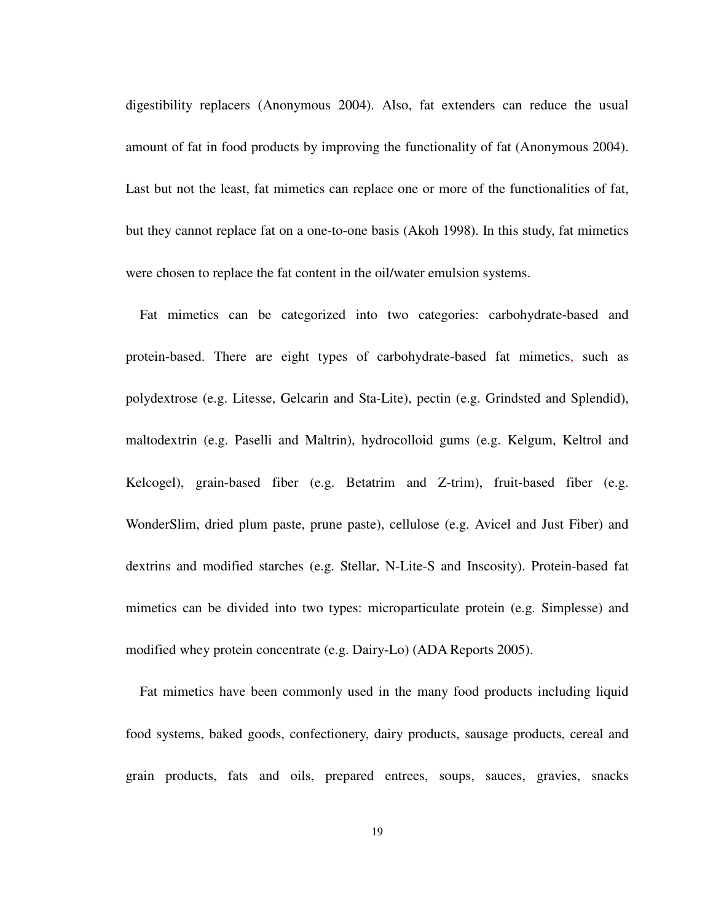digestibility replacers (Anonymous 2004). Also, fat extenders can reduce the usual amount of fat in food products by improving the functionality of fat (Anonymous 2004). Last but not the least, fat mimetics can replace one or more of the functionalities of fat, but they cannot replace fat on a one-to-one basis (Akoh 1998). In this study, fat mimetics were chosen to replace the fat content in the oil/water emulsion systems.

Fat mimetics can be categorized into two categories: carbohydrate-based and protein-based. There are eight types of carbohydrate-based fat mimetics, such as polydextrose (e.g. Litesse, Gelcarin and Sta-Lite), pectin (e.g. Grindsted and Splendid), maltodextrin (e.g. Paselli and Maltrin), hydrocolloid gums (e.g. Kelgum, Keltrol and Kelcogel), grain-based fiber (e.g. Betatrim and Z-trim), fruit-based fiber (e.g. WonderSlim, dried plum paste, prune paste), cellulose (e.g. Avicel and Just Fiber) and dextrins and modified starches (e.g. Stellar, N-Lite-S and Inscosity). Protein-based fat mimetics can be divided into two types: microparticulate protein (e.g. Simplesse) and modified whey protein concentrate (e.g. Dairy-Lo) (ADA Reports 2005).

Fat mimetics have been commonly used in the many food products including liquid food systems, baked goods, confectionery, dairy products, sausage products, cereal and grain products, fats and oils, prepared entrees, soups, sauces, gravies, snacks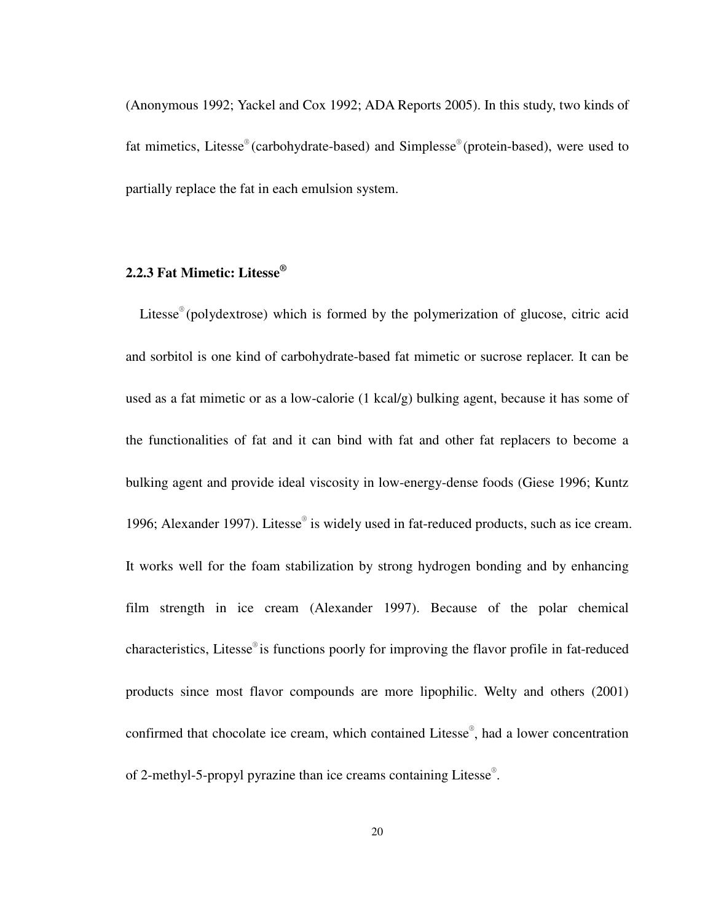(Anonymous 1992; Yackel and Cox 1992; ADA Reports 2005). In this study, two kinds of fat mimetics, Litesse® (carbohydrate-based) and Simplesse® (protein-based), were used to partially replace the fat in each emulsion system.

# **2.2.3 Fat Mimetic: Litesse®**

Litesse® (polydextrose) which is formed by the polymerization of glucose, citric acid and sorbitol is one kind of carbohydrate-based fat mimetic or sucrose replacer. It can be used as a fat mimetic or as a low-calorie (1 kcal/g) bulking agent, because it has some of the functionalities of fat and it can bind with fat and other fat replacers to become a bulking agent and provide ideal viscosity in low-energy-dense foods (Giese 1996; Kuntz 1996; Alexander 1997). Litesse® is widely used in fat-reduced products, such as ice cream. It works well for the foam stabilization by strong hydrogen bonding and by enhancing film strength in ice cream (Alexander 1997). Because of the polar chemical characteristics, Litesse® is functions poorly for improving the flavor profile in fat-reduced products since most flavor compounds are more lipophilic. Welty and others (2001) confirmed that chocolate ice cream, which contained Litesse® , had a lower concentration of 2-methyl-5-propyl pyrazine than ice creams containing Litesse® .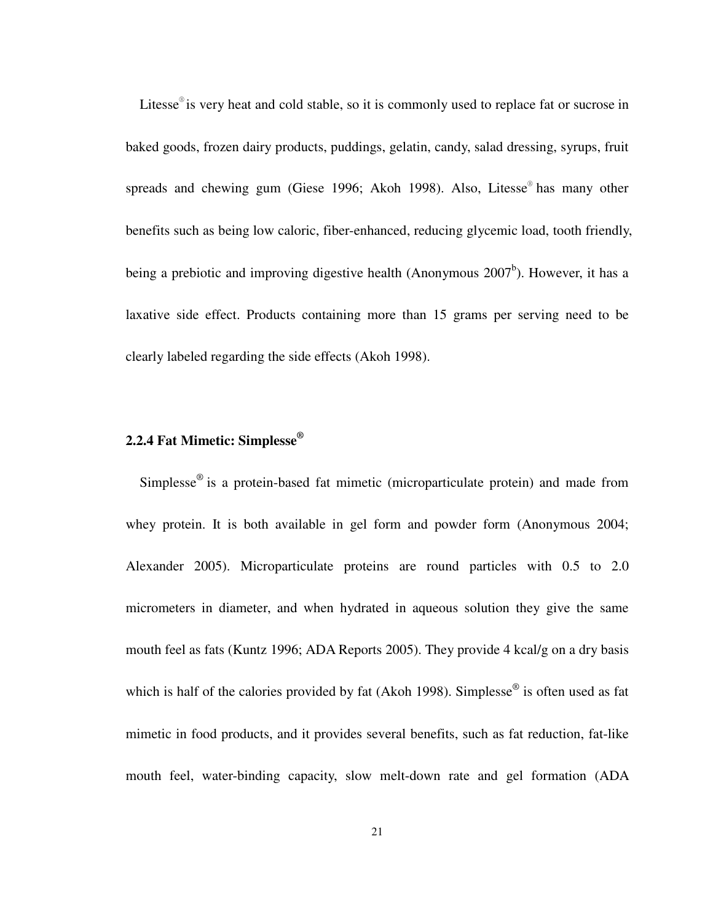Litesse<sup>®</sup> is very heat and cold stable, so it is commonly used to replace fat or sucrose in baked goods, frozen dairy products, puddings, gelatin, candy, salad dressing, syrups, fruit spreads and chewing gum (Giese 1996; Akoh 1998). Also, Litesse<sup>®</sup> has many other benefits such as being low caloric, fiber-enhanced, reducing glycemic load, tooth friendly, being a prebiotic and improving digestive health (Anonymous  $2007<sup>b</sup>$ ). However, it has a laxative side effect. Products containing more than 15 grams per serving need to be clearly labeled regarding the side effects (Akoh 1998).

# **2.2.4 Fat Mimetic: Simplesse®**

Simplesse<sup>®</sup> is a protein-based fat mimetic (microparticulate protein) and made from whey protein. It is both available in gel form and powder form (Anonymous 2004; Alexander 2005). Microparticulate proteins are round particles with 0.5 to 2.0 micrometers in diameter, and when hydrated in aqueous solution they give the same mouth feel as fats (Kuntz 1996; ADA Reports 2005). They provide 4 kcal/g on a dry basis which is half of the calories provided by fat (Akoh 1998). Simplesse<sup>®</sup> is often used as fat mimetic in food products, and it provides several benefits, such as fat reduction, fat-like mouth feel, water-binding capacity, slow melt-down rate and gel formation (ADA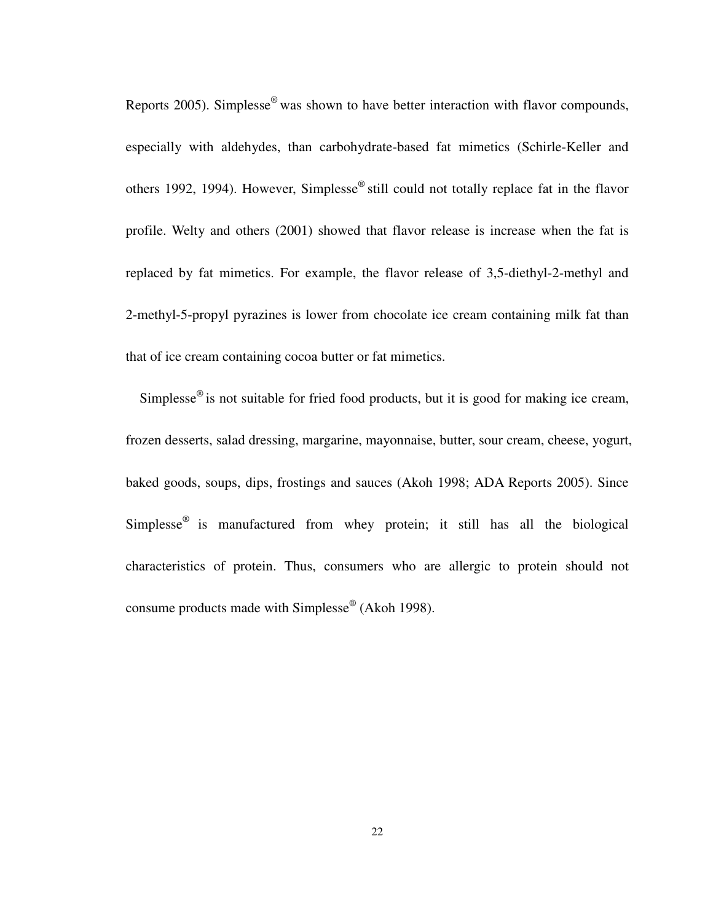Reports 2005). Simplesse® was shown to have better interaction with flavor compounds, especially with aldehydes, than carbohydrate-based fat mimetics (Schirle-Keller and others 1992, 1994). However, Simplesse® still could not totally replace fat in the flavor profile. Welty and others (2001) showed that flavor release is increase when the fat is replaced by fat mimetics. For example, the flavor release of 3,5-diethyl-2-methyl and 2-methyl-5-propyl pyrazines is lower from chocolate ice cream containing milk fat than that of ice cream containing cocoa butter or fat mimetics.

Simplesse<sup>®</sup> is not suitable for fried food products, but it is good for making ice cream, frozen desserts, salad dressing, margarine, mayonnaise, butter, sour cream, cheese, yogurt, baked goods, soups, dips, frostings and sauces (Akoh 1998; ADA Reports 2005). Since Simplesse<sup>®</sup> is manufactured from whey protein; it still has all the biological characteristics of protein. Thus, consumers who are allergic to protein should not consume products made with Simplesse® (Akoh 1998).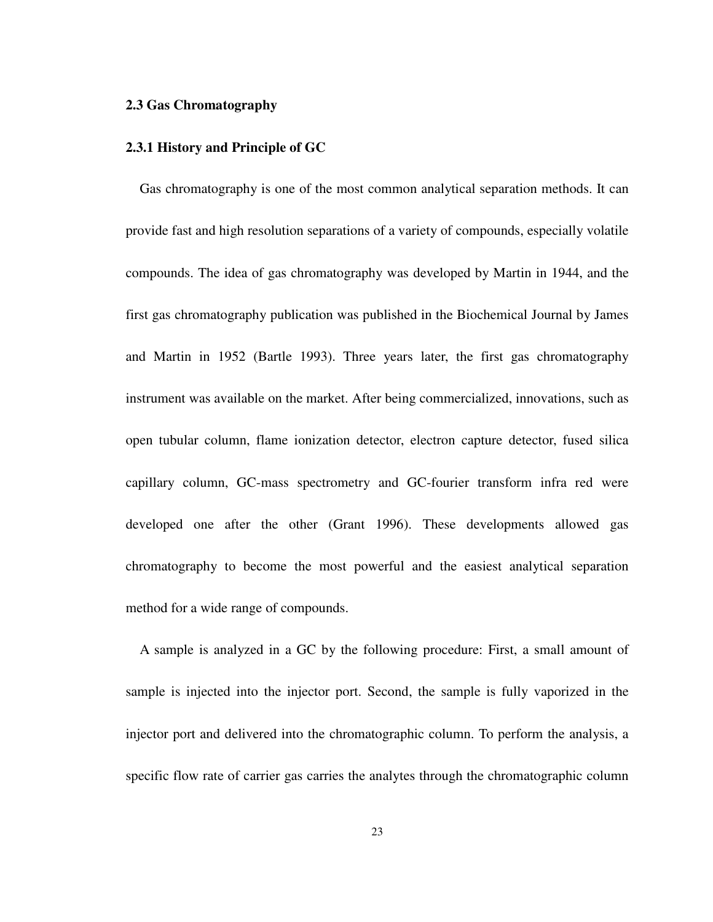#### **2.3 Gas Chromatography**

#### **2.3.1 History and Principle of GC**

Gas chromatography is one of the most common analytical separation methods. It can provide fast and high resolution separations of a variety of compounds, especially volatile compounds. The idea of gas chromatography was developed by Martin in 1944, and the first gas chromatography publication was published in the Biochemical Journal by James and Martin in 1952 (Bartle 1993). Three years later, the first gas chromatography instrument was available on the market. After being commercialized, innovations, such as open tubular column, flame ionization detector, electron capture detector, fused silica capillary column, GC-mass spectrometry and GC-fourier transform infra red were developed one after the other (Grant 1996). These developments allowed gas chromatography to become the most powerful and the easiest analytical separation method for a wide range of compounds.

A sample is analyzed in a GC by the following procedure: First, a small amount of sample is injected into the injector port. Second, the sample is fully vaporized in the injector port and delivered into the chromatographic column. To perform the analysis, a specific flow rate of carrier gas carries the analytes through the chromatographic column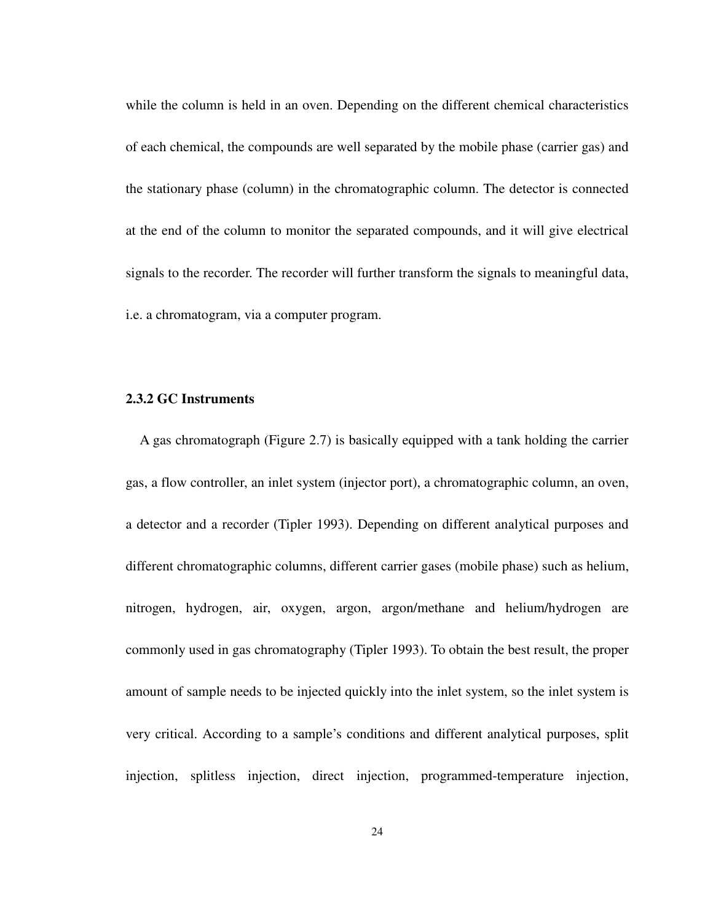while the column is held in an oven. Depending on the different chemical characteristics of each chemical, the compounds are well separated by the mobile phase (carrier gas) and the stationary phase (column) in the chromatographic column. The detector is connected at the end of the column to monitor the separated compounds, and it will give electrical signals to the recorder. The recorder will further transform the signals to meaningful data, i.e. a chromatogram, via a computer program.

# **2.3.2 GC Instruments**

A gas chromatograph (Figure 2.7) is basically equipped with a tank holding the carrier gas, a flow controller, an inlet system (injector port), a chromatographic column, an oven, a detector and a recorder (Tipler 1993). Depending on different analytical purposes and different chromatographic columns, different carrier gases (mobile phase) such as helium, nitrogen, hydrogen, air, oxygen, argon, argon/methane and helium/hydrogen are commonly used in gas chromatography (Tipler 1993). To obtain the best result, the proper amount of sample needs to be injected quickly into the inlet system, so the inlet system is very critical. According to a sample's conditions and different analytical purposes, split injection, splitless injection, direct injection, programmed-temperature injection,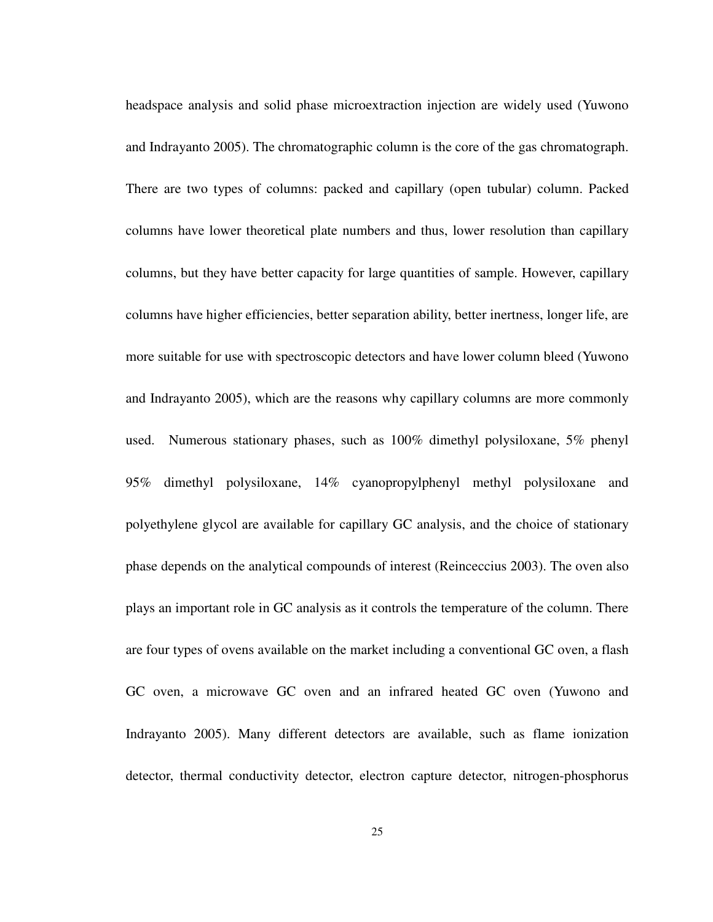headspace analysis and solid phase microextraction injection are widely used (Yuwono and Indrayanto 2005). The chromatographic column is the core of the gas chromatograph. There are two types of columns: packed and capillary (open tubular) column. Packed columns have lower theoretical plate numbers and thus, lower resolution than capillary columns, but they have better capacity for large quantities of sample. However, capillary columns have higher efficiencies, better separation ability, better inertness, longer life, are more suitable for use with spectroscopic detectors and have lower column bleed (Yuwono and Indrayanto 2005), which are the reasons why capillary columns are more commonly used. Numerous stationary phases, such as 100% dimethyl polysiloxane, 5% phenyl 95% dimethyl polysiloxane, 14% cyanopropylphenyl methyl polysiloxane and polyethylene glycol are available for capillary GC analysis, and the choice of stationary phase depends on the analytical compounds of interest (Reinceccius 2003). The oven also plays an important role in GC analysis as it controls the temperature of the column. There are four types of ovens available on the market including a conventional GC oven, a flash GC oven, a microwave GC oven and an infrared heated GC oven (Yuwono and Indrayanto 2005). Many different detectors are available, such as flame ionization detector, thermal conductivity detector, electron capture detector, nitrogen-phosphorus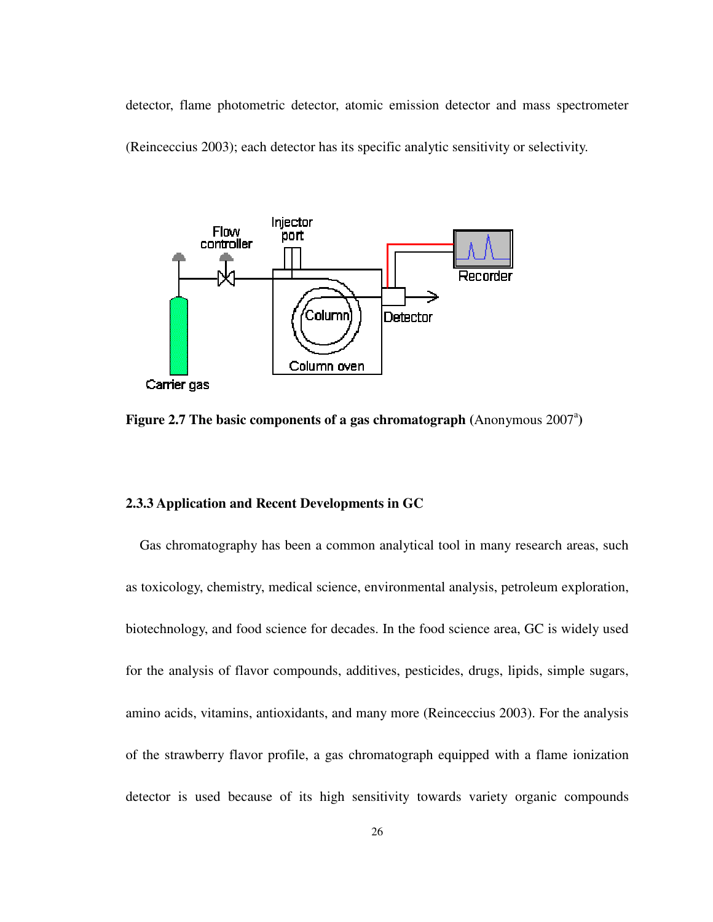detector, flame photometric detector, atomic emission detector and mass spectrometer (Reinceccius 2003); each detector has its specific analytic sensitivity or selectivity.



**Figure 2.7 The basic components of a gas chromatograph (Anonymous 2007<sup>a</sup>)** 

### **2.3.3 Application and Recent Developments in GC**

Gas chromatography has been a common analytical tool in many research areas, such as toxicology, chemistry, medical science, environmental analysis, petroleum exploration, biotechnology, and food science for decades. In the food science area, GC is widely used for the analysis of flavor compounds, additives, pesticides, drugs, lipids, simple sugars, amino acids, vitamins, antioxidants, and many more (Reinceccius 2003). For the analysis of the strawberry flavor profile, a gas chromatograph equipped with a flame ionization detector is used because of its high sensitivity towards variety organic compounds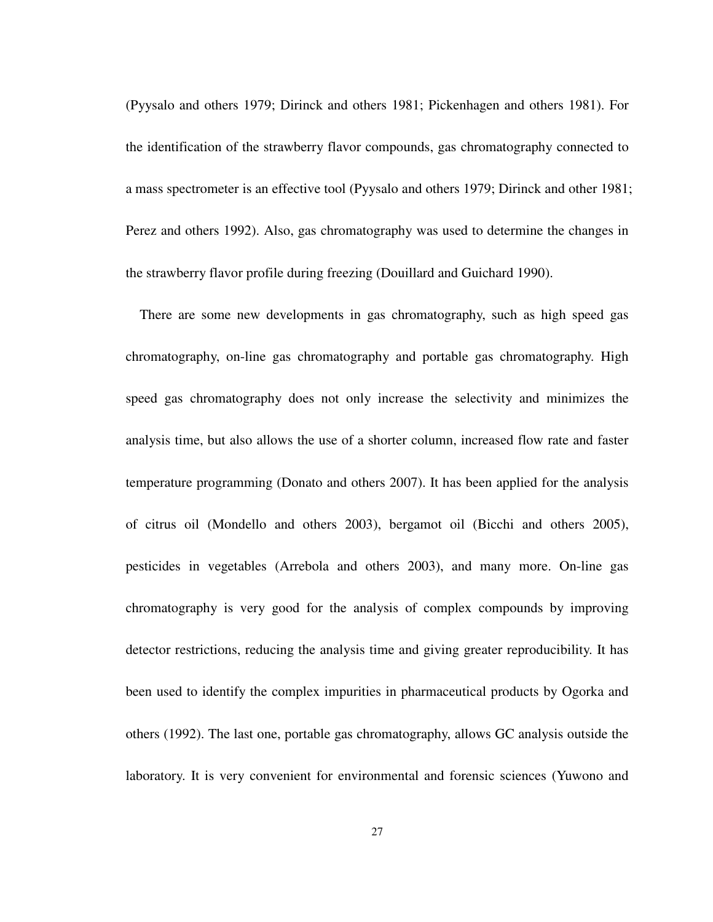(Pyysalo and others 1979; Dirinck and others 1981; Pickenhagen and others 1981). For the identification of the strawberry flavor compounds, gas chromatography connected to a mass spectrometer is an effective tool (Pyysalo and others 1979; Dirinck and other 1981; Perez and others 1992). Also, gas chromatography was used to determine the changes in the strawberry flavor profile during freezing (Douillard and Guichard 1990).

There are some new developments in gas chromatography, such as high speed gas chromatography, on-line gas chromatography and portable gas chromatography. High speed gas chromatography does not only increase the selectivity and minimizes the analysis time, but also allows the use of a shorter column, increased flow rate and faster temperature programming (Donato and others 2007). It has been applied for the analysis of citrus oil (Mondello and others 2003), bergamot oil (Bicchi and others 2005), pesticides in vegetables (Arrebola and others 2003), and many more. On-line gas chromatography is very good for the analysis of complex compounds by improving detector restrictions, reducing the analysis time and giving greater reproducibility. It has been used to identify the complex impurities in pharmaceutical products by Ogorka and others (1992). The last one, portable gas chromatography, allows GC analysis outside the laboratory. It is very convenient for environmental and forensic sciences (Yuwono and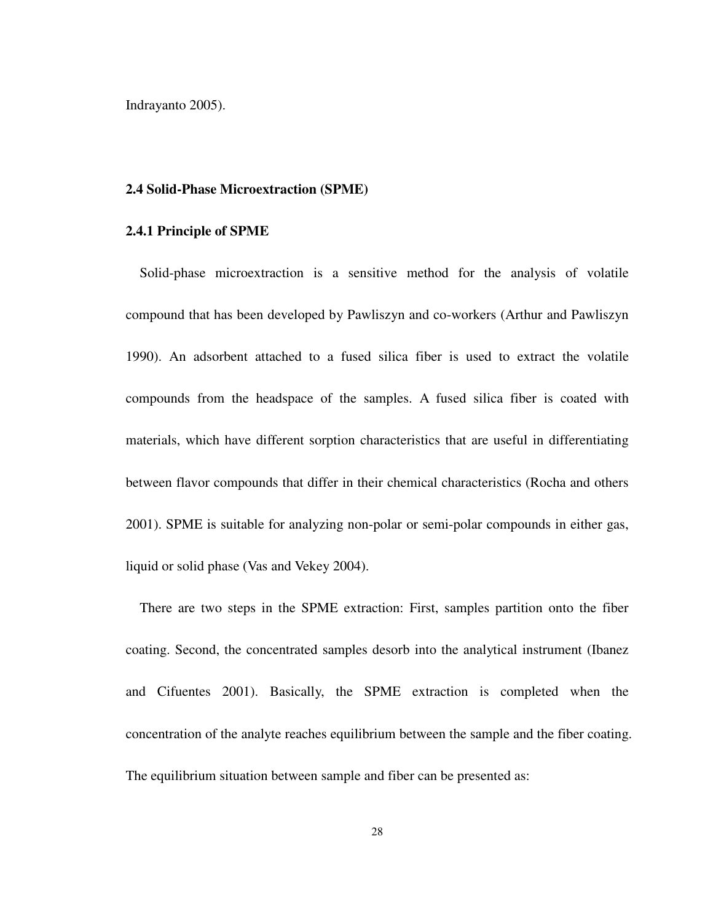Indrayanto 2005).

#### **2.4 Solid-Phase Microextraction (SPME)**

#### **2.4.1 Principle of SPME**

Solid-phase microextraction is a sensitive method for the analysis of volatile compound that has been developed by Pawliszyn and co-workers (Arthur and Pawliszyn 1990). An adsorbent attached to a fused silica fiber is used to extract the volatile compounds from the headspace of the samples. A fused silica fiber is coated with materials, which have different sorption characteristics that are useful in differentiating between flavor compounds that differ in their chemical characteristics (Rocha and others 2001). SPME is suitable for analyzing non-polar or semi-polar compounds in either gas, liquid or solid phase (Vas and Vekey 2004).

There are two steps in the SPME extraction: First, samples partition onto the fiber coating. Second, the concentrated samples desorb into the analytical instrument (Ibanez and Cifuentes 2001). Basically, the SPME extraction is completed when the concentration of the analyte reaches equilibrium between the sample and the fiber coating. The equilibrium situation between sample and fiber can be presented as: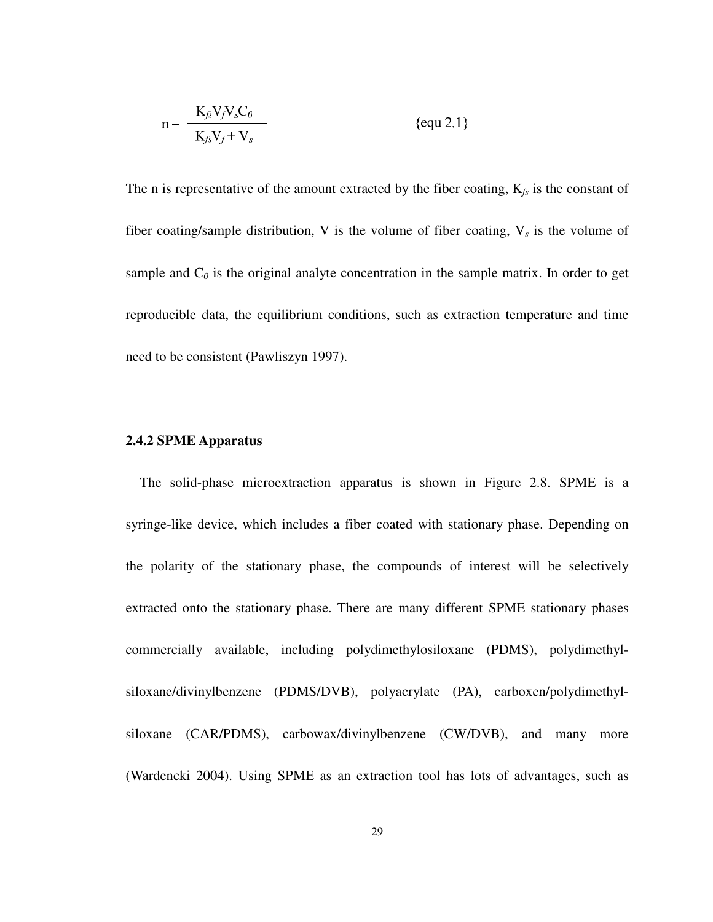$$
n = \frac{K_{fs}V_fV_sC_0}{K_{fs}V_f + V_s}
$$
 {equ 2.1}

The n is representative of the amount extracted by the fiber coating,  $K_{fs}$  is the constant of fiber coating/sample distribution, V is the volume of fiber coating,  $V_s$  is the volume of sample and  $C_0$  is the original analyte concentration in the sample matrix. In order to get reproducible data, the equilibrium conditions, such as extraction temperature and time need to be consistent (Pawliszyn 1997).

### **2.4.2 SPME Apparatus**

The solid-phase microextraction apparatus is shown in Figure 2.8. SPME is a syringe-like device, which includes a fiber coated with stationary phase. Depending on the polarity of the stationary phase, the compounds of interest will be selectively extracted onto the stationary phase. There are many different SPME stationary phases commercially available, including polydimethylosiloxane (PDMS), polydimethylsiloxane/divinylbenzene (PDMS/DVB), polyacrylate (PA), carboxen/polydimethylsiloxane (CAR/PDMS), carbowax/divinylbenzene (CW/DVB), and many more (Wardencki 2004). Using SPME as an extraction tool has lots of advantages, such as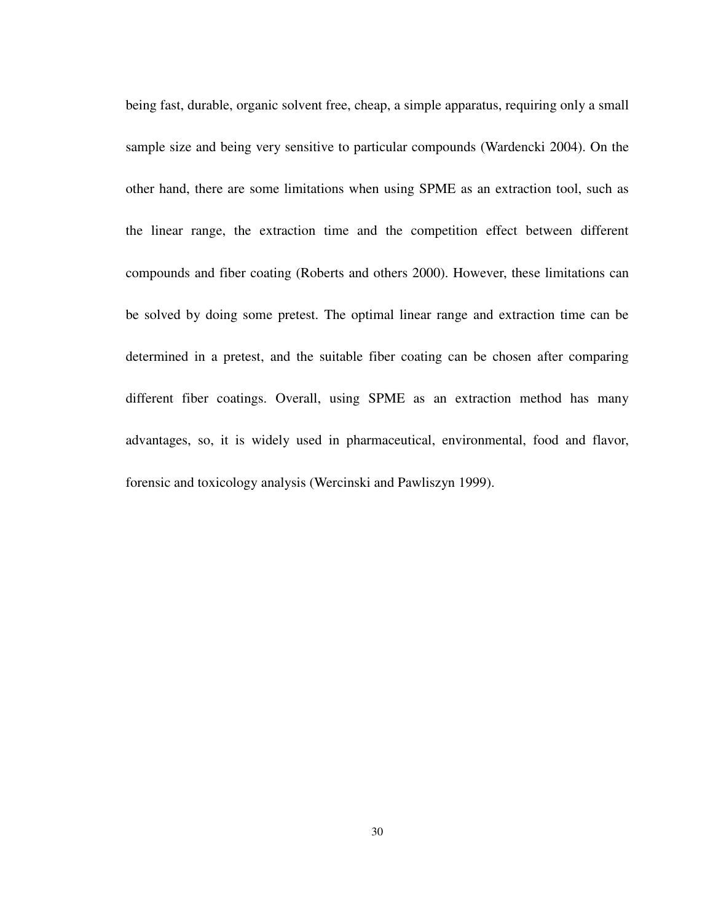being fast, durable, organic solvent free, cheap, a simple apparatus, requiring only a small sample size and being very sensitive to particular compounds (Wardencki 2004). On the other hand, there are some limitations when using SPME as an extraction tool, such as the linear range, the extraction time and the competition effect between different compounds and fiber coating (Roberts and others 2000). However, these limitations can be solved by doing some pretest. The optimal linear range and extraction time can be determined in a pretest, and the suitable fiber coating can be chosen after comparing different fiber coatings. Overall, using SPME as an extraction method has many advantages, so, it is widely used in pharmaceutical, environmental, food and flavor, forensic and toxicology analysis (Wercinski and Pawliszyn 1999).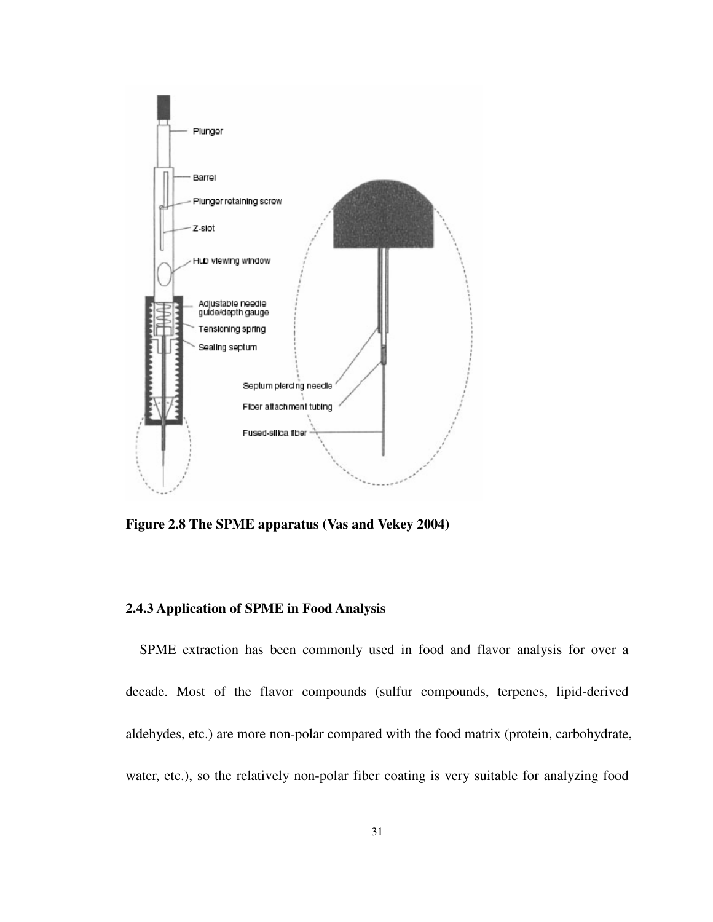

**Figure 2.8 The SPME apparatus (Vas and Vekey 2004)** 

# **2.4.3 Application of SPME in Food Analysis**

SPME extraction has been commonly used in food and flavor analysis for over a decade. Most of the flavor compounds (sulfur compounds, terpenes, lipid-derived aldehydes, etc.) are more non-polar compared with the food matrix (protein, carbohydrate, water, etc.), so the relatively non-polar fiber coating is very suitable for analyzing food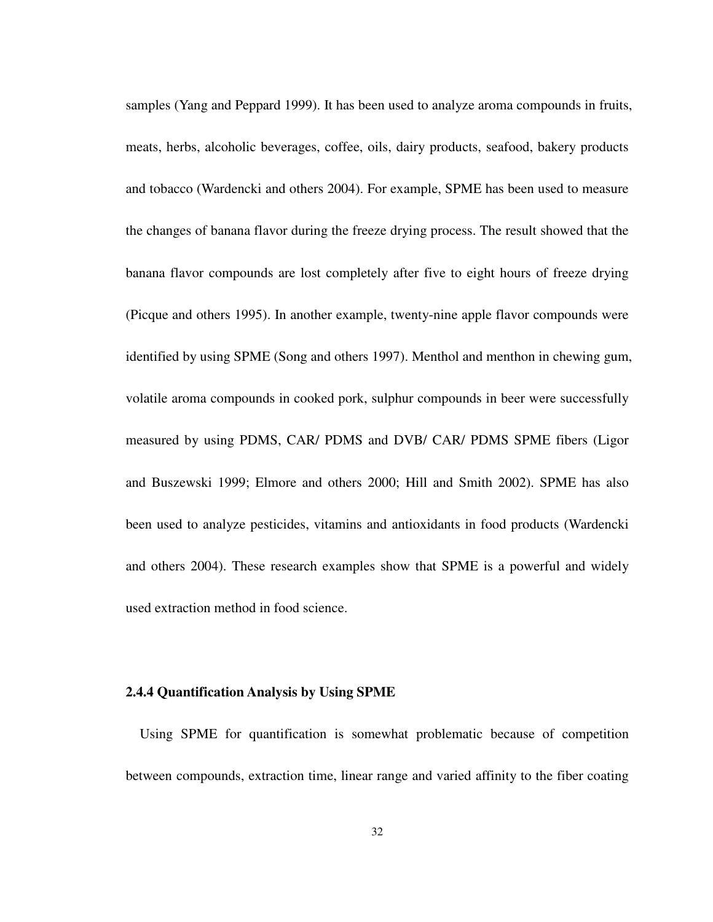samples (Yang and Peppard 1999). It has been used to analyze aroma compounds in fruits, meats, herbs, alcoholic beverages, coffee, oils, dairy products, seafood, bakery products and tobacco (Wardencki and others 2004). For example, SPME has been used to measure the changes of banana flavor during the freeze drying process. The result showed that the banana flavor compounds are lost completely after five to eight hours of freeze drying (Picque and others 1995). In another example, twenty-nine apple flavor compounds were identified by using SPME (Song and others 1997). Menthol and menthon in chewing gum, volatile aroma compounds in cooked pork, sulphur compounds in beer were successfully measured by using PDMS, CAR/ PDMS and DVB/ CAR/ PDMS SPME fibers (Ligor and Buszewski 1999; Elmore and others 2000; Hill and Smith 2002). SPME has also been used to analyze pesticides, vitamins and antioxidants in food products (Wardencki and others 2004). These research examples show that SPME is a powerful and widely used extraction method in food science.

#### **2.4.4 Quantification Analysis by Using SPME**

Using SPME for quantification is somewhat problematic because of competition between compounds, extraction time, linear range and varied affinity to the fiber coating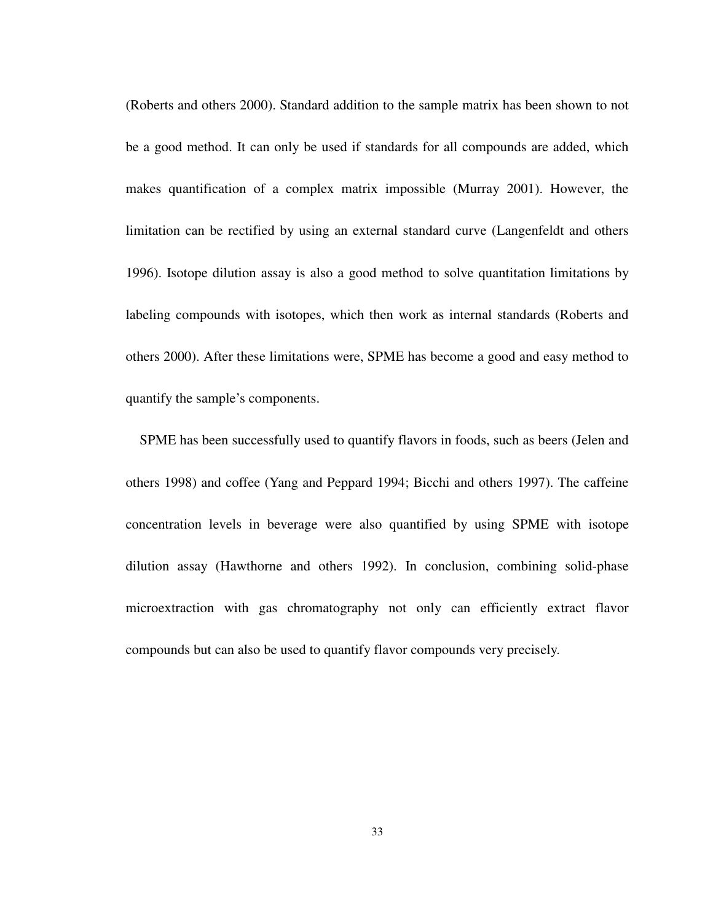(Roberts and others 2000). Standard addition to the sample matrix has been shown to not be a good method. It can only be used if standards for all compounds are added, which makes quantification of a complex matrix impossible (Murray 2001). However, the limitation can be rectified by using an external standard curve (Langenfeldt and others 1996). Isotope dilution assay is also a good method to solve quantitation limitations by labeling compounds with isotopes, which then work as internal standards (Roberts and others 2000). After these limitations were, SPME has become a good and easy method to quantify the sample's components.

SPME has been successfully used to quantify flavors in foods, such as beers (Jelen and others 1998) and coffee (Yang and Peppard 1994; Bicchi and others 1997). The caffeine concentration levels in beverage were also quantified by using SPME with isotope dilution assay (Hawthorne and others 1992). In conclusion, combining solid-phase microextraction with gas chromatography not only can efficiently extract flavor compounds but can also be used to quantify flavor compounds very precisely.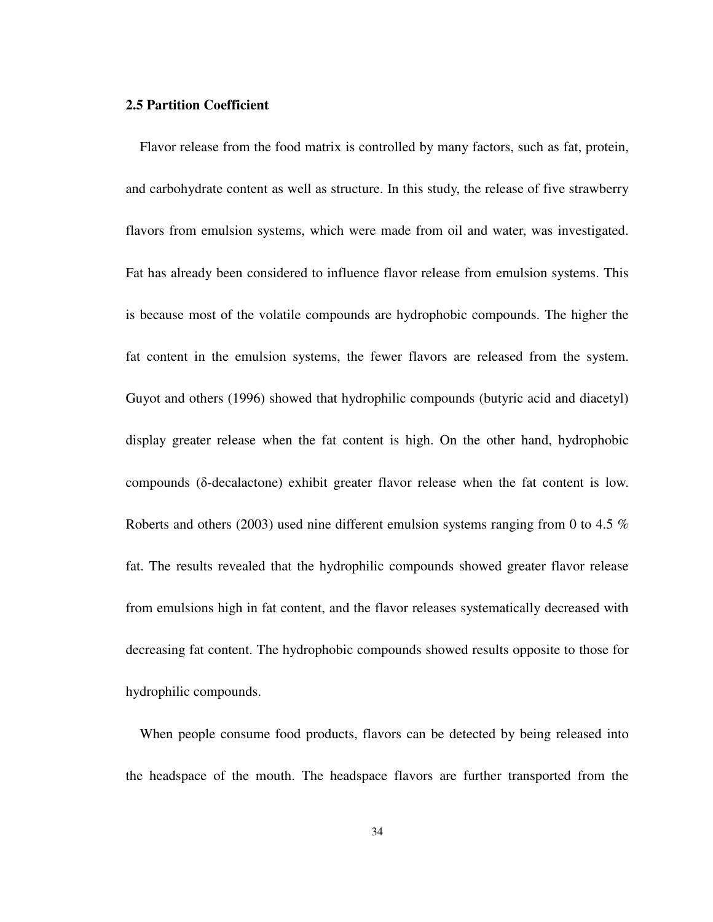## **2.5 Partition Coefficient**

Flavor release from the food matrix is controlled by many factors, such as fat, protein, and carbohydrate content as well as structure. In this study, the release of five strawberry flavors from emulsion systems, which were made from oil and water, was investigated. Fat has already been considered to influence flavor release from emulsion systems. This is because most of the volatile compounds are hydrophobic compounds. The higher the fat content in the emulsion systems, the fewer flavors are released from the system. Guyot and others (1996) showed that hydrophilic compounds (butyric acid and diacetyl) display greater release when the fat content is high. On the other hand, hydrophobic compounds (δ-decalactone) exhibit greater flavor release when the fat content is low. Roberts and others (2003) used nine different emulsion systems ranging from 0 to 4.5 % fat. The results revealed that the hydrophilic compounds showed greater flavor release from emulsions high in fat content, and the flavor releases systematically decreased with decreasing fat content. The hydrophobic compounds showed results opposite to those for hydrophilic compounds.

When people consume food products, flavors can be detected by being released into the headspace of the mouth. The headspace flavors are further transported from the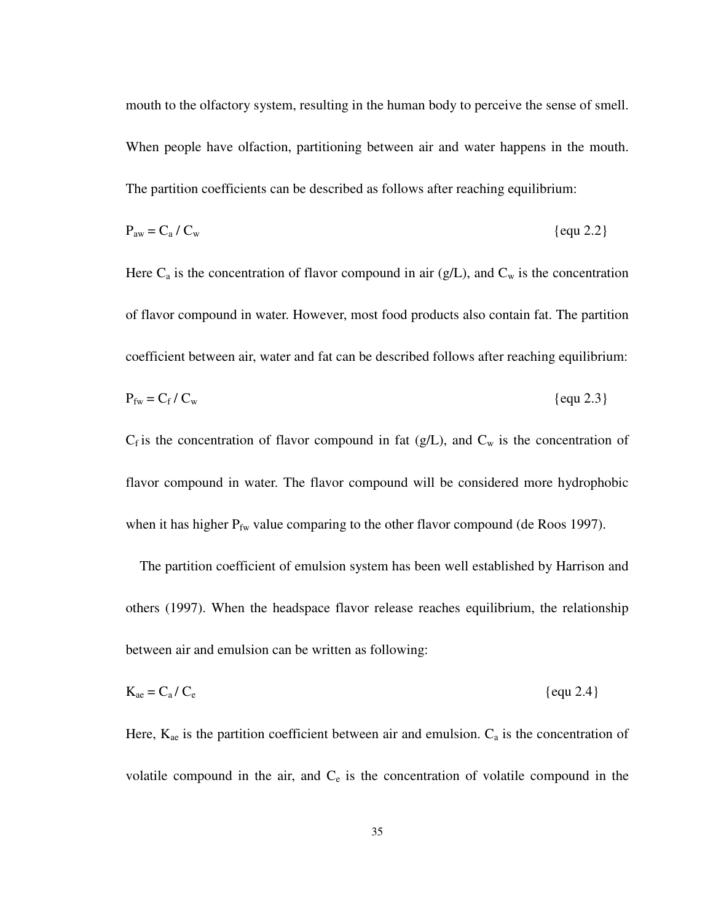mouth to the olfactory system, resulting in the human body to perceive the sense of smell. When people have olfaction, partitioning between air and water happens in the mouth. The partition coefficients can be described as follows after reaching equilibrium:

$$
P_{\text{aw}} = C_a / C_w \qquad \{ \text{equ } 2.2 \}
$$

Here  $C_a$  is the concentration of flavor compound in air (g/L), and  $C_w$  is the concentration of flavor compound in water. However, most food products also contain fat. The partition coefficient between air, water and fat can be described follows after reaching equilibrium:  $P_{fw} = C_f / C$ 

$$
P_{\text{fw}} = C_f / C_w \qquad \{ \text{equ } 2.3 \}
$$

 $C_f$  is the concentration of flavor compound in fat (g/L), and  $C_w$  is the concentration of flavor compound in water. The flavor compound will be considered more hydrophobic when it has higher  $P_{fw}$  value comparing to the other flavor compound (de Roos 1997).

The partition coefficient of emulsion system has been well established by Harrison and others (1997). When the headspace flavor release reaches equilibrium, the relationship between air and emulsion can be written as following:

$$
K_{ae} = C_a / C_e
$$
 {equ 2.4}

Here,  $K_{ae}$  is the partition coefficient between air and emulsion.  $C_a$  is the concentration of volatile compound in the air, and  $C_e$  is the concentration of volatile compound in the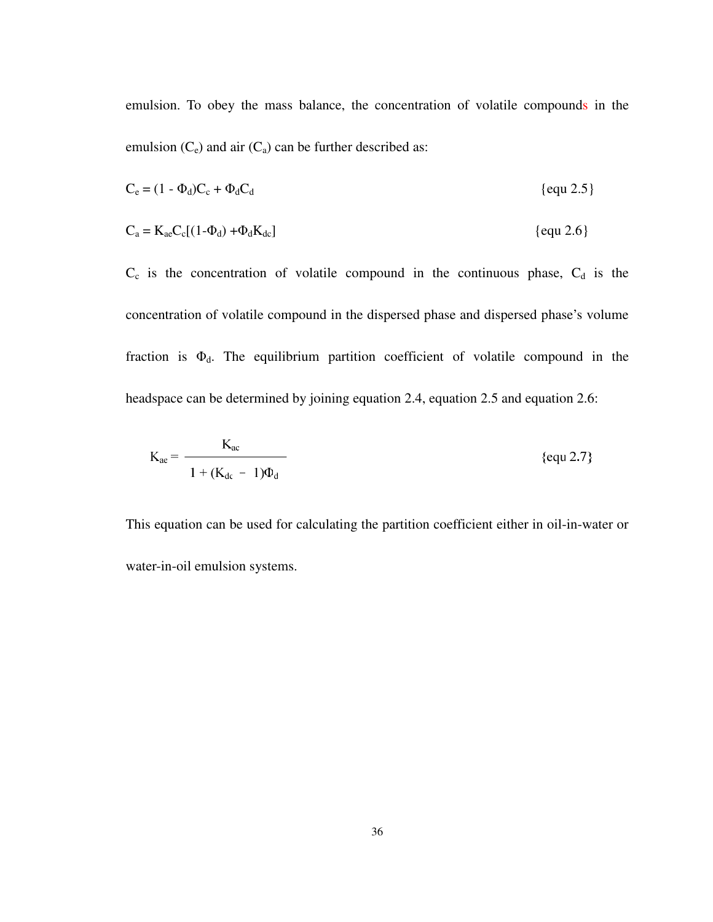emulsion. To obey the mass balance, the concentration of volatile compounds in the emulsion  $(C_e)$  and air  $(C_a)$  can be further described as:

$$
C_e = (1 - \Phi_d)C_c + \Phi_d C_d \qquad \{ \text{equ } 2.5 \}
$$

$$
C_a = K_{ac}C_c[(1-\Phi_d) + \Phi_dK_{dc}]
$$
 {equ 2.6}

 $C_c$  is the concentration of volatile compound in the continuous phase,  $C_d$  is the concentration of volatile compound in the dispersed phase and dispersed phase's volume fraction is  $\Phi_d$ . The equilibrium partition coefficient of volatile compound in the headspace can be determined by joining equation 2.4, equation 2.5 and equation 2.6:

$$
K_{ac} = \frac{K_{ac}}{1 + (K_{dc} - 1)\Phi_d}
$$
 {equ 2.7}

This equation can be used for calculating the partition coefficient either in oil-in-water or water-in-oil emulsion systems.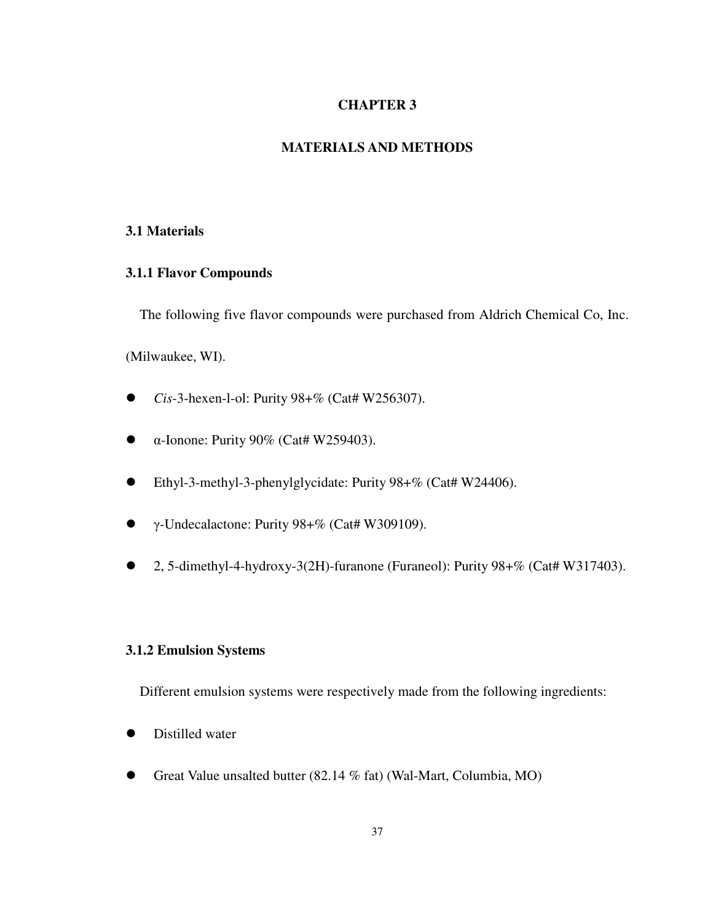# **CHAPTER 3**

# **MATERIALS AND METHODS**

## **3.1 Materials**

# **3.1.1 Flavor Compounds**

The following five flavor compounds were purchased from Aldrich Chemical Co, Inc.

(Milwaukee, WI).

- *Cis*-3-hexen-l-ol: Purity 98+% (Cat# W256307).
- α-Ionone: Purity 90% (Cat# W259403).
- Ethyl-3-methyl-3-phenylglycidate: Purity 98+% (Cat# W24406).
- γ-Undecalactone: Purity 98+% (Cat# W309109).
- 2, 5-dimethyl-4-hydroxy-3(2H)-furanone (Furaneol): Purity 98+% (Cat# W317403).

# **3.1.2 Emulsion Systems**

Different emulsion systems were respectively made from the following ingredients:

- Distilled water
- Great Value unsalted butter (82.14 % fat) (Wal-Mart, Columbia, MO)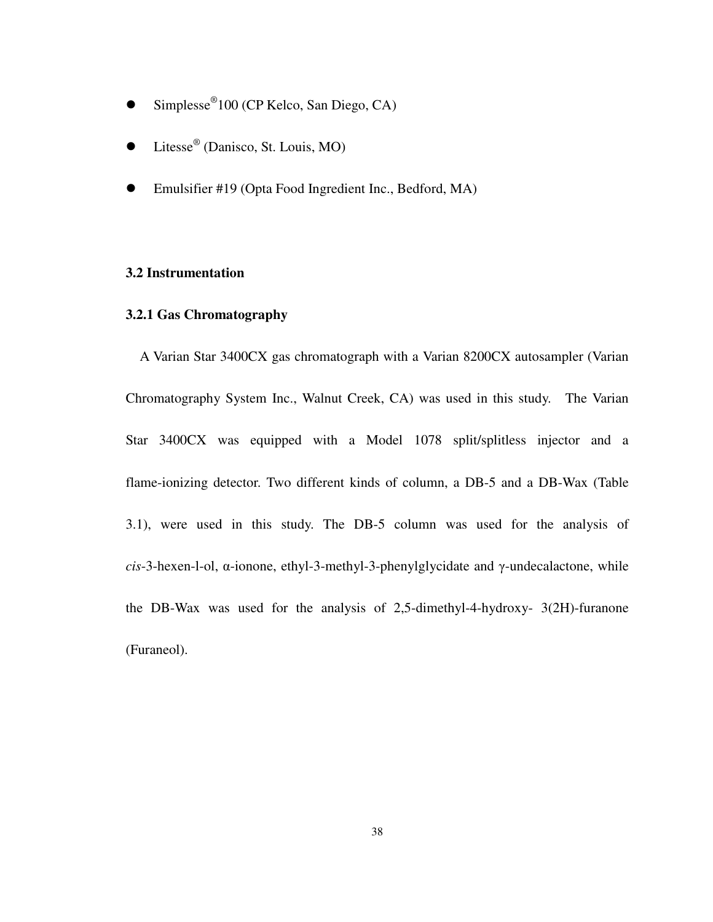- Simplesse<sup>®</sup>100 (CP Kelco, San Diego, CA)
- Litesse<sup>®</sup> (Danisco, St. Louis, MO)
- Emulsifier #19 (Opta Food Ingredient Inc., Bedford, MA)

#### **3.2 Instrumentation**

# **3.2.1 Gas Chromatography**

A Varian Star 3400CX gas chromatograph with a Varian 8200CX autosampler (Varian Chromatography System Inc., Walnut Creek, CA) was used in this study. The Varian Star 3400CX was equipped with a Model 1078 split/splitless injector and a flame-ionizing detector. Two different kinds of column, a DB-5 and a DB-Wax (Table 3.1), were used in this study. The DB-5 column was used for the analysis of *cis*-3-hexen-l-ol, α-ionone, ethyl-3-methyl-3-phenylglycidate and γ-undecalactone, while the DB-Wax was used for the analysis of 2,5-dimethyl-4-hydroxy- 3(2H)-furanone (Furaneol).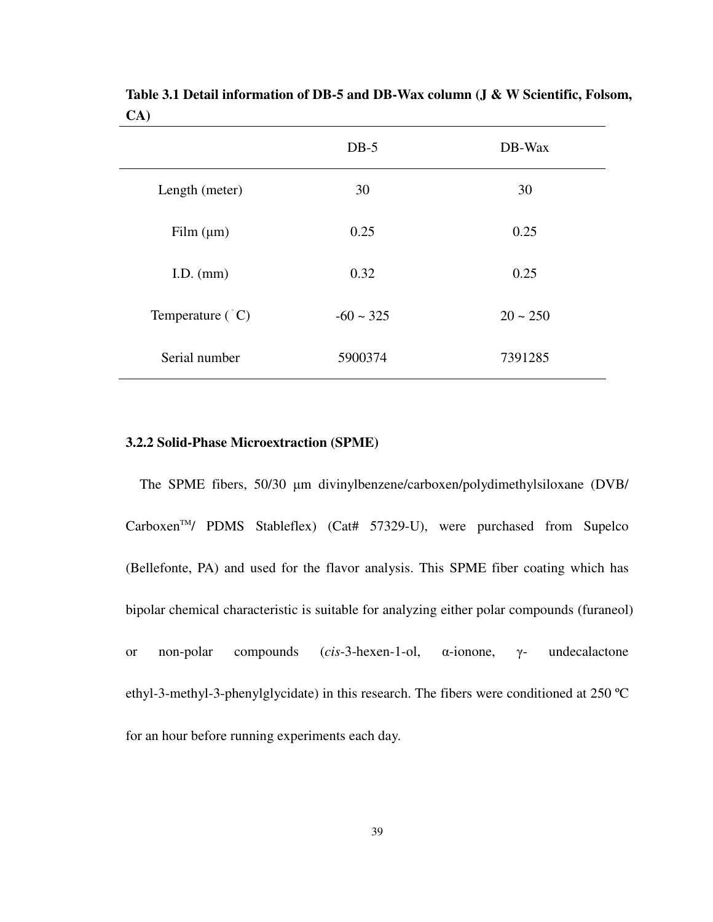|                           | $DB-5$         | DB-Wax     |
|---------------------------|----------------|------------|
| Length (meter)            | 30             | 30         |
| Film $(\mu m)$            | 0.25           | 0.25       |
| I.D. $(mm)$               | 0.32           | 0.25       |
| Temperature $(^{\circ}C)$ | $-60 \sim 325$ | $20 - 250$ |
| Serial number             | 5900374        | 7391285    |

**Table 3.1 Detail information of DB-5 and DB-Wax column (J & W Scientific, Folsom, CA)** 

### **3.2.2 Solid-Phase Microextraction (SPME)**

The SPME fibers, 50/30 µm divinylbenzene/carboxen/polydimethylsiloxane (DVB/ Carboxen<sup>™</sup>/ PDMS Stableflex) (Cat# 57329-U), were purchased from Supelco (Bellefonte, PA) and used for the flavor analysis. This SPME fiber coating which has bipolar chemical characteristic is suitable for analyzing either polar compounds (furaneol) or non-polar compounds (*cis*-3-hexen-1-ol, α-ionone, γ- undecalactone ethyl-3-methyl-3-phenylglycidate) in this research. The fibers were conditioned at 250 ºC for an hour before running experiments each day.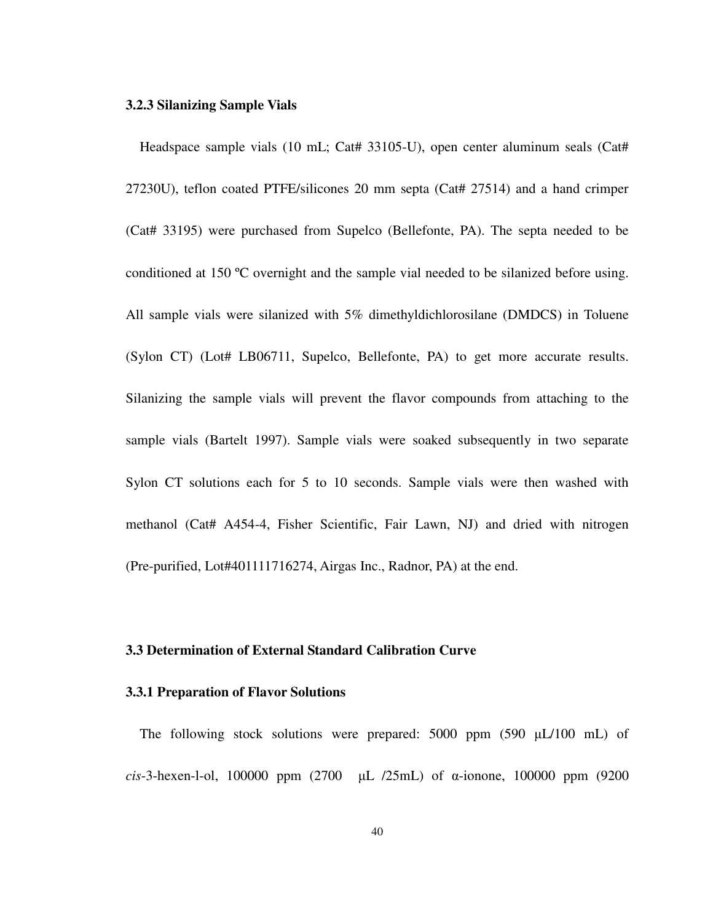#### **3.2.3 Silanizing Sample Vials**

Headspace sample vials (10 mL; Cat# 33105-U), open center aluminum seals (Cat# 27230U), teflon coated PTFE/silicones 20 mm septa (Cat# 27514) and a hand crimper (Cat# 33195) were purchased from Supelco (Bellefonte, PA). The septa needed to be conditioned at 150 ºC overnight and the sample vial needed to be silanized before using. All sample vials were silanized with 5% dimethyldichlorosilane (DMDCS) in Toluene (Sylon CT) (Lot# LB06711, Supelco, Bellefonte, PA) to get more accurate results. Silanizing the sample vials will prevent the flavor compounds from attaching to the sample vials (Bartelt 1997). Sample vials were soaked subsequently in two separate Sylon CT solutions each for 5 to 10 seconds. Sample vials were then washed with methanol (Cat# A454-4, Fisher Scientific, Fair Lawn, NJ) and dried with nitrogen (Pre-purified, Lot#401111716274, Airgas Inc., Radnor, PA) at the end.

# **3.3 Determination of External Standard Calibration Curve**

#### **3.3.1 Preparation of Flavor Solutions**

The following stock solutions were prepared: 5000 ppm (590 µL/100 mL) of *cis*-3-hexen-l-ol, 100000 ppm (2700 µL /25mL) of α-ionone, 100000 ppm (9200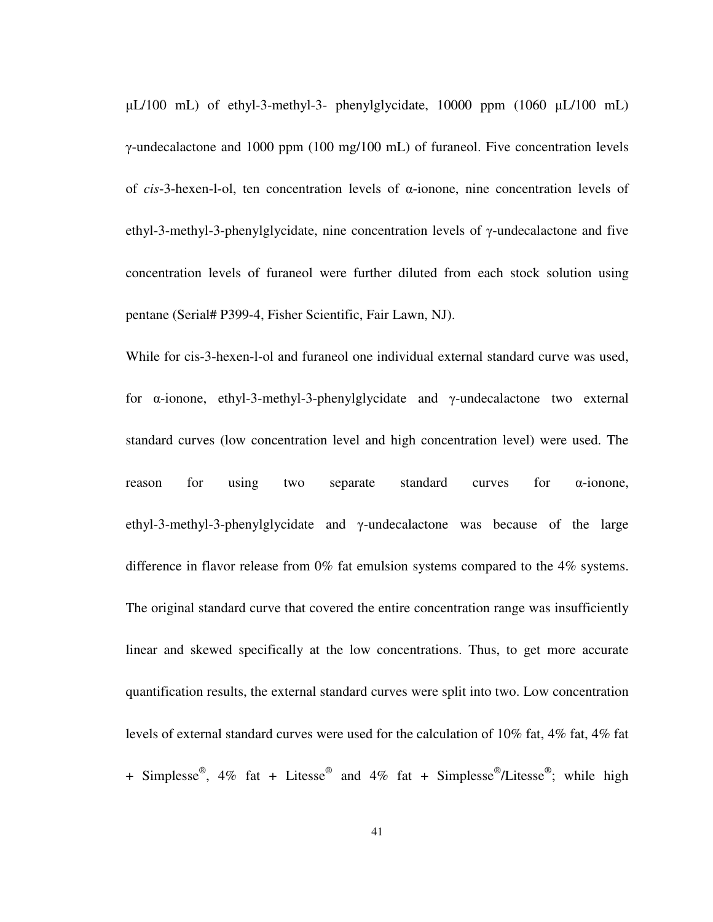µL/100 mL) of ethyl-3-methyl-3- phenylglycidate, 10000 ppm (1060 µL/100 mL) γ-undecalactone and 1000 ppm (100 mg/100 mL) of furaneol. Five concentration levels of *cis*-3-hexen-l-ol, ten concentration levels of α-ionone, nine concentration levels of ethyl-3-methyl-3-phenylglycidate, nine concentration levels of γ-undecalactone and five concentration levels of furaneol were further diluted from each stock solution using pentane (Serial# P399-4, Fisher Scientific, Fair Lawn, NJ).

While for cis-3-hexen-l-ol and furaneol one individual external standard curve was used, for α-ionone, ethyl-3-methyl-3-phenylglycidate and γ-undecalactone two external standard curves (low concentration level and high concentration level) were used. The reason for using two separate standard curves for α-ionone, ethyl-3-methyl-3-phenylglycidate and γ-undecalactone was because of the large difference in flavor release from 0% fat emulsion systems compared to the 4% systems. The original standard curve that covered the entire concentration range was insufficiently linear and skewed specifically at the low concentrations. Thus, to get more accurate quantification results, the external standard curves were split into two. Low concentration levels of external standard curves were used for the calculation of 10% fat, 4% fat, 4% fat + Simplesse<sup>®</sup>, 4% fat + Litesse<sup>®</sup> and 4% fat + Simplesse<sup>®</sup>/Litesse<sup>®</sup>; while high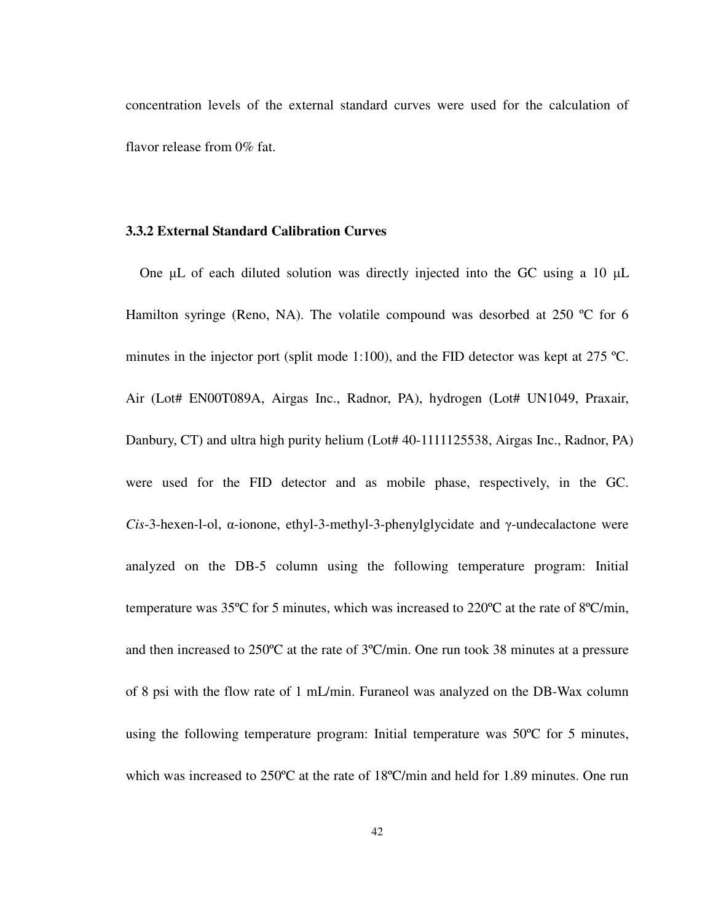concentration levels of the external standard curves were used for the calculation of flavor release from 0% fat.

# **3.3.2 External Standard Calibration Curves**

One  $\mu$ L of each diluted solution was directly injected into the GC using a 10  $\mu$ L Hamilton syringe (Reno, NA). The volatile compound was desorbed at 250 °C for 6 minutes in the injector port (split mode 1:100), and the FID detector was kept at 275 °C. Air (Lot# EN00T089A, Airgas Inc., Radnor, PA), hydrogen (Lot# UN1049, Praxair, Danbury, CT) and ultra high purity helium (Lot# 40-1111125538, Airgas Inc., Radnor, PA) were used for the FID detector and as mobile phase, respectively, in the GC. *Cis*-3-hexen-l-ol, α-ionone, ethyl-3-methyl-3-phenylglycidate and γ-undecalactone were analyzed on the DB-5 column using the following temperature program: Initial temperature was 35ºC for 5 minutes, which was increased to 220ºC at the rate of 8ºC/min, and then increased to 250ºC at the rate of 3ºC/min. One run took 38 minutes at a pressure of 8 psi with the flow rate of 1 mL/min. Furaneol was analyzed on the DB-Wax column using the following temperature program: Initial temperature was 50ºC for 5 minutes, which was increased to 250ºC at the rate of 18ºC/min and held for 1.89 minutes. One run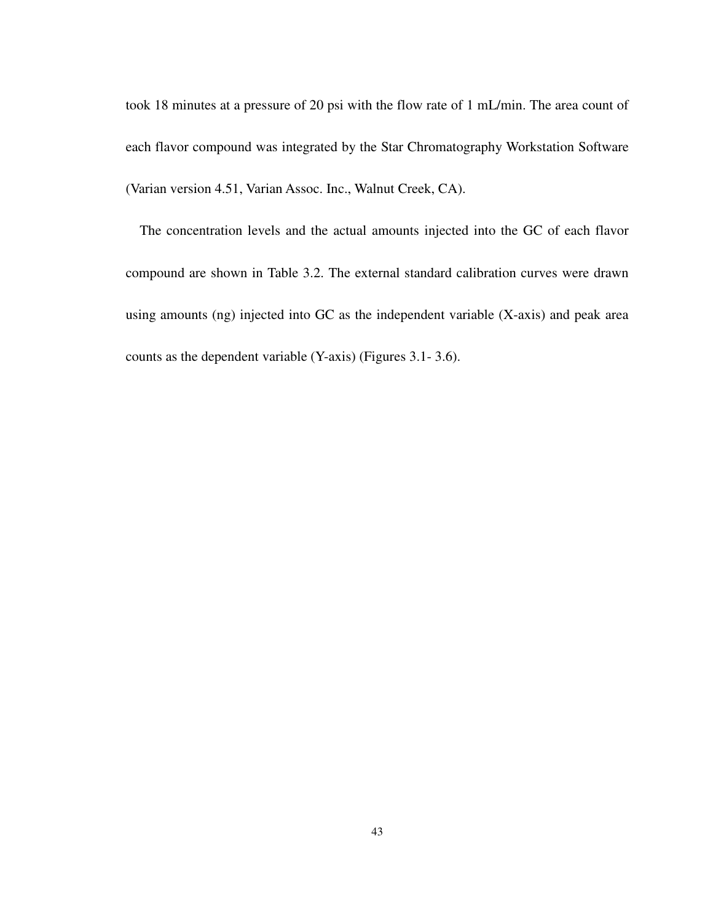took 18 minutes at a pressure of 20 psi with the flow rate of 1 mL/min. The area count of each flavor compound was integrated by the Star Chromatography Workstation Software (Varian version 4.51, Varian Assoc. Inc., Walnut Creek, CA).

The concentration levels and the actual amounts injected into the GC of each flavor compound are shown in Table 3.2. The external standard calibration curves were drawn using amounts (ng) injected into GC as the independent variable (X-axis) and peak area counts as the dependent variable (Y-axis) (Figures 3.1- 3.6).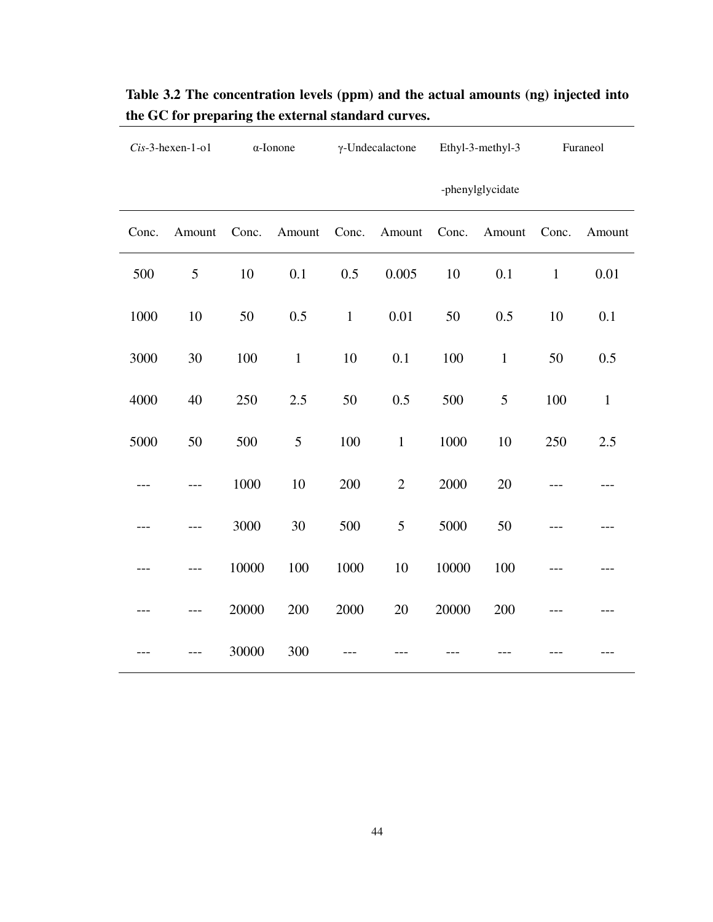|       | $Cis-3$ -hexen-1-o1 |       | $\alpha$ -Ionone |              | $\gamma$ -Undecalactone |       | Ethyl-3-methyl-3 |              | Furaneol     |
|-------|---------------------|-------|------------------|--------------|-------------------------|-------|------------------|--------------|--------------|
|       |                     |       |                  |              |                         |       | -phenylglycidate |              |              |
| Conc. | Amount              | Conc. | Amount           | Conc.        | Amount                  | Conc. | Amount           | Conc.        | Amount       |
| 500   | 5                   | 10    | 0.1              | 0.5          | 0.005                   | 10    | 0.1              | $\mathbf{1}$ | 0.01         |
| 1000  | 10                  | 50    | 0.5              | $\mathbf{1}$ | 0.01                    | 50    | 0.5              | 10           | 0.1          |
| 3000  | 30                  | 100   | $\mathbf{1}$     | 10           | 0.1                     | 100   | $\mathbf{1}$     | 50           | 0.5          |
| 4000  | 40                  | 250   | 2.5              | 50           | 0.5                     | 500   | 5                | 100          | $\mathbf{1}$ |
| 5000  | 50                  | 500   | 5                | 100          | $\mathbf{1}$            | 1000  | 10               | 250          | 2.5          |
| $---$ | $---$               | 1000  | 10               | 200          | $\overline{2}$          | 2000  | 20               | ---          | ---          |
| ---   |                     | 3000  | 30               | 500          | 5                       | 5000  | 50               |              |              |
| ---   |                     | 10000 | 100              | 1000         | 10                      | 10000 | 100              |              |              |
|       |                     | 20000 | 200              | 2000         | 20                      | 20000 | 200              |              |              |
| ---   |                     | 30000 | 300              |              |                         |       |                  |              |              |

**Table 3.2 The concentration levels (ppm) and the actual amounts (ng) injected into the GC for preparing the external standard curves.**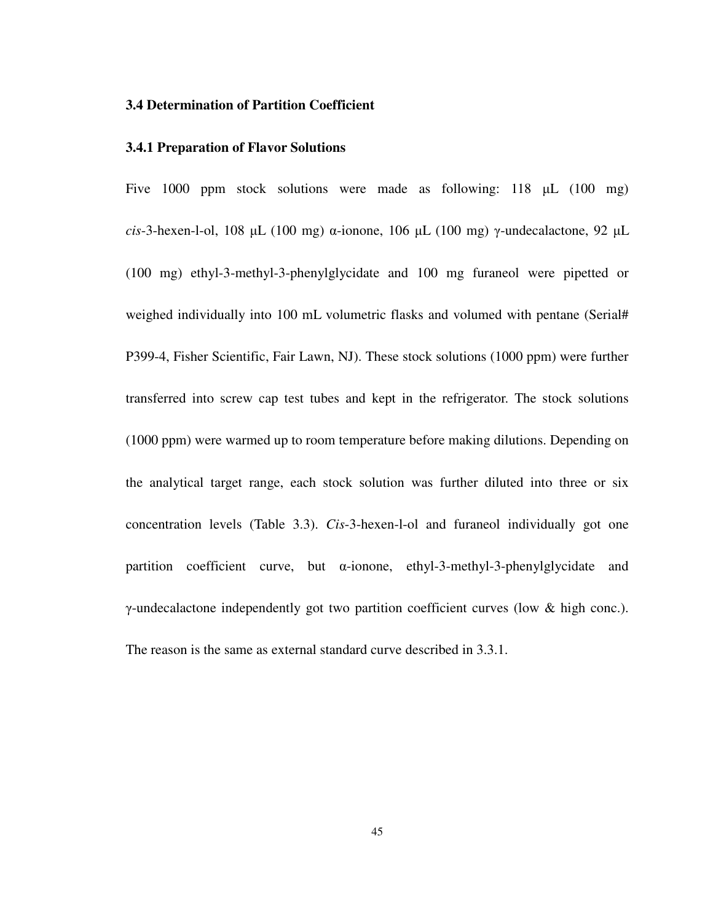## **3.4 Determination of Partition Coefficient**

## **3.4.1 Preparation of Flavor Solutions**

Five 1000 ppm stock solutions were made as following: 118 µL (100 mg) *cis*-3-hexen-l-ol, 108 µL (100 mg) α-ionone, 106 µL (100 mg) γ-undecalactone, 92 µL (100 mg) ethyl-3-methyl-3-phenylglycidate and 100 mg furaneol were pipetted or weighed individually into 100 mL volumetric flasks and volumed with pentane (Serial# P399-4, Fisher Scientific, Fair Lawn, NJ). These stock solutions (1000 ppm) were further transferred into screw cap test tubes and kept in the refrigerator. The stock solutions (1000 ppm) were warmed up to room temperature before making dilutions. Depending on the analytical target range, each stock solution was further diluted into three or six concentration levels (Table 3.3). *Cis*-3-hexen-l-ol and furaneol individually got one partition coefficient curve, but α-ionone, ethyl-3-methyl-3-phenylglycidate and γ-undecalactone independently got two partition coefficient curves (low & high conc.). The reason is the same as external standard curve described in 3.3.1.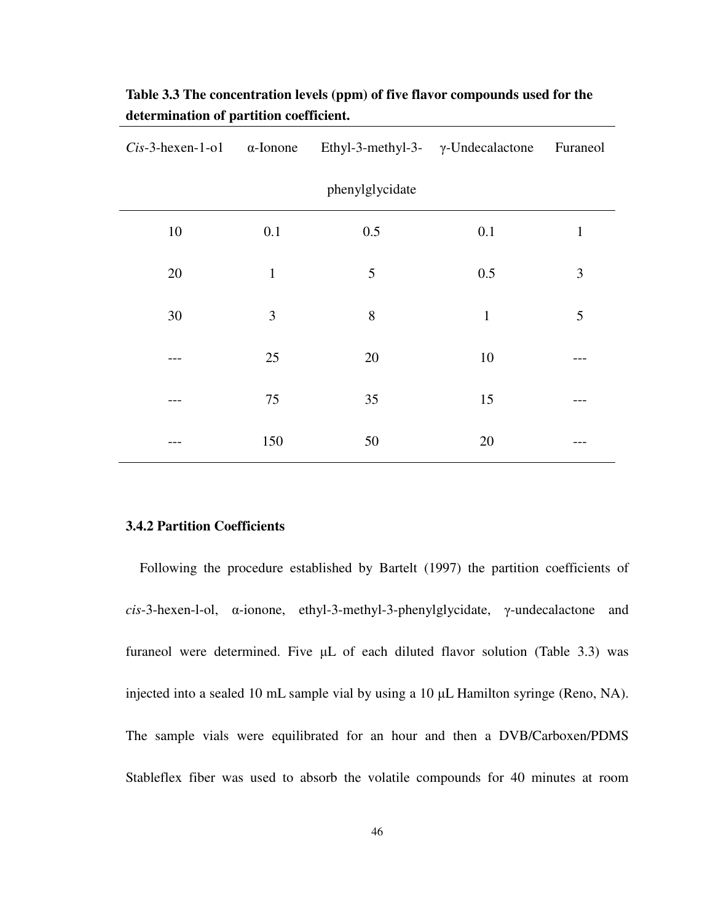|    |              | $Cis-3$ -hexen-1-o1 $\alpha$ -Ionone Ethyl-3-methyl-3- $\gamma$ -Undecalactone Furaneol |              |                |
|----|--------------|-----------------------------------------------------------------------------------------|--------------|----------------|
|    |              | phenylglycidate                                                                         |              |                |
| 10 | 0.1          | 0.5                                                                                     | 0.1          | $\mathbf{1}$   |
| 20 | $\mathbf{1}$ | 5                                                                                       | 0.5          | $\mathfrak{Z}$ |
| 30 | 3            | 8                                                                                       | $\mathbf{1}$ | 5              |
|    | 25           | 20                                                                                      | 10           |                |
|    | 75           | 35                                                                                      | 15           |                |
|    | 150          | 50                                                                                      | 20           |                |

**Table 3.3 The concentration levels (ppm) of five flavor compounds used for the determination of partition coefficient.** 

# **3.4.2 Partition Coefficients**

Following the procedure established by Bartelt (1997) the partition coefficients of *cis*-3-hexen-l-ol, α-ionone, ethyl-3-methyl-3-phenylglycidate, γ-undecalactone and furaneol were determined. Five  $\mu$ L of each diluted flavor solution (Table 3.3) was injected into a sealed 10 mL sample vial by using a 10 µL Hamilton syringe (Reno, NA). The sample vials were equilibrated for an hour and then a DVB/Carboxen/PDMS Stableflex fiber was used to absorb the volatile compounds for 40 minutes at room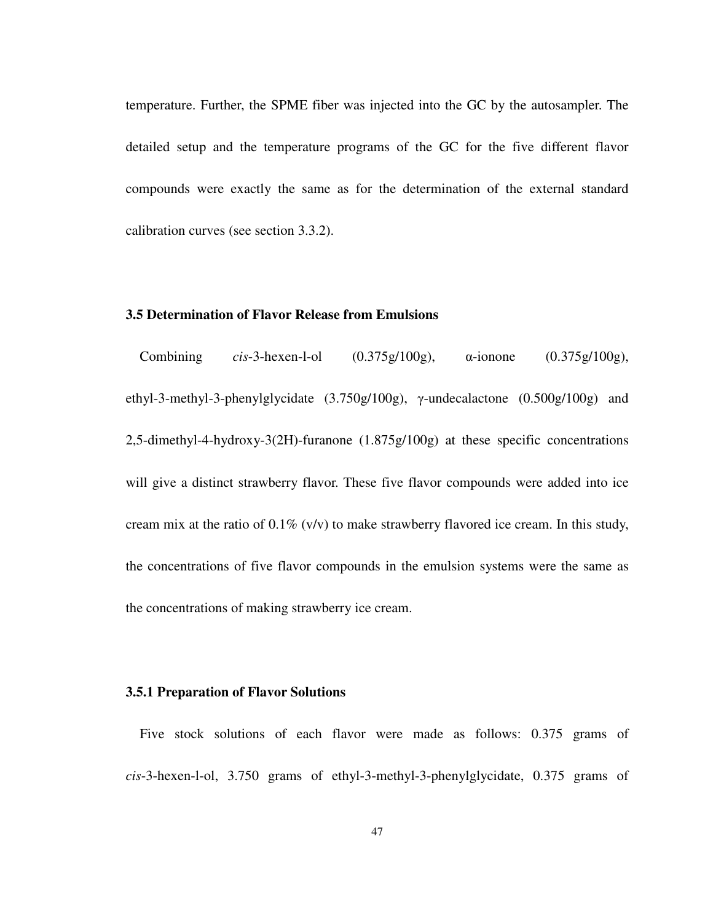temperature. Further, the SPME fiber was injected into the GC by the autosampler. The detailed setup and the temperature programs of the GC for the five different flavor compounds were exactly the same as for the determination of the external standard calibration curves (see section 3.3.2).

# **3.5 Determination of Flavor Release from Emulsions**

Combining *cis*-3-hexen-l-ol (0.375g/100g), α-ionone (0.375g/100g), ethyl-3-methyl-3-phenylglycidate (3.750g/100g), γ-undecalactone (0.500g/100g) and 2,5-dimethyl-4-hydroxy-3(2H)-furanone (1.875g/100g) at these specific concentrations will give a distinct strawberry flavor. These five flavor compounds were added into ice cream mix at the ratio of  $0.1\%$  (v/v) to make strawberry flavored ice cream. In this study, the concentrations of five flavor compounds in the emulsion systems were the same as the concentrations of making strawberry ice cream.

## **3.5.1 Preparation of Flavor Solutions**

Five stock solutions of each flavor were made as follows: 0.375 grams of *cis*-3-hexen-l-ol, 3.750 grams of ethyl-3-methyl-3-phenylglycidate, 0.375 grams of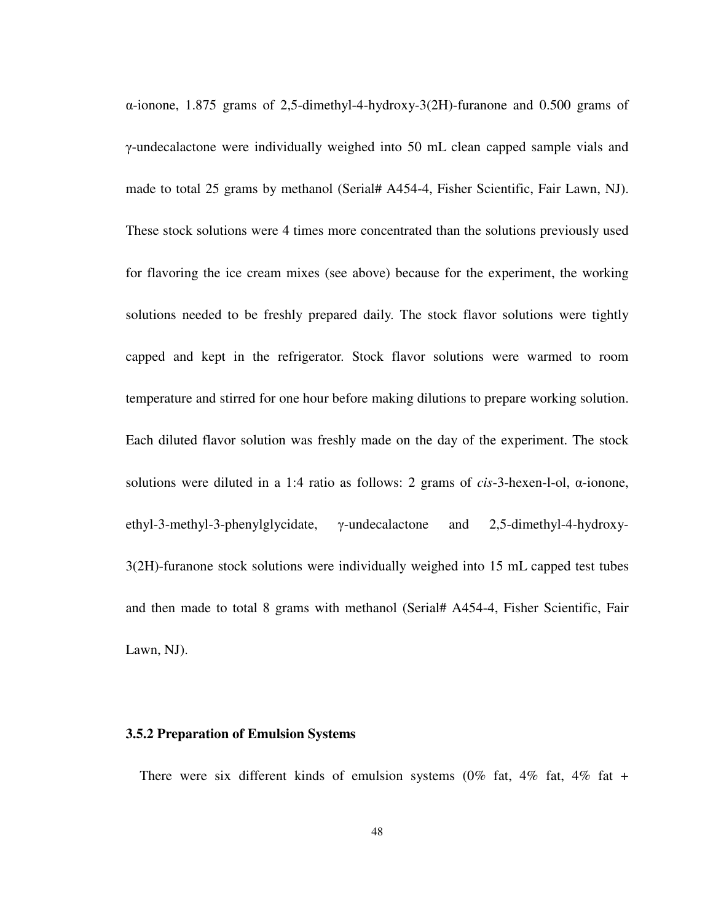α-ionone, 1.875 grams of 2,5-dimethyl-4-hydroxy-3(2H)-furanone and 0.500 grams of γ-undecalactone were individually weighed into 50 mL clean capped sample vials and made to total 25 grams by methanol (Serial# A454-4, Fisher Scientific, Fair Lawn, NJ). These stock solutions were 4 times more concentrated than the solutions previously used for flavoring the ice cream mixes (see above) because for the experiment, the working solutions needed to be freshly prepared daily. The stock flavor solutions were tightly capped and kept in the refrigerator. Stock flavor solutions were warmed to room temperature and stirred for one hour before making dilutions to prepare working solution. Each diluted flavor solution was freshly made on the day of the experiment. The stock solutions were diluted in a 1:4 ratio as follows: 2 grams of *cis*-3-hexen-l-ol, α-ionone, ethyl-3-methyl-3-phenylglycidate, γ-undecalactone and 2,5-dimethyl-4-hydroxy-3(2H)-furanone stock solutions were individually weighed into 15 mL capped test tubes and then made to total 8 grams with methanol (Serial# A454-4, Fisher Scientific, Fair Lawn, NJ).

#### **3.5.2 Preparation of Emulsion Systems**

There were six different kinds of emulsion systems  $(0\%$  fat,  $4\%$  fat,  $4\%$  fat +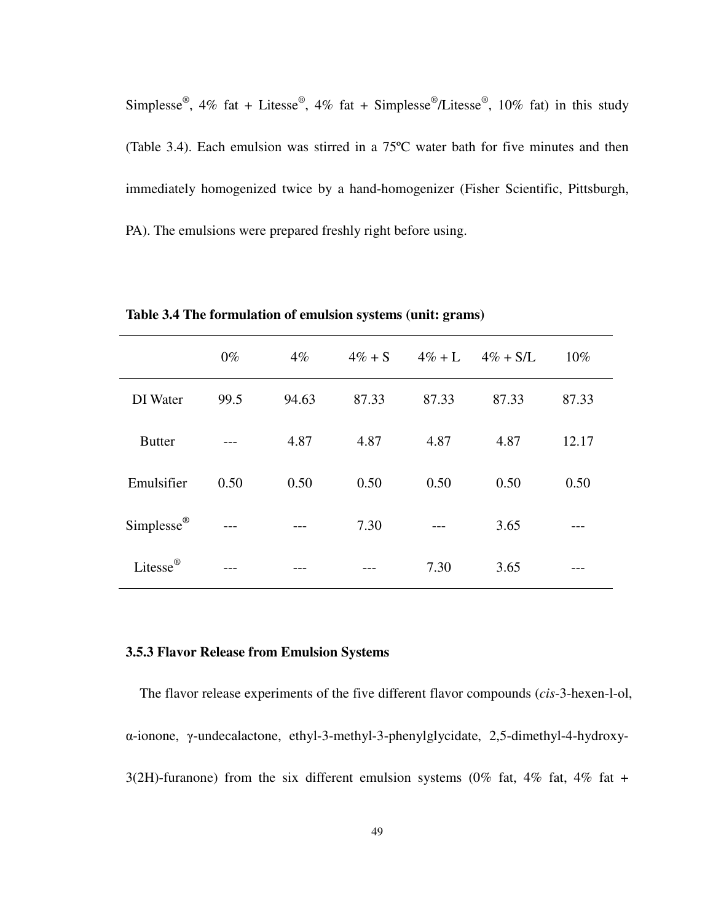Simplesse<sup>®</sup>, 4% fat + Litesse<sup>®</sup>, 4% fat + Simplesse<sup>®</sup>/Litesse<sup>®</sup>, 10% fat) in this study (Table 3.4). Each emulsion was stirred in a 75ºC water bath for five minutes and then immediately homogenized twice by a hand-homogenizer (Fisher Scientific, Pittsburgh, PA). The emulsions were prepared freshly right before using.

|                                | $0\%$ | $4\%$ | $4\% + S$ | $4\% + L$ | $4\% + S/L$ | 10%   |
|--------------------------------|-------|-------|-----------|-----------|-------------|-------|
| DI Water                       | 99.5  | 94.63 | 87.33     | 87.33     | 87.33       | 87.33 |
| <b>Butter</b>                  |       | 4.87  | 4.87      | 4.87      | 4.87        | 12.17 |
| Emulsifier                     | 0.50  | 0.50  | 0.50      | 0.50      | 0.50        | 0.50  |
| $\mathbf{Simplesse}^\circledR$ |       | $---$ | 7.30      | $---$     | 3.65        |       |
| Litesse <sup>®</sup>           |       |       |           | 7.30      | 3.65        |       |

**Table 3.4 The formulation of emulsion systems (unit: grams)** 

#### **3.5.3 Flavor Release from Emulsion Systems**

The flavor release experiments of the five different flavor compounds (*cis*-3-hexen-l-ol, α-ionone, γ-undecalactone, ethyl-3-methyl-3-phenylglycidate, 2,5-dimethyl-4-hydroxy-3(2H)-furanone) from the six different emulsion systems (0% fat, 4% fat, 4% fat +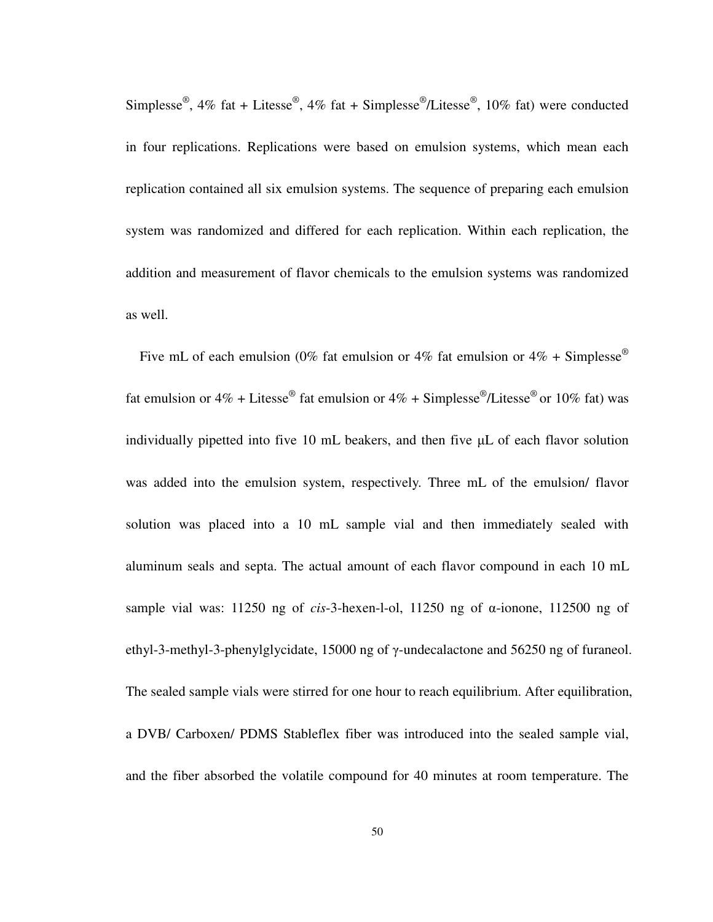Simplesse<sup>®</sup>, 4% fat + Litesse<sup>®</sup>, 4% fat + Simplesse<sup>®</sup>/Litesse<sup>®</sup>, 10% fat) were conducted in four replications. Replications were based on emulsion systems, which mean each replication contained all six emulsion systems. The sequence of preparing each emulsion system was randomized and differed for each replication. Within each replication, the addition and measurement of flavor chemicals to the emulsion systems was randomized as well.

Five mL of each emulsion (0% fat emulsion or 4% fat emulsion or 4% + Simplesse<sup>®</sup> fat emulsion or 4% + Litesse<sup>®</sup> fat emulsion or 4% + Simplesse<sup>®</sup>/Litesse<sup>®</sup> or 10% fat) was individually pipetted into five 10 mL beakers, and then five µL of each flavor solution was added into the emulsion system, respectively. Three mL of the emulsion/ flavor solution was placed into a 10 mL sample vial and then immediately sealed with aluminum seals and septa. The actual amount of each flavor compound in each 10 mL sample vial was: 11250 ng of *cis*-3-hexen-l-ol, 11250 ng of α-ionone, 112500 ng of ethyl-3-methyl-3-phenylglycidate, 15000 ng of γ-undecalactone and 56250 ng of furaneol. The sealed sample vials were stirred for one hour to reach equilibrium. After equilibration, a DVB/ Carboxen/ PDMS Stableflex fiber was introduced into the sealed sample vial, and the fiber absorbed the volatile compound for 40 minutes at room temperature. The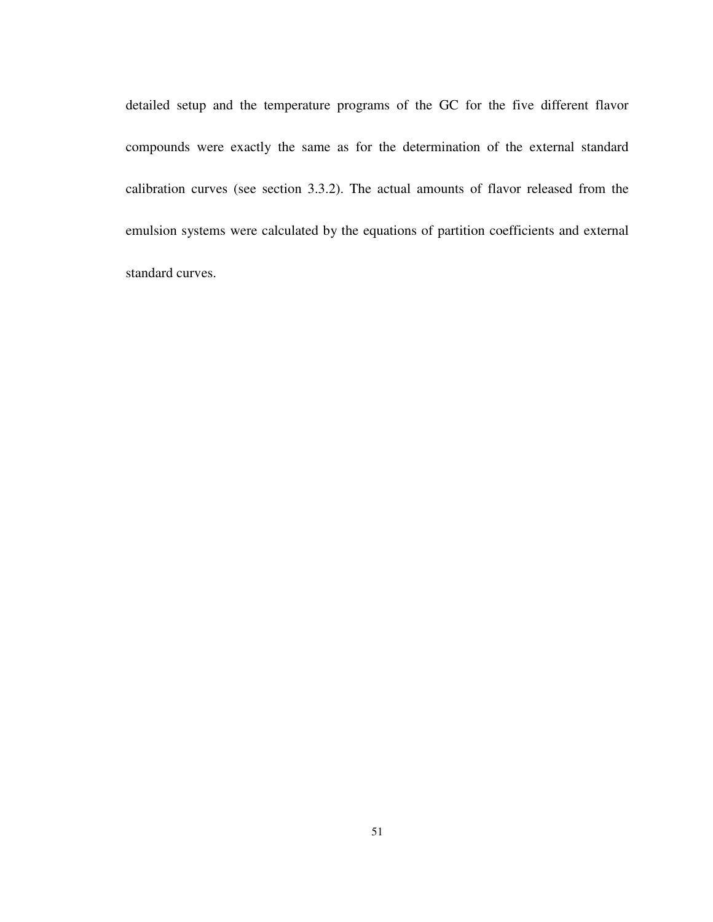detailed setup and the temperature programs of the GC for the five different flavor compounds were exactly the same as for the determination of the external standard calibration curves (see section 3.3.2). The actual amounts of flavor released from the emulsion systems were calculated by the equations of partition coefficients and external standard curves.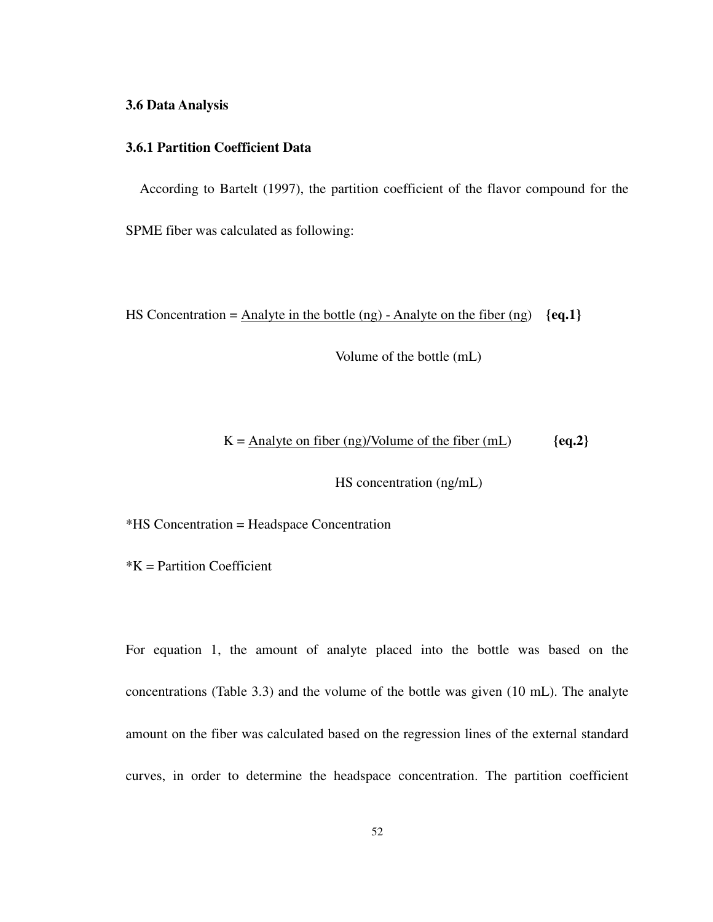#### **3.6 Data Analysis**

## **3.6.1 Partition Coefficient Data**

According to Bartelt (1997), the partition coefficient of the flavor compound for the SPME fiber was calculated as following:

HS Concentration = Analyte in the bottle (ng) - Analyte on the fiber (ng) **{eq.1}**

Volume of the bottle (mL)

### $K = \text{Analyte on fiber (ng)/Volume of the fiber (mL)}$   ${eq.2}$

HS concentration (ng/mL)

\*HS Concentration = Headspace Concentration

 $*K$  = Partition Coefficient

For equation 1, the amount of analyte placed into the bottle was based on the concentrations (Table 3.3) and the volume of the bottle was given (10 mL). The analyte amount on the fiber was calculated based on the regression lines of the external standard curves, in order to determine the headspace concentration. The partition coefficient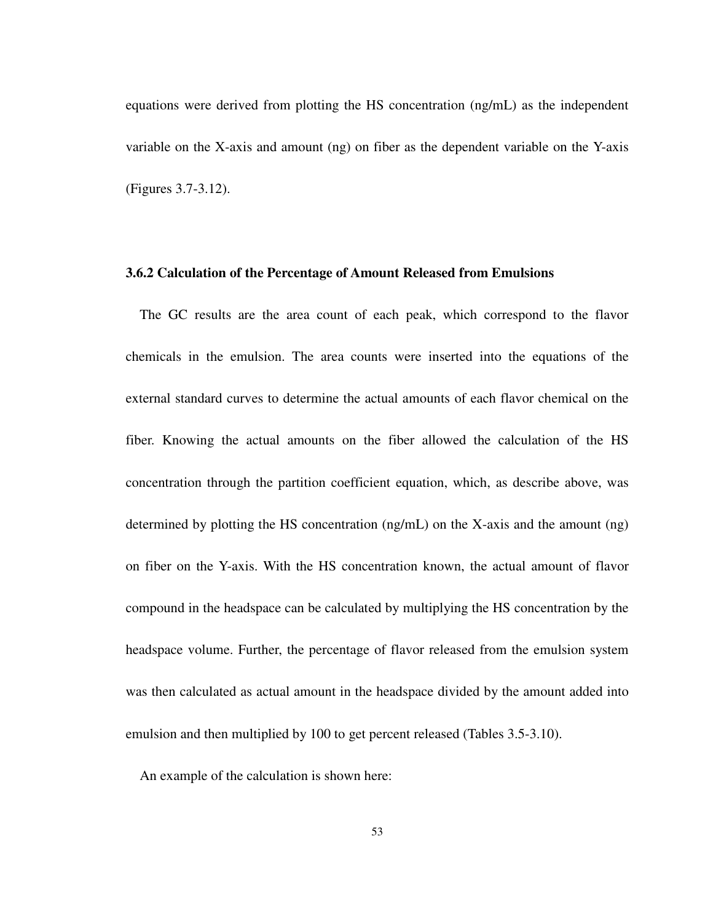equations were derived from plotting the HS concentration (ng/mL) as the independent variable on the X-axis and amount (ng) on fiber as the dependent variable on the Y-axis (Figures 3.7-3.12).

#### **3.6.2 Calculation of the Percentage of Amount Released from Emulsions**

The GC results are the area count of each peak, which correspond to the flavor chemicals in the emulsion. The area counts were inserted into the equations of the external standard curves to determine the actual amounts of each flavor chemical on the fiber. Knowing the actual amounts on the fiber allowed the calculation of the HS concentration through the partition coefficient equation, which, as describe above, was determined by plotting the HS concentration (ng/mL) on the X-axis and the amount (ng) on fiber on the Y-axis. With the HS concentration known, the actual amount of flavor compound in the headspace can be calculated by multiplying the HS concentration by the headspace volume. Further, the percentage of flavor released from the emulsion system was then calculated as actual amount in the headspace divided by the amount added into emulsion and then multiplied by 100 to get percent released (Tables 3.5-3.10).

An example of the calculation is shown here: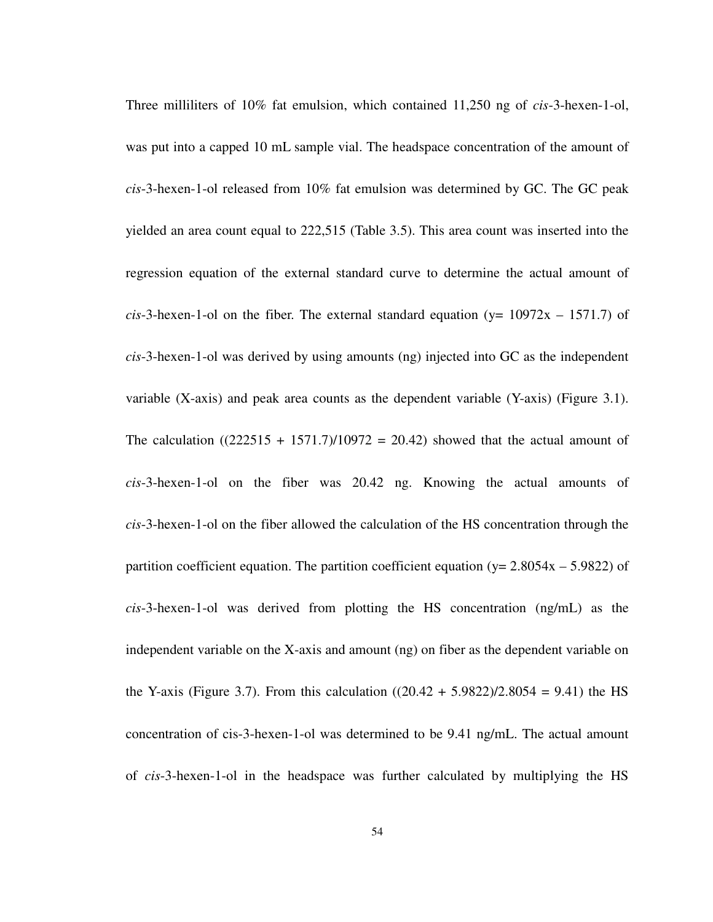Three milliliters of 10% fat emulsion, which contained 11,250 ng of *cis*-3-hexen-1-ol, was put into a capped 10 mL sample vial. The headspace concentration of the amount of *cis*-3-hexen-1-ol released from 10% fat emulsion was determined by GC. The GC peak yielded an area count equal to 222,515 (Table 3.5). This area count was inserted into the regression equation of the external standard curve to determine the actual amount of *cis*-3-hexen-1-ol on the fiber. The external standard equation ( $y = 10972x - 1571.7$ ) of *cis*-3-hexen-1-ol was derived by using amounts (ng) injected into GC as the independent variable (X-axis) and peak area counts as the dependent variable (Y-axis) (Figure 3.1). The calculation  $((222515 + 1571.7)/10972 = 20.42)$  showed that the actual amount of *cis*-3-hexen-1-ol on the fiber was 20.42 ng. Knowing the actual amounts of *cis*-3-hexen-1-ol on the fiber allowed the calculation of the HS concentration through the partition coefficient equation. The partition coefficient equation ( $y = 2.8054x - 5.9822$ ) of *cis*-3-hexen-1-ol was derived from plotting the HS concentration (ng/mL) as the independent variable on the X-axis and amount (ng) on fiber as the dependent variable on the Y-axis (Figure 3.7). From this calculation  $((20.42 + 5.9822)/2.8054 = 9.41)$  the HS concentration of cis-3-hexen-1-ol was determined to be 9.41 ng/mL. The actual amount of *cis*-3-hexen-1-ol in the headspace was further calculated by multiplying the HS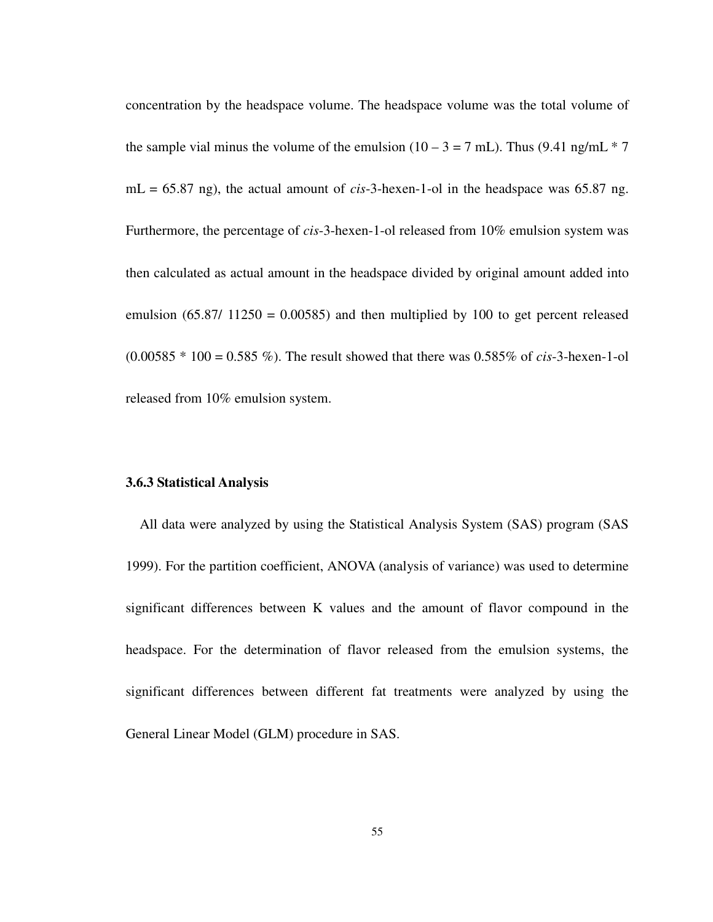concentration by the headspace volume. The headspace volume was the total volume of the sample vial minus the volume of the emulsion  $(10 - 3 = 7$  mL). Thus  $(9.41 \text{ ng/mL} * 7$ mL = 65.87 ng), the actual amount of *cis*-3-hexen-1-ol in the headspace was 65.87 ng. Furthermore, the percentage of *cis*-3-hexen-1-ol released from 10% emulsion system was then calculated as actual amount in the headspace divided by original amount added into emulsion  $(65.87/11250 = 0.00585)$  and then multiplied by 100 to get percent released (0.00585 \* 100 = 0.585 %). The result showed that there was 0.585% of *cis*-3-hexen-1-ol released from 10% emulsion system.

### **3.6.3 Statistical Analysis**

All data were analyzed by using the Statistical Analysis System (SAS) program (SAS 1999). For the partition coefficient, ANOVA (analysis of variance) was used to determine significant differences between K values and the amount of flavor compound in the headspace. For the determination of flavor released from the emulsion systems, the significant differences between different fat treatments were analyzed by using the General Linear Model (GLM) procedure in SAS.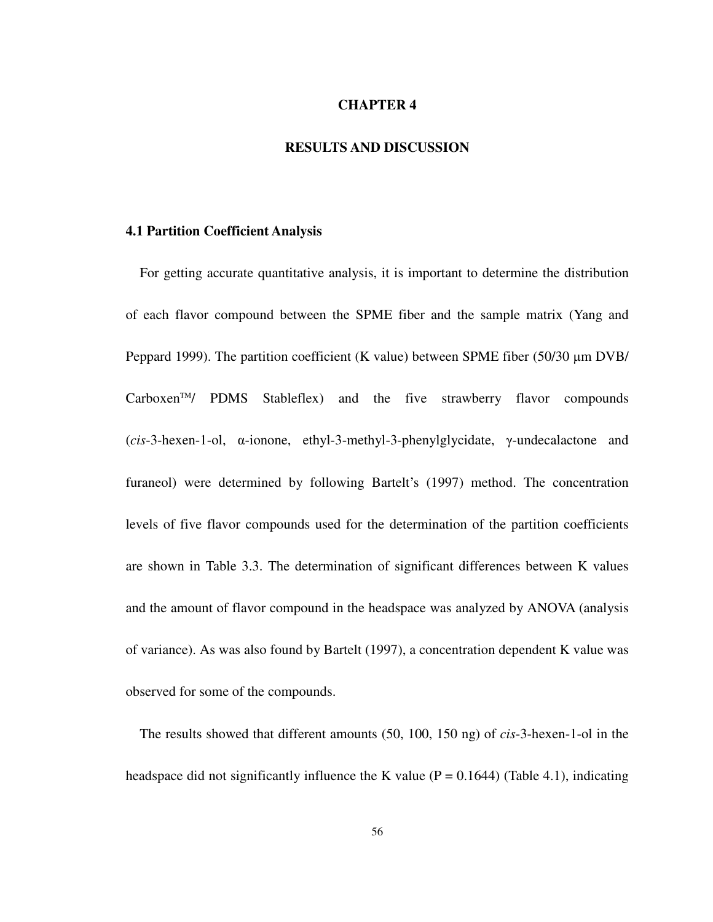### **CHAPTER 4**

# **RESULTS AND DISCUSSION**

### **4.1 Partition Coefficient Analysis**

For getting accurate quantitative analysis, it is important to determine the distribution of each flavor compound between the SPME fiber and the sample matrix (Yang and Peppard 1999). The partition coefficient (K value) between SPME fiber (50/30  $\mu$ m DVB/  $Carboxen<sup>TM</sup>$  PDMS Stableflex) and the five strawberry flavor compounds (*cis*-3-hexen-1-ol, α-ionone, ethyl-3-methyl-3-phenylglycidate, γ-undecalactone and furaneol) were determined by following Bartelt's (1997) method. The concentration levels of five flavor compounds used for the determination of the partition coefficients are shown in Table 3.3. The determination of significant differences between K values and the amount of flavor compound in the headspace was analyzed by ANOVA (analysis of variance). As was also found by Bartelt (1997), a concentration dependent K value was observed for some of the compounds.

The results showed that different amounts (50, 100, 150 ng) of *cis*-3-hexen-1-ol in the headspace did not significantly influence the K value ( $P = 0.1644$ ) (Table 4.1), indicating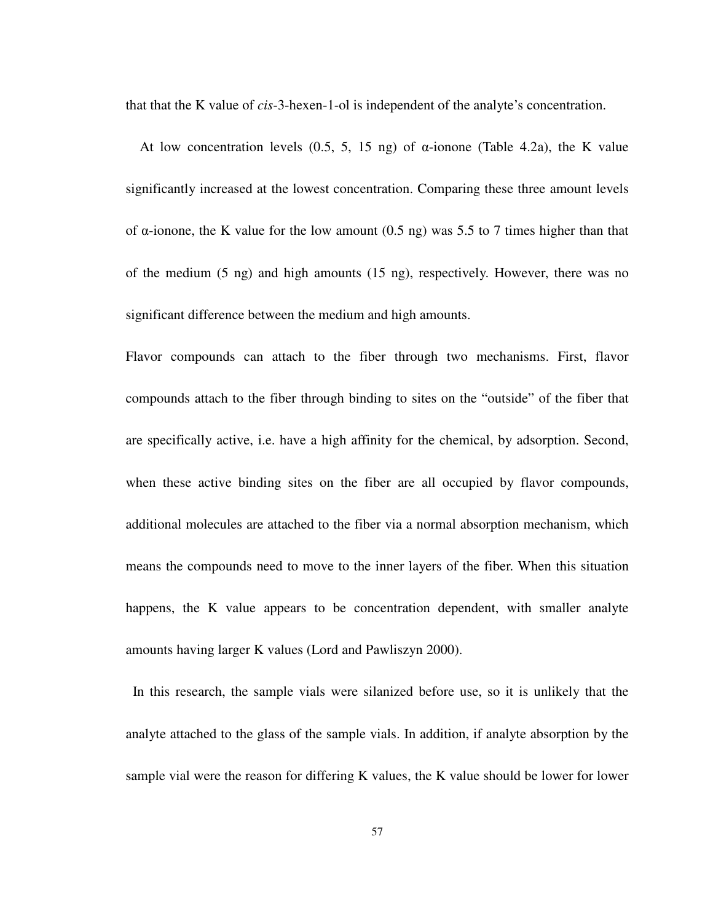that that the K value of *cis*-3-hexen-1-ol is independent of the analyte's concentration.

At low concentration levels  $(0.5, 5, 15 \text{ ng})$  of  $\alpha$ -ionone (Table 4.2a), the K value significantly increased at the lowest concentration. Comparing these three amount levels of α-ionone, the K value for the low amount (0.5 ng) was 5.5 to 7 times higher than that of the medium (5 ng) and high amounts (15 ng), respectively. However, there was no significant difference between the medium and high amounts.

Flavor compounds can attach to the fiber through two mechanisms. First, flavor compounds attach to the fiber through binding to sites on the "outside" of the fiber that are specifically active, i.e. have a high affinity for the chemical, by adsorption. Second, when these active binding sites on the fiber are all occupied by flavor compounds, additional molecules are attached to the fiber via a normal absorption mechanism, which means the compounds need to move to the inner layers of the fiber. When this situation happens, the K value appears to be concentration dependent, with smaller analyte amounts having larger K values (Lord and Pawliszyn 2000).

 In this research, the sample vials were silanized before use, so it is unlikely that the analyte attached to the glass of the sample vials. In addition, if analyte absorption by the sample vial were the reason for differing K values, the K value should be lower for lower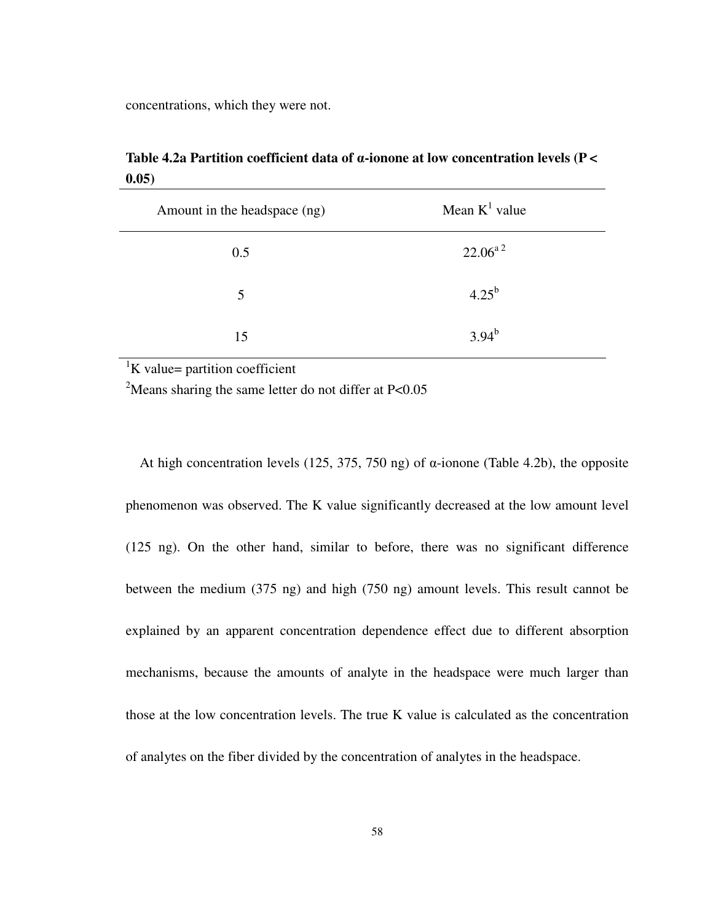concentrations, which they were not.

**Table 4.2a Partition coefficient data of** α**-ionone at low concentration levels (P < 0.05)** 

| Amount in the headspace (ng) | Mean $K^1$ value         |
|------------------------------|--------------------------|
| 0.5                          | $22.06^{a}$ <sup>2</sup> |
| 5                            | $4.25^{b}$               |
| 15                           | $3.94^{b}$               |

 ${}^{1}$ K value= partition coefficient

<sup>2</sup>Means sharing the same letter do not differ at  $P<0.05$ 

At high concentration levels (125, 375, 750 ng) of α-ionone (Table 4.2b), the opposite phenomenon was observed. The K value significantly decreased at the low amount level (125 ng). On the other hand, similar to before, there was no significant difference between the medium (375 ng) and high (750 ng) amount levels. This result cannot be explained by an apparent concentration dependence effect due to different absorption mechanisms, because the amounts of analyte in the headspace were much larger than those at the low concentration levels. The true K value is calculated as the concentration of analytes on the fiber divided by the concentration of analytes in the headspace.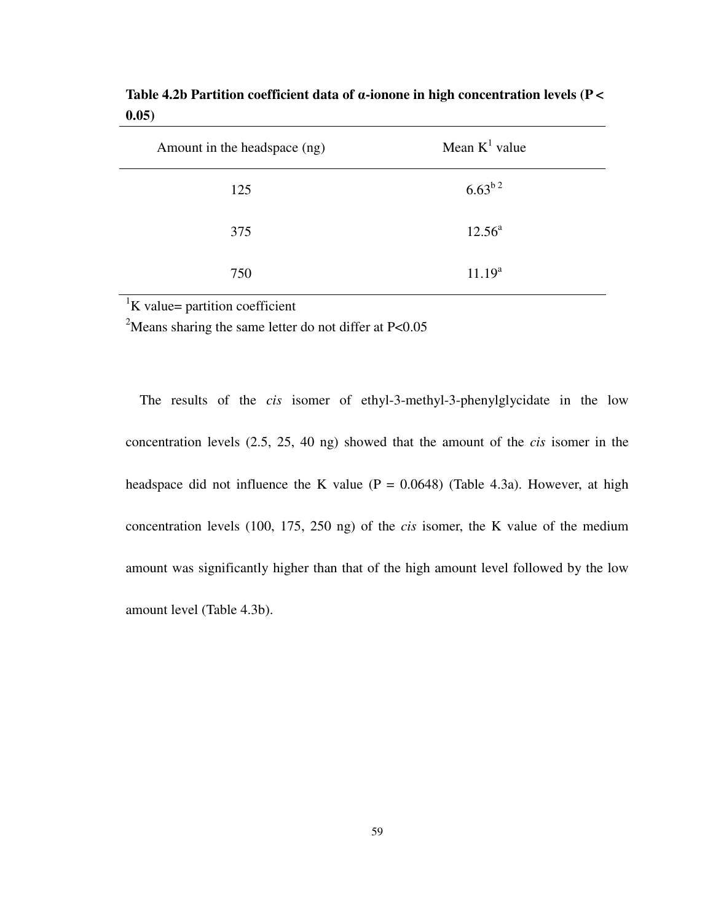| Amount in the headspace (ng) | Mean $K^1$ value   |
|------------------------------|--------------------|
| 125                          | $6.63^{b.2}$       |
| 375                          | $12.56^{\circ}$    |
| 750                          | 11.19 <sup>a</sup> |

**Table 4.2b Partition coefficient data of** α**-ionone in high concentration levels (P < 0.05)** 

 ${}^{1}$ K value= partition coefficient

<sup>2</sup>Means sharing the same letter do not differ at  $P<0.05$ 

The results of the *cis* isomer of ethyl-3-methyl-3-phenylglycidate in the low concentration levels (2.5, 25, 40 ng) showed that the amount of the *cis* isomer in the headspace did not influence the K value ( $P = 0.0648$ ) (Table 4.3a). However, at high concentration levels (100, 175, 250 ng) of the *cis* isomer, the K value of the medium amount was significantly higher than that of the high amount level followed by the low amount level (Table 4.3b).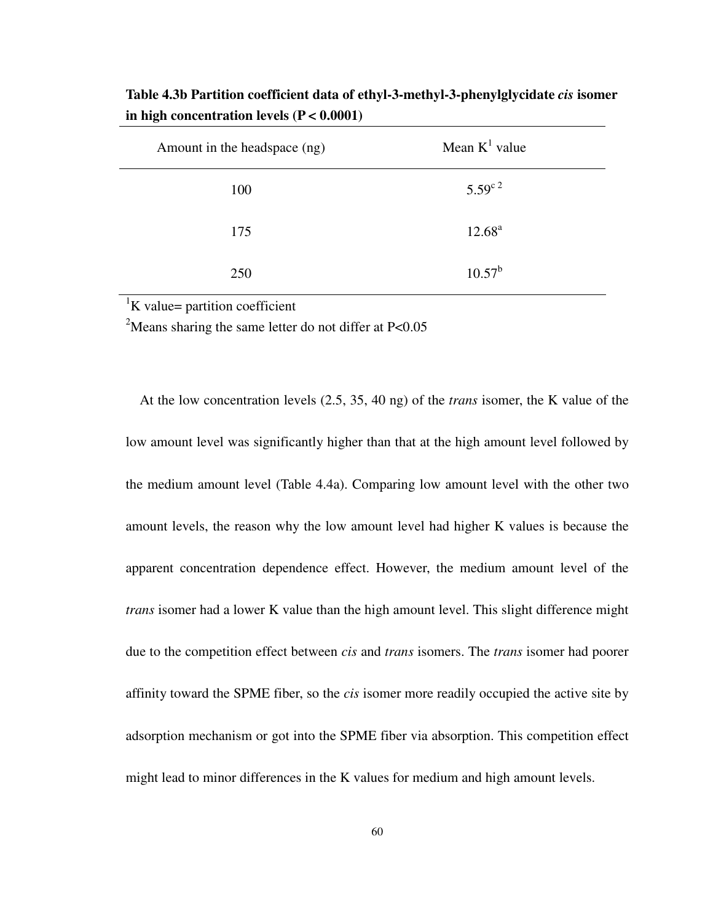| Amount in the headspace (ng) | Mean $K^1$ value        |
|------------------------------|-------------------------|
| 100                          | $5.59^{c}$ <sup>2</sup> |
| 175                          | $12.68^{\rm a}$         |
| 250                          | $10.57^{\rm b}$         |

**Table 4.3b Partition coefficient data of ethyl-3-methyl-3-phenylglycidate** *cis* **isomer in high concentration levels (P < 0.0001)** 

 ${}^{1}$ K value= partition coefficient

<sup>2</sup>Means sharing the same letter do not differ at  $P<0.05$ 

At the low concentration levels (2.5, 35, 40 ng) of the *trans* isomer, the K value of the low amount level was significantly higher than that at the high amount level followed by the medium amount level (Table 4.4a). Comparing low amount level with the other two amount levels, the reason why the low amount level had higher K values is because the apparent concentration dependence effect. However, the medium amount level of the *trans* isomer had a lower K value than the high amount level. This slight difference might due to the competition effect between *cis* and *trans* isomers. The *trans* isomer had poorer affinity toward the SPME fiber, so the *cis* isomer more readily occupied the active site by adsorption mechanism or got into the SPME fiber via absorption. This competition effect might lead to minor differences in the K values for medium and high amount levels.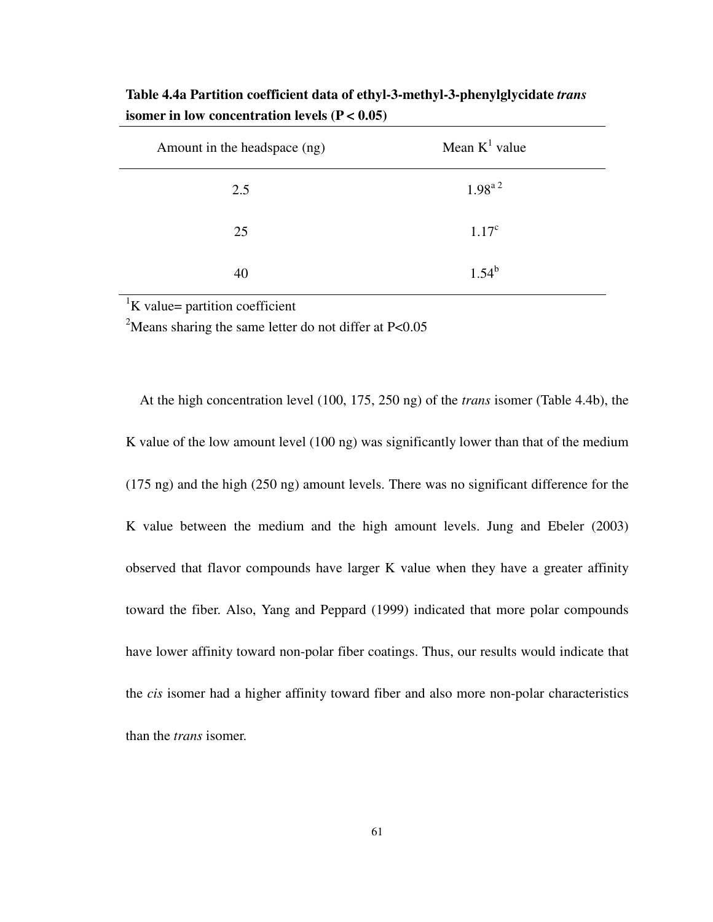| Amount in the headspace (ng) | Mean $K^1$ value        |
|------------------------------|-------------------------|
| 2.5                          | $1.98^{a}$ <sup>2</sup> |
| 25                           | $1.17^c$                |
| 40                           | $1.54^{b}$              |

**Table 4.4a Partition coefficient data of ethyl-3-methyl-3-phenylglycidate** *trans* **isomer in low concentration levels (P < 0.05)** 

 ${}^{1}$ K value= partition coefficient

<sup>2</sup>Means sharing the same letter do not differ at  $P<0.05$ 

At the high concentration level (100, 175, 250 ng) of the *trans* isomer (Table 4.4b), the K value of the low amount level (100 ng) was significantly lower than that of the medium (175 ng) and the high (250 ng) amount levels. There was no significant difference for the K value between the medium and the high amount levels. Jung and Ebeler (2003) observed that flavor compounds have larger K value when they have a greater affinity toward the fiber. Also, Yang and Peppard (1999) indicated that more polar compounds have lower affinity toward non-polar fiber coatings. Thus, our results would indicate that the *cis* isomer had a higher affinity toward fiber and also more non-polar characteristics than the *trans* isomer.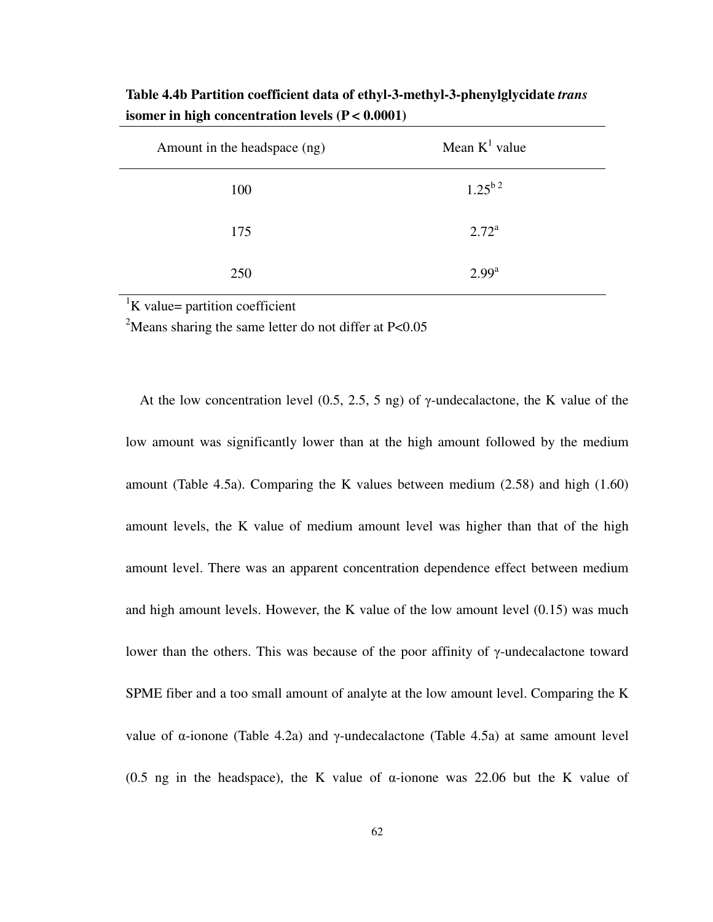| Amount in the headspace (ng) | Mean $K^1$ value        |
|------------------------------|-------------------------|
| 100                          | $1.25^{b}$ <sup>2</sup> |
| 175                          | $2.72^{\rm a}$          |
| 250                          | $2.99^{\rm a}$          |

**Table 4.4b Partition coefficient data of ethyl-3-methyl-3-phenylglycidate** *trans* **isomer in high concentration levels (P < 0.0001)** 

 ${}^{1}$ K value= partition coefficient

<sup>2</sup>Means sharing the same letter do not differ at  $P<0.05$ 

At the low concentration level  $(0.5, 2.5, 5$  ng) of γ-undecalactone, the K value of the low amount was significantly lower than at the high amount followed by the medium amount (Table 4.5a). Comparing the K values between medium (2.58) and high (1.60) amount levels, the K value of medium amount level was higher than that of the high amount level. There was an apparent concentration dependence effect between medium and high amount levels. However, the K value of the low amount level (0.15) was much lower than the others. This was because of the poor affinity of γ-undecalactone toward SPME fiber and a too small amount of analyte at the low amount level. Comparing the K value of α-ionone (Table 4.2a) and γ-undecalactone (Table 4.5a) at same amount level (0.5 ng in the headspace), the K value of  $\alpha$ -ionone was 22.06 but the K value of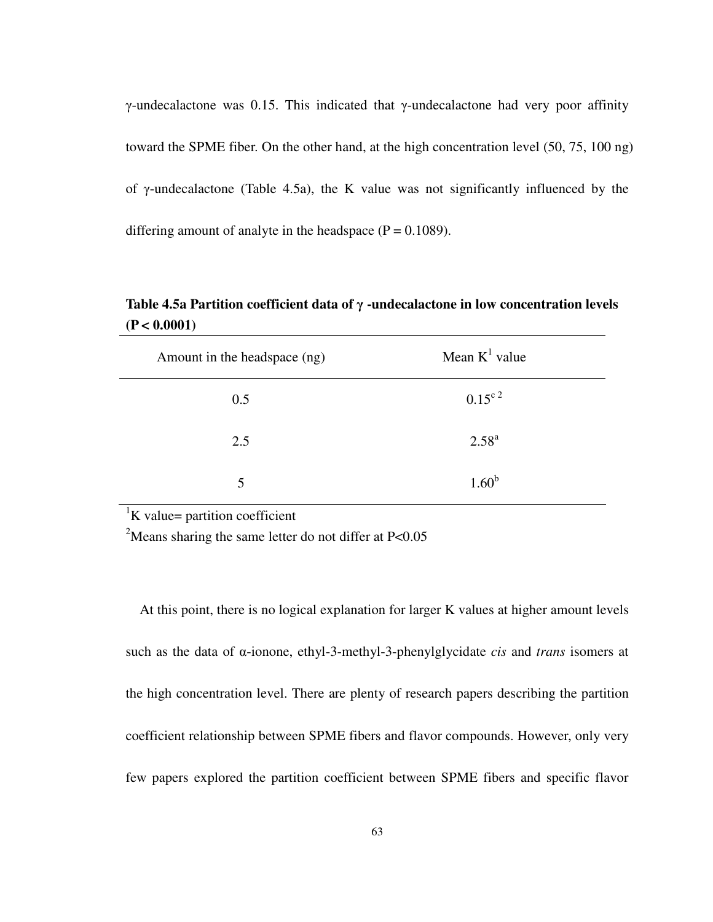γ-undecalactone was 0.15. This indicated that γ-undecalactone had very poor affinity toward the SPME fiber. On the other hand, at the high concentration level (50, 75, 100 ng) of γ-undecalactone (Table 4.5a), the K value was not significantly influenced by the differing amount of analyte in the headspace  $(P = 0.1089)$ .

**Table 4.5a Partition coefficient data of** γ **-undecalactone in low concentration levels (P < 0.0001)** 

| Amount in the headspace (ng) | Mean $K^1$ value  |
|------------------------------|-------------------|
| 0.5                          | $0.15^{\circ 2}$  |
| 2.5                          | $2.58^{a}$        |
| 5                            | 1.60 <sup>b</sup> |

 ${}^{1}$ K value= partition coefficient

<sup>2</sup>Means sharing the same letter do not differ at  $P<0.05$ 

At this point, there is no logical explanation for larger K values at higher amount levels such as the data of α-ionone, ethyl-3-methyl-3-phenylglycidate *cis* and *trans* isomers at the high concentration level. There are plenty of research papers describing the partition coefficient relationship between SPME fibers and flavor compounds. However, only very few papers explored the partition coefficient between SPME fibers and specific flavor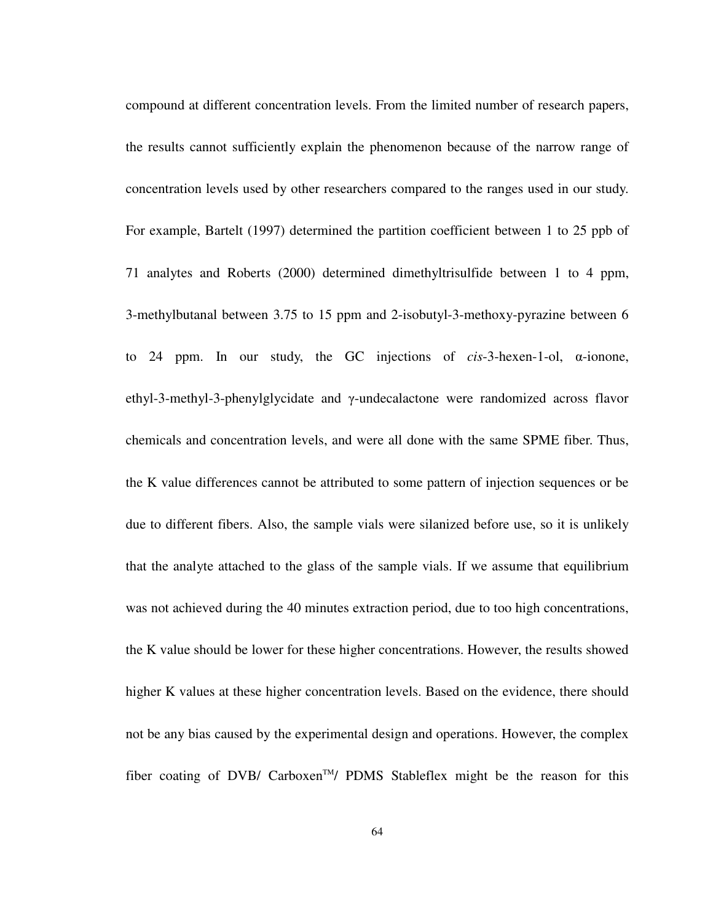compound at different concentration levels. From the limited number of research papers, the results cannot sufficiently explain the phenomenon because of the narrow range of concentration levels used by other researchers compared to the ranges used in our study. For example, Bartelt (1997) determined the partition coefficient between 1 to 25 ppb of 71 analytes and Roberts (2000) determined dimethyltrisulfide between 1 to 4 ppm, 3-methylbutanal between 3.75 to 15 ppm and 2-isobutyl-3-methoxy-pyrazine between 6 to 24 ppm. In our study, the GC injections of *cis*-3-hexen-1-ol, α-ionone, ethyl-3-methyl-3-phenylglycidate and γ-undecalactone were randomized across flavor chemicals and concentration levels, and were all done with the same SPME fiber. Thus, the K value differences cannot be attributed to some pattern of injection sequences or be due to different fibers. Also, the sample vials were silanized before use, so it is unlikely that the analyte attached to the glass of the sample vials. If we assume that equilibrium was not achieved during the 40 minutes extraction period, due to too high concentrations, the K value should be lower for these higher concentrations. However, the results showed higher K values at these higher concentration levels. Based on the evidence, there should not be any bias caused by the experimental design and operations. However, the complex fiber coating of DVB/ Carboxen<sup>TM</sup>/ PDMS Stableflex might be the reason for this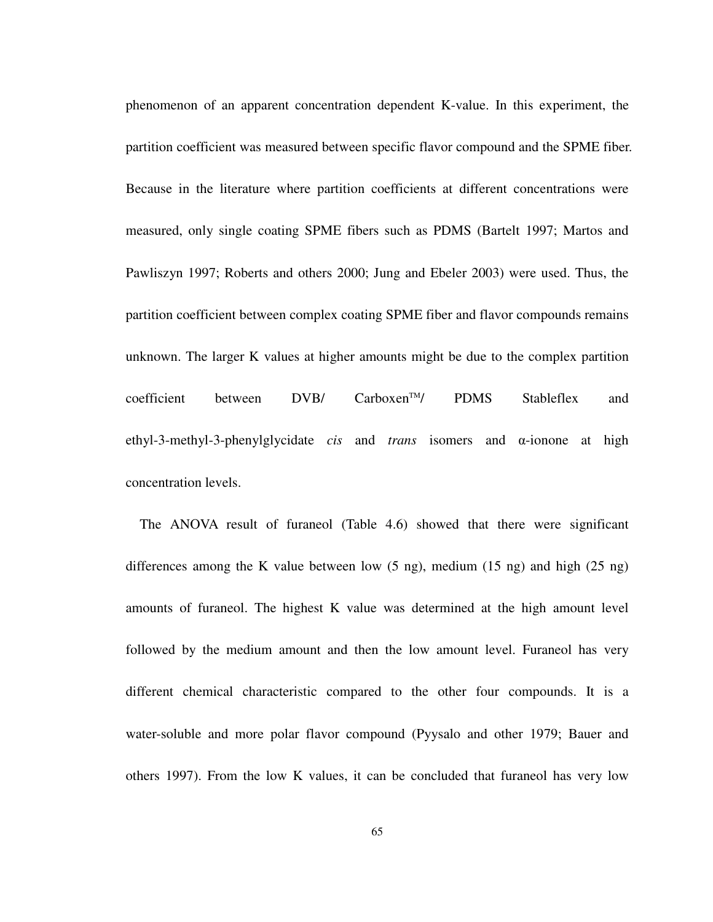phenomenon of an apparent concentration dependent K-value. In this experiment, the partition coefficient was measured between specific flavor compound and the SPME fiber. Because in the literature where partition coefficients at different concentrations were measured, only single coating SPME fibers such as PDMS (Bartelt 1997; Martos and Pawliszyn 1997; Roberts and others 2000; Jung and Ebeler 2003) were used. Thus, the partition coefficient between complex coating SPME fiber and flavor compounds remains unknown. The larger K values at higher amounts might be due to the complex partition coefficient between  $DVB/$  Carboxen<sup>TM</sup>/ PDMS Stableflex and ethyl-3-methyl-3-phenylglycidate *cis* and *trans* isomers and α-ionone at high concentration levels.

The ANOVA result of furaneol (Table 4.6) showed that there were significant differences among the K value between low (5 ng), medium (15 ng) and high (25 ng) amounts of furaneol. The highest K value was determined at the high amount level followed by the medium amount and then the low amount level. Furaneol has very different chemical characteristic compared to the other four compounds. It is a water-soluble and more polar flavor compound (Pyysalo and other 1979; Bauer and others 1997). From the low K values, it can be concluded that furaneol has very low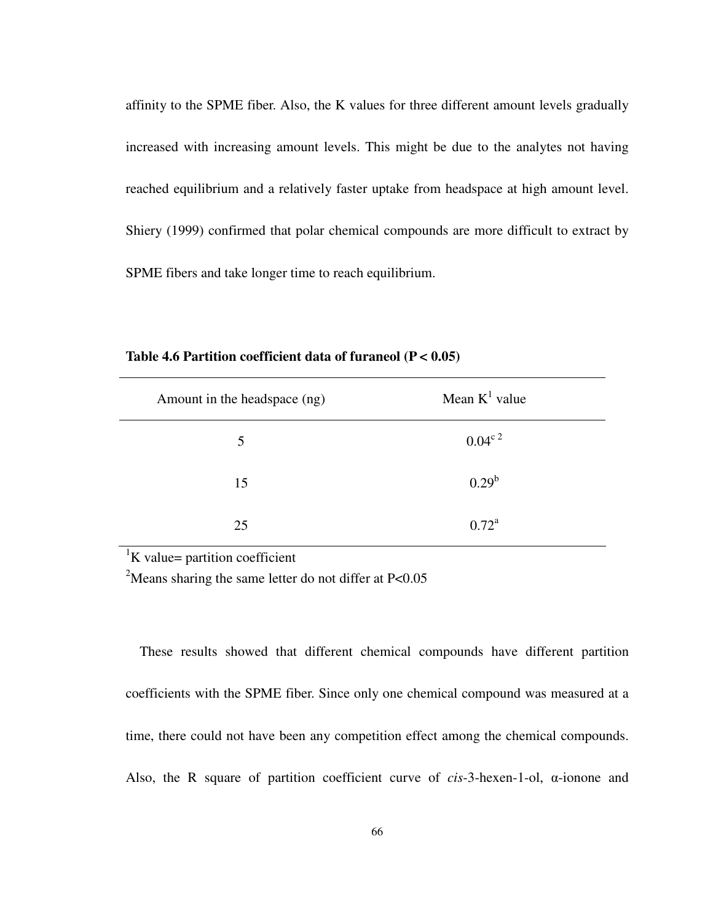affinity to the SPME fiber. Also, the K values for three different amount levels gradually increased with increasing amount levels. This might be due to the analytes not having reached equilibrium and a relatively faster uptake from headspace at high amount level. Shiery (1999) confirmed that polar chemical compounds are more difficult to extract by SPME fibers and take longer time to reach equilibrium.

| Amount in the headspace (ng) | Mean $K^1$ value |
|------------------------------|------------------|
| 5                            | $0.04^{\circ 2}$ |
| 15                           | $0.29^b$         |
| 25                           | $0.72^{\rm a}$   |

**Table 4.6 Partition coefficient data of furaneol (P < 0.05)** 

 ${}^{1}$ K value= partition coefficient

<sup>2</sup>Means sharing the same letter do not differ at P<0.05

These results showed that different chemical compounds have different partition coefficients with the SPME fiber. Since only one chemical compound was measured at a time, there could not have been any competition effect among the chemical compounds. Also, the R square of partition coefficient curve of *cis*-3-hexen-1-ol, α-ionone and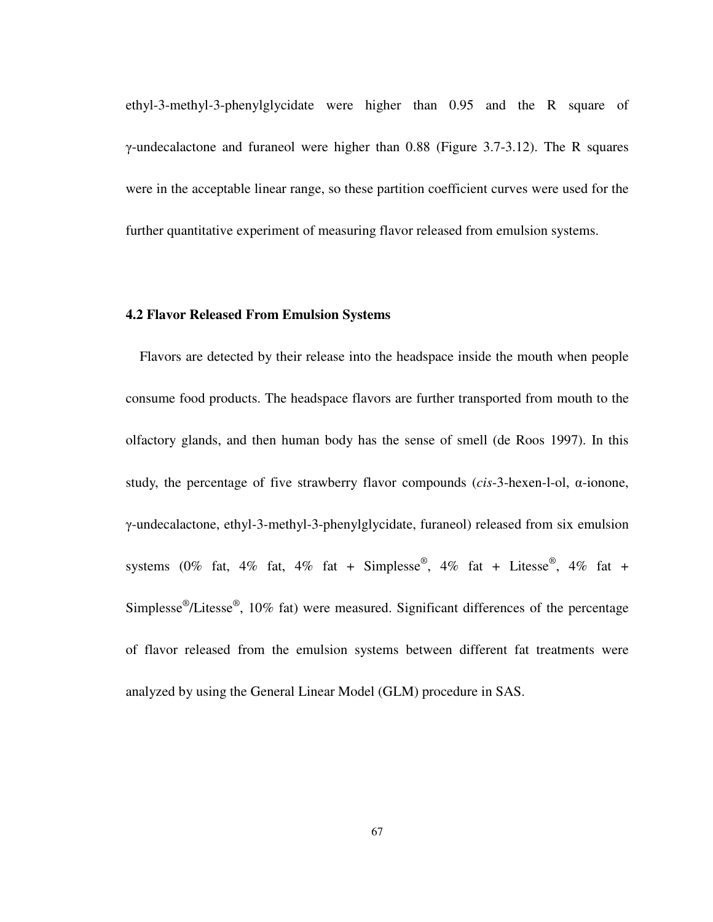ethyl-3-methyl-3-phenylglycidate were higher than 0.95 and the R square of γ-undecalactone and furaneol were higher than 0.88 (Figure 3.7-3.12). The R squares were in the acceptable linear range, so these partition coefficient curves were used for the further quantitative experiment of measuring flavor released from emulsion systems.

#### **4.2 Flavor Released From Emulsion Systems**

Flavors are detected by their release into the headspace inside the mouth when people consume food products. The headspace flavors are further transported from mouth to the olfactory glands, and then human body has the sense of smell (de Roos 1997). In this study, the percentage of five strawberry flavor compounds (*cis*-3-hexen-l-ol, α-ionone, γ-undecalactone, ethyl-3-methyl-3-phenylglycidate, furaneol) released from six emulsion systems (0% fat, 4% fat, 4% fat + Simplesse®, 4% fat + Litesse®, 4% fat + Simplesse<sup>®</sup>/Litesse<sup>®</sup>, 10% fat) were measured. Significant differences of the percentage of flavor released from the emulsion systems between different fat treatments were analyzed by using the General Linear Model (GLM) procedure in SAS.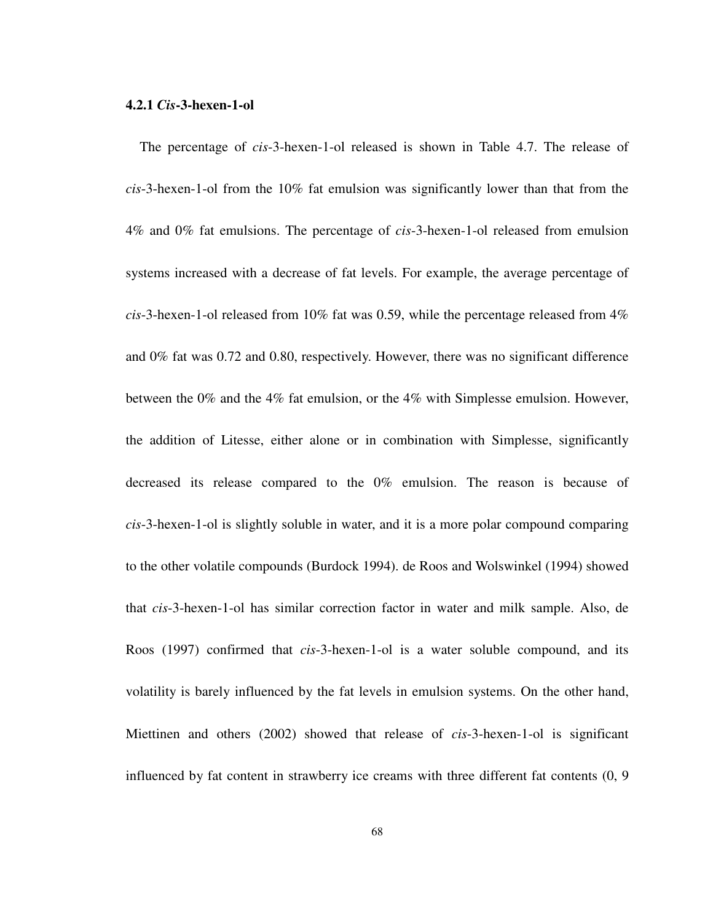#### **4.2.1** *Cis***-3-hexen-1-ol**

The percentage of *cis*-3-hexen-1-ol released is shown in Table 4.7. The release of *cis*-3-hexen-1-ol from the 10% fat emulsion was significantly lower than that from the 4% and 0% fat emulsions. The percentage of *cis*-3-hexen-1-ol released from emulsion systems increased with a decrease of fat levels. For example, the average percentage of *cis*-3-hexen-1-ol released from 10% fat was 0.59, while the percentage released from 4% and 0% fat was 0.72 and 0.80, respectively. However, there was no significant difference between the 0% and the 4% fat emulsion, or the 4% with Simplesse emulsion. However, the addition of Litesse, either alone or in combination with Simplesse, significantly decreased its release compared to the 0% emulsion. The reason is because of *cis*-3-hexen-1-ol is slightly soluble in water, and it is a more polar compound comparing to the other volatile compounds (Burdock 1994). de Roos and Wolswinkel (1994) showed that *cis*-3-hexen-1-ol has similar correction factor in water and milk sample. Also, de Roos (1997) confirmed that *cis*-3-hexen-1-ol is a water soluble compound, and its volatility is barely influenced by the fat levels in emulsion systems. On the other hand, Miettinen and others (2002) showed that release of *cis*-3-hexen-1-ol is significant influenced by fat content in strawberry ice creams with three different fat contents (0, 9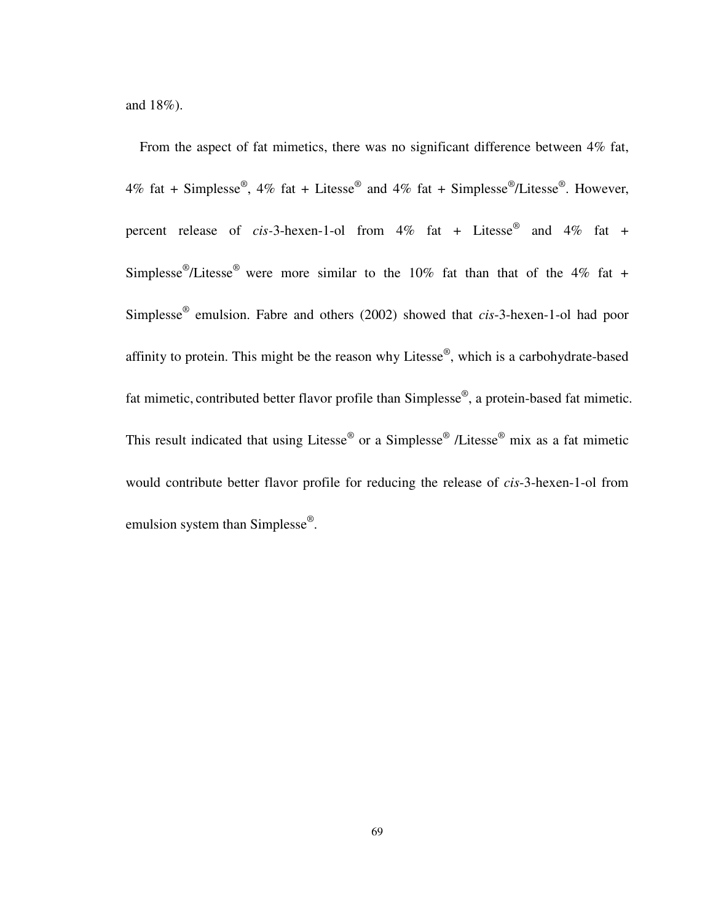and 18%).

From the aspect of fat mimetics, there was no significant difference between 4% fat, 4% fat + Simplesse<sup>®</sup>, 4% fat + Litesse<sup>®</sup> and 4% fat + Simplesse<sup>®</sup>/Litesse<sup>®</sup>. However, percent release of *cis-*3-hexen-1-ol from 4% fat + Litesse® and 4% fat + Simplesse<sup>®</sup>/Litesse<sup>®</sup> were more similar to the 10% fat than that of the 4% fat + Simplesse® emulsion. Fabre and others (2002) showed that *cis*-3-hexen-1-ol had poor affinity to protein. This might be the reason why Litesse®, which is a carbohydrate-based fat mimetic, contributed better flavor profile than Simplesse<sup>®</sup>, a protein-based fat mimetic. This result indicated that using Litesse<sup>®</sup> or a Simplesse<sup>®</sup> /Litesse<sup>®</sup> mix as a fat mimetic would contribute better flavor profile for reducing the release of *cis*-3-hexen-1-ol from emulsion system than Simplesse<sup>®</sup>.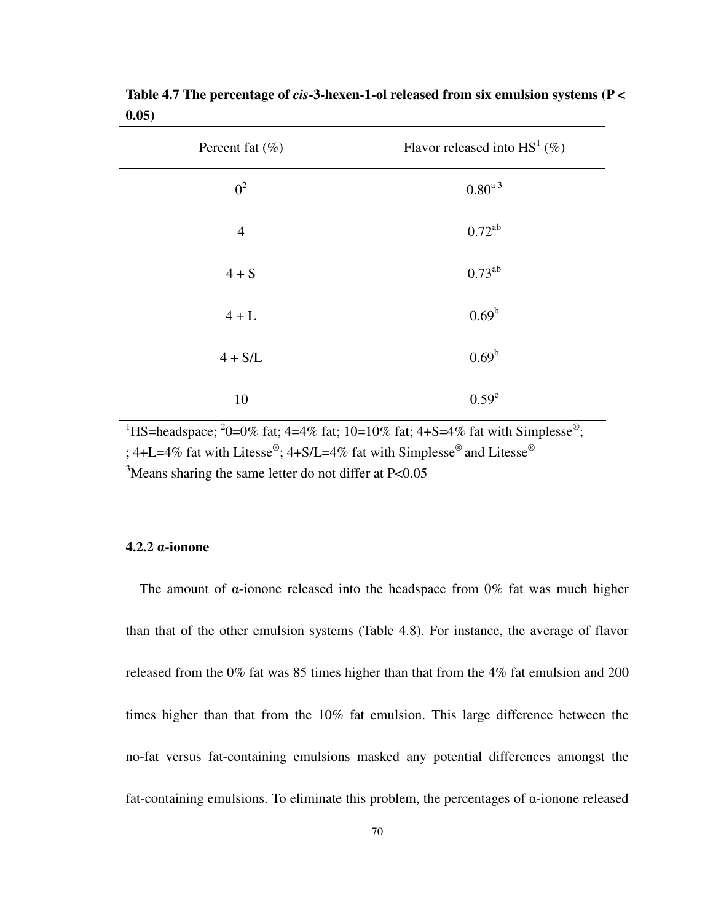| Percent fat $(\% )$ | Flavor released into $HS^1(\%)$ |
|---------------------|---------------------------------|
| $0^2$               | $0.80^{\mathrm{a\,3}}$          |
| $\overline{4}$      | $0.72^{ab}$                     |
| $4 + S$             | $0.73^{ab}$                     |
| $4 + L$             | $0.69^b$                        |
| $4 + S/L$           | 0.69 <sup>b</sup>               |
| 10                  | 0.59 <sup>c</sup>               |

**Table 4.7 The percentage of** *cis***-3-hexen-1-ol released from six emulsion systems (P < 0.05)** 

<sup>1</sup>HS=headspace; <sup>2</sup>0=0% fat; 4=4% fat; 10=10% fat; 4+S=4% fat with Simplesse<sup>®</sup>; ; 4+L=4% fat with Litesse®; 4+S/L=4% fat with Simplesse® and Litesse® <sup>3</sup>Means sharing the same letter do not differ at P<0.05

#### **4.2.2** α**-ionone**

The amount of  $\alpha$ -ionone released into the headspace from 0% fat was much higher than that of the other emulsion systems (Table 4.8). For instance, the average of flavor released from the 0% fat was 85 times higher than that from the 4% fat emulsion and 200 times higher than that from the 10% fat emulsion. This large difference between the no-fat versus fat-containing emulsions masked any potential differences amongst the fat-containing emulsions. To eliminate this problem, the percentages of α-ionone released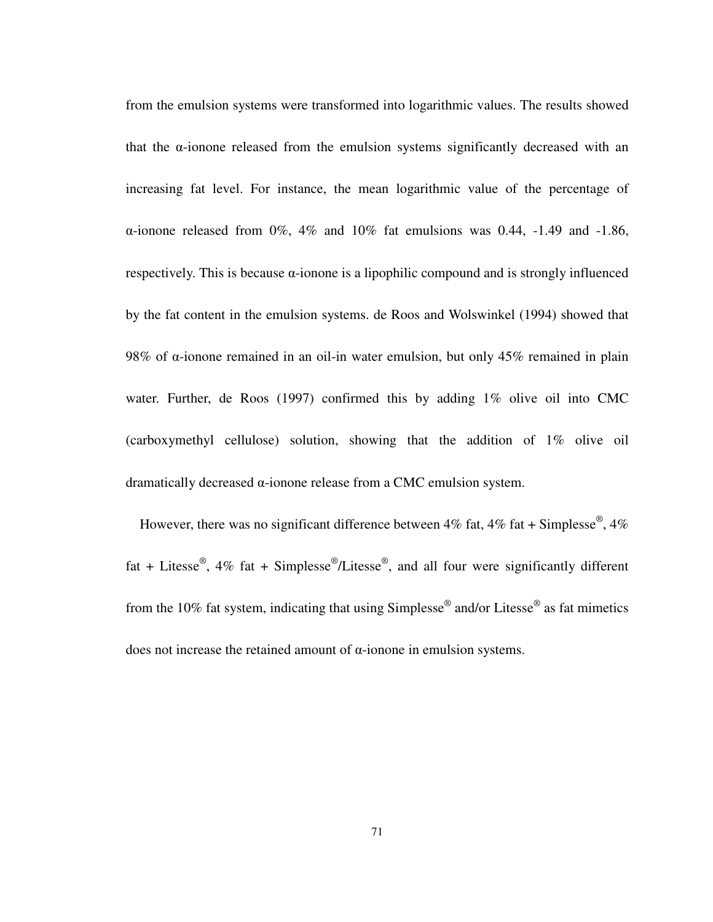from the emulsion systems were transformed into logarithmic values. The results showed that the α-ionone released from the emulsion systems significantly decreased with an increasing fat level. For instance, the mean logarithmic value of the percentage of α-ionone released from 0%, 4% and 10% fat emulsions was 0.44, -1.49 and -1.86, respectively. This is because  $\alpha$ -ionone is a lipophilic compound and is strongly influenced by the fat content in the emulsion systems. de Roos and Wolswinkel (1994) showed that 98% of α-ionone remained in an oil-in water emulsion, but only 45% remained in plain water. Further, de Roos (1997) confirmed this by adding 1% olive oil into CMC (carboxymethyl cellulose) solution, showing that the addition of 1% olive oil dramatically decreased α-ionone release from a CMC emulsion system.

However, there was no significant difference between 4% fat, 4% fat + Simplesse<sup>®</sup>, 4% fat + Litesse<sup>®</sup>, 4% fat + Simplesse<sup>®</sup>/Litesse<sup>®</sup>, and all four were significantly different from the 10% fat system, indicating that using Simplesse<sup>®</sup> and/or Litesse<sup>®</sup> as fat mimetics does not increase the retained amount of α-ionone in emulsion systems.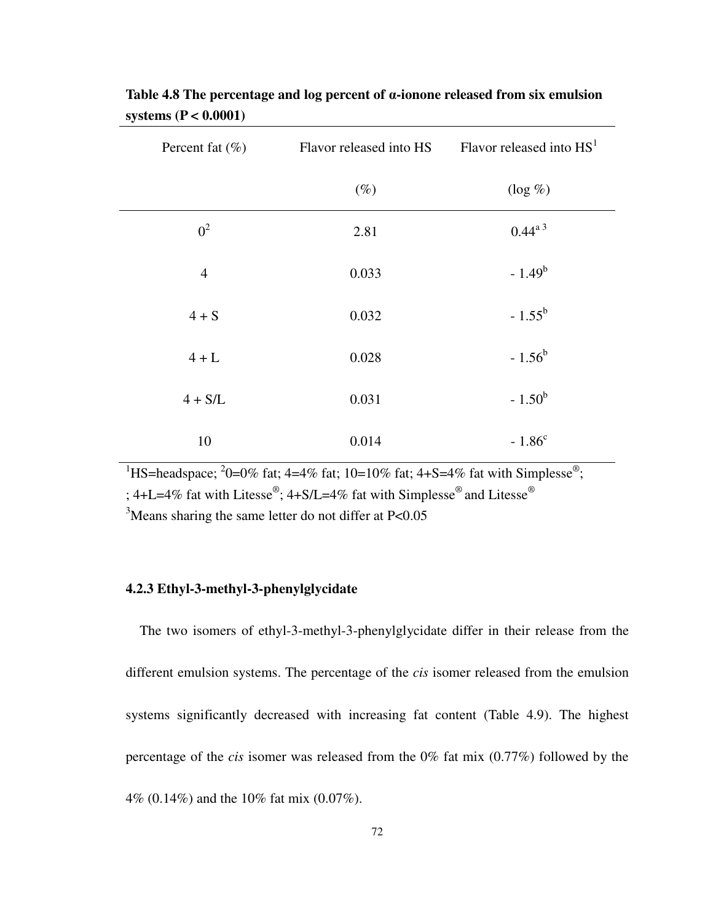| Percent fat $(\% )$ | Flavor released into HS | Flavor released into $HS1$ |
|---------------------|-------------------------|----------------------------|
|                     | $(\%)$                  | $(\log \% )$               |
| $0^2$               | 2.81                    | $0.44^{a}$ <sup>3</sup>    |
| $\overline{4}$      | 0.033                   | $-1.49^b$                  |
| $4 + S$             | 0.032                   | $-1.55^b$                  |
| $4+L$               | 0.028                   | $-1.56^b$                  |
| $4 + S/L$           | 0.031                   | $-1.50^b$                  |
| 10                  | 0.014                   | $-1.86^{\circ}$            |

**Table 4.8 The percentage and log percent of** α**-ionone released from six emulsion systems (P < 0.0001)** 

<sup>1</sup>HS=headspace; <sup>2</sup>0=0% fat; 4=4% fat; 10=10% fat; 4+S=4% fat with Simplesse<sup>®</sup>;

; 4+L=4% fat with Litesse®; 4+S/L=4% fat with Simplesse® and Litesse®

 $3$ Means sharing the same letter do not differ at P<0.05

#### **4.2.3 Ethyl-3-methyl-3-phenylglycidate**

The two isomers of ethyl-3-methyl-3-phenylglycidate differ in their release from the different emulsion systems. The percentage of the *cis* isomer released from the emulsion systems significantly decreased with increasing fat content (Table 4.9). The highest percentage of the *cis* isomer was released from the 0% fat mix (0.77%) followed by the 4% (0.14%) and the 10% fat mix (0.07%).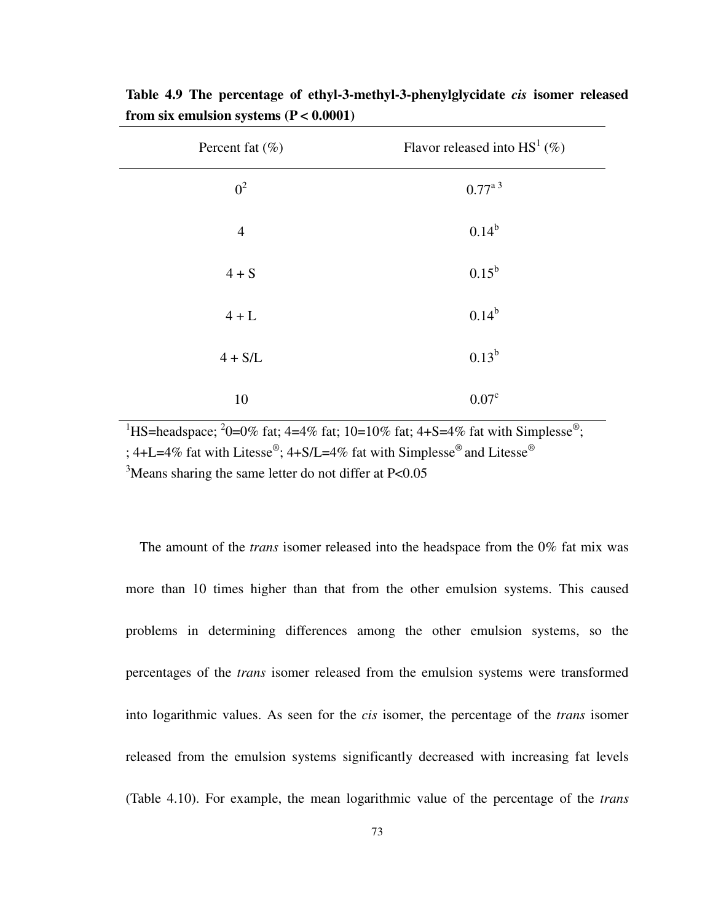| Percent fat $(\% )$ | Flavor released into $HS^1$ (%) |
|---------------------|---------------------------------|
| $0^2$               | $0.77^{a}$ <sup>3</sup>         |
| $\overline{4}$      | $0.14^{b}$                      |
| $4 + S$             | $0.15^{\rm b}$                  |
| $4+L$               | $0.14^{b}$                      |
| $4 + S/L$           | $0.13^b$                        |
| 10                  | 0.07 <sup>c</sup>               |

**Table 4.9 The percentage of ethyl-3-methyl-3-phenylglycidate** *cis* **isomer released from six emulsion systems (P < 0.0001)**

<sup>1</sup>HS=headspace; <sup>2</sup>0=0% fat; 4=4% fat; 10=10% fat; 4+S=4% fat with Simplesse<sup>®</sup>; ; 4+L=4% fat with Litesse®; 4+S/L=4% fat with Simplesse® and Litesse® <sup>3</sup>Means sharing the same letter do not differ at P<0.05

The amount of the *trans* isomer released into the headspace from the 0% fat mix was more than 10 times higher than that from the other emulsion systems. This caused problems in determining differences among the other emulsion systems, so the percentages of the *trans* isomer released from the emulsion systems were transformed into logarithmic values. As seen for the *cis* isomer, the percentage of the *trans* isomer released from the emulsion systems significantly decreased with increasing fat levels (Table 4.10). For example, the mean logarithmic value of the percentage of the *trans*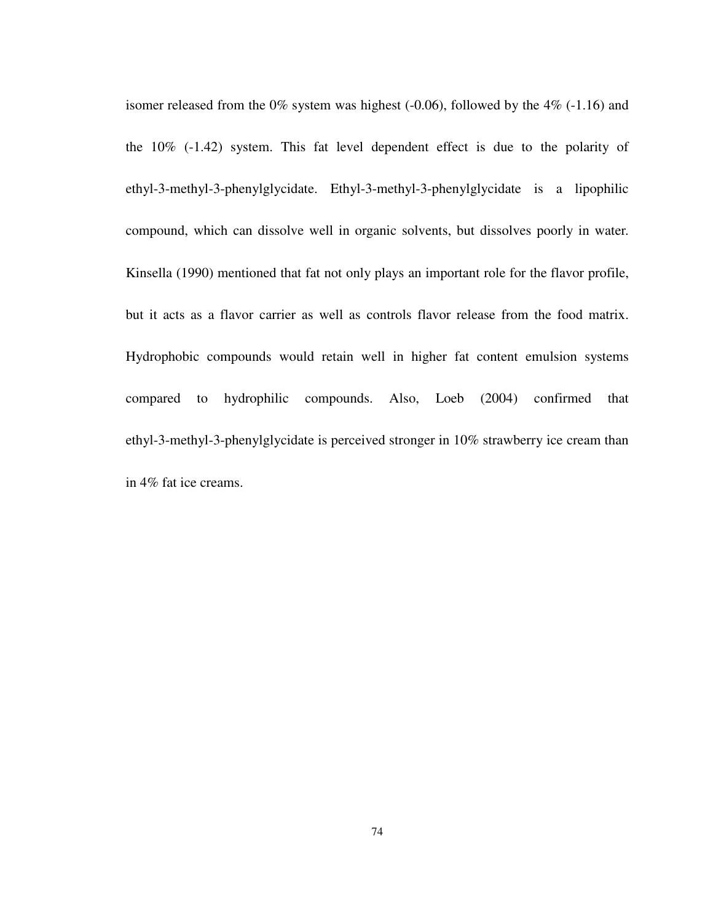isomer released from the  $0\%$  system was highest (-0.06), followed by the  $4\%$  (-1.16) and the 10% (-1.42) system. This fat level dependent effect is due to the polarity of ethyl-3-methyl-3-phenylglycidate. Ethyl-3-methyl-3-phenylglycidate is a lipophilic compound, which can dissolve well in organic solvents, but dissolves poorly in water. Kinsella (1990) mentioned that fat not only plays an important role for the flavor profile, but it acts as a flavor carrier as well as controls flavor release from the food matrix. Hydrophobic compounds would retain well in higher fat content emulsion systems compared to hydrophilic compounds. Also, Loeb (2004) confirmed that ethyl-3-methyl-3-phenylglycidate is perceived stronger in 10% strawberry ice cream than in 4% fat ice creams.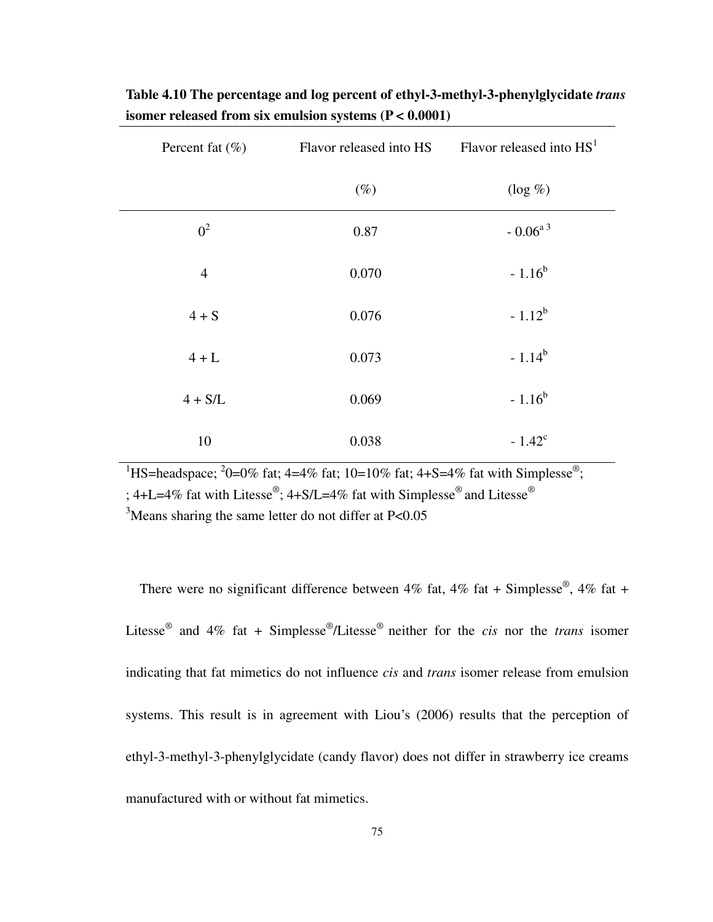| Percent fat $(\%)$ |        | Flavor released into $HS$ Flavor released into $HS1$ |
|--------------------|--------|------------------------------------------------------|
|                    | $(\%)$ | $(\log \% )$                                         |
| $0^2$              | 0.87   | - $0.06^{\mathrm{a}\,3}$                             |
| $\overline{4}$     | 0.070  | $-1.16^{b}$                                          |
| $4 + S$            | 0.076  | $-1.12^{b}$                                          |
| $4+L$              | 0.073  | $-1.14^{b}$                                          |
| $4 + S/L$          | 0.069  | $-1.16^{b}$                                          |
| 10                 | 0.038  | $-1.42^{\circ}$                                      |

**Table 4.10 The percentage and log percent of ethyl-3-methyl-3-phenylglycidate** *trans* **isomer released from six emulsion systems (P < 0.0001)** 

<sup>1</sup>HS=headspace; <sup>2</sup>0=0% fat; 4=4% fat; 10=10% fat; 4+S=4% fat with Simplesse<sup>®</sup>;

; 4+L=4% fat with Litesse®; 4+S/L=4% fat with Simplesse® and Litesse®

 $3$ Means sharing the same letter do not differ at P<0.05

There were no significant difference between 4% fat, 4% fat + Simplesse<sup>®</sup>, 4% fat + Litesse® and 4% fat + Simplesse® /Litesse® neither for the *cis* nor the *trans* isomer indicating that fat mimetics do not influence *cis* and *trans* isomer release from emulsion systems. This result is in agreement with Liou's (2006) results that the perception of ethyl-3-methyl-3-phenylglycidate (candy flavor) does not differ in strawberry ice creams manufactured with or without fat mimetics.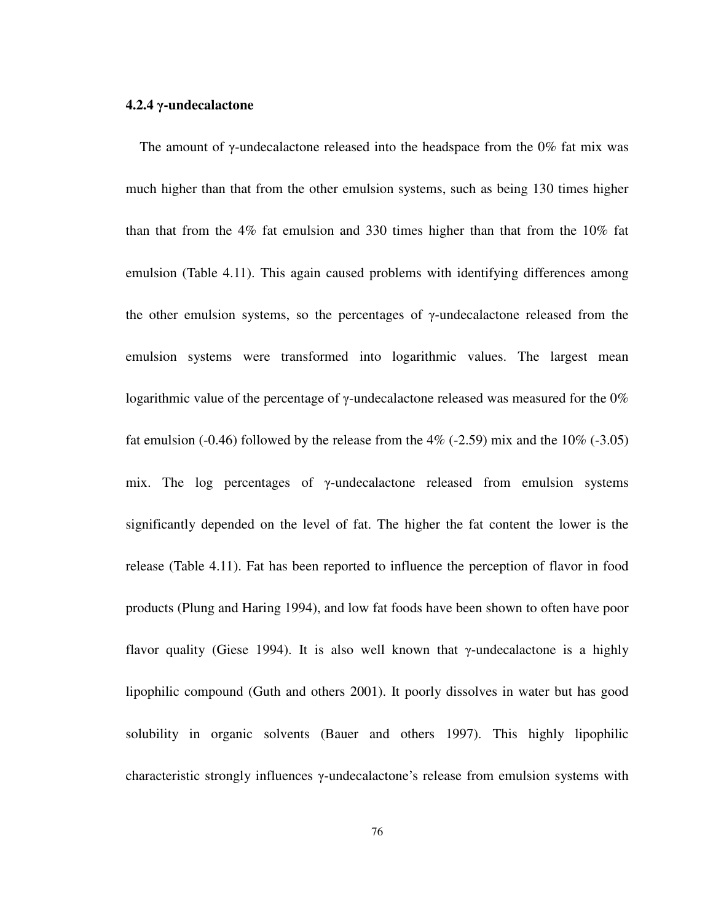#### **4.2.4** γ**-undecalactone**

The amount of  $\gamma$ -undecalactone released into the headspace from the 0% fat mix was much higher than that from the other emulsion systems, such as being 130 times higher than that from the 4% fat emulsion and 330 times higher than that from the 10% fat emulsion (Table 4.11). This again caused problems with identifying differences among the other emulsion systems, so the percentages of  $\gamma$ -undecalactone released from the emulsion systems were transformed into logarithmic values. The largest mean logarithmic value of the percentage of  $\gamma$ -undecalactone released was measured for the 0% fat emulsion (-0.46) followed by the release from the  $4\%$  (-2.59) mix and the  $10\%$  (-3.05) mix. The log percentages of γ-undecalactone released from emulsion systems significantly depended on the level of fat. The higher the fat content the lower is the release (Table 4.11). Fat has been reported to influence the perception of flavor in food products (Plung and Haring 1994), and low fat foods have been shown to often have poor flavor quality (Giese 1994). It is also well known that γ-undecalactone is a highly lipophilic compound (Guth and others 2001). It poorly dissolves in water but has good solubility in organic solvents (Bauer and others 1997). This highly lipophilic characteristic strongly influences γ-undecalactone's release from emulsion systems with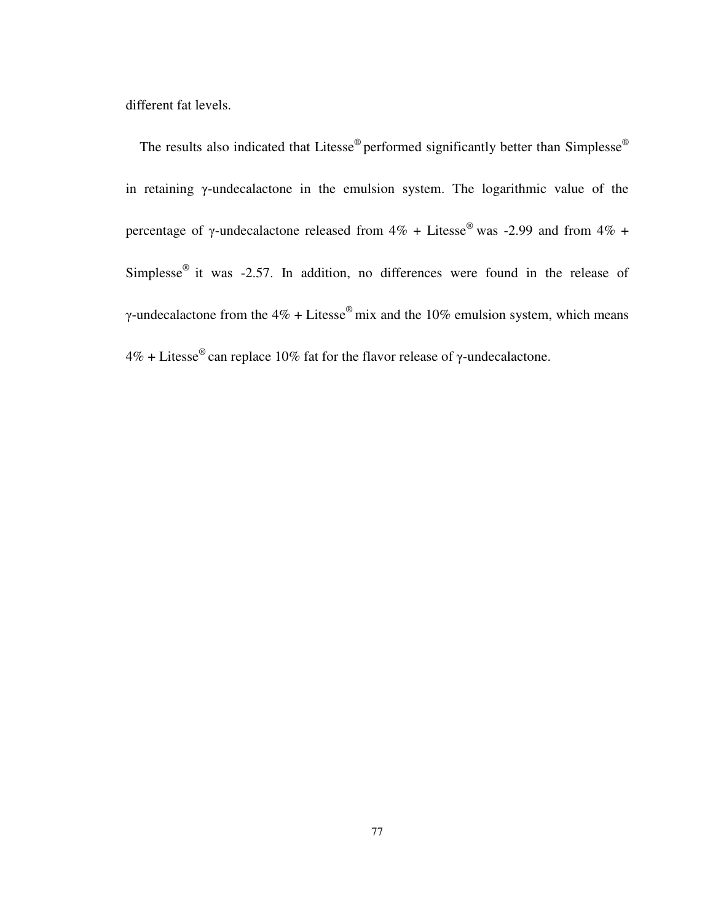different fat levels.

The results also indicated that Litesse<sup>®</sup> performed significantly better than Simplesse<sup>®</sup> in retaining γ-undecalactone in the emulsion system. The logarithmic value of the percentage of γ-undecalactone released from  $4\%$  + Litesse<sup>®</sup> was -2.99 and from  $4\%$  + Simplesse<sup>®</sup> it was -2.57. In addition, no differences were found in the release of γ-undecalactone from the  $4\%$  + Litesse<sup>®</sup> mix and the 10% emulsion system, which means  $4\%$  + Litesse<sup>®</sup> can replace 10% fat for the flavor release of γ-undecalactone.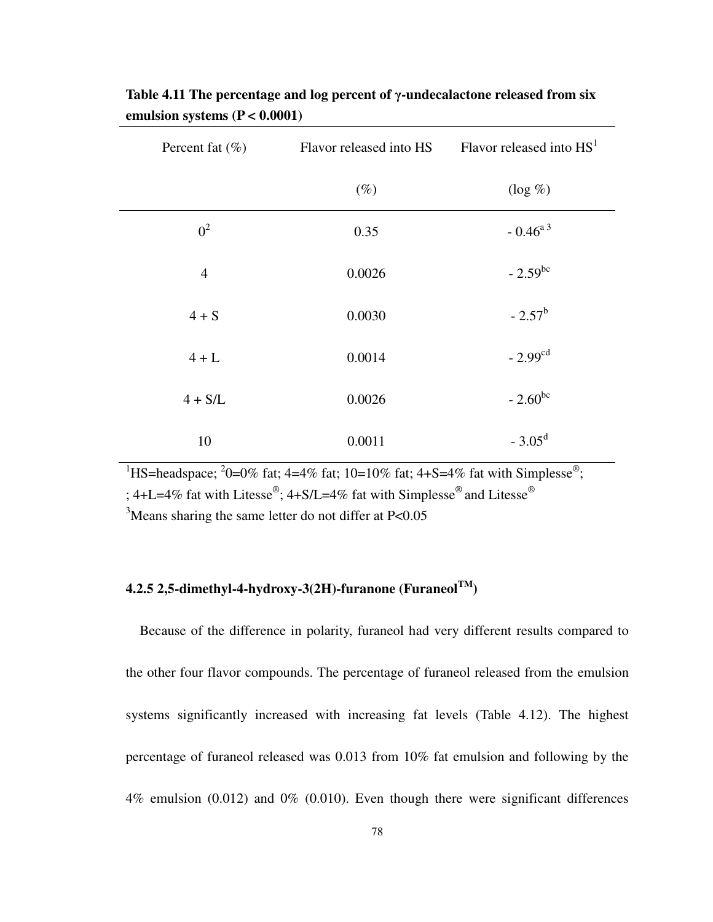| Percent fat $(\% )$ | Flavor released into HS | Flavor released into $HS1$ |
|---------------------|-------------------------|----------------------------|
|                     | $(\%)$                  | $(\log \% )$               |
| $0^2$               | 0.35                    | $-0.46^{a}$ <sup>3</sup>   |
| $\overline{4}$      | 0.0026                  | $-2.59^{bc}$               |
| $4 + S$             | 0.0030                  | $-2.57^{\rm b}$            |
| $4 + L$             | 0.0014                  | $-2.99cd$                  |
| $4 + S/L$           | 0.0026                  | $-2.60^{bc}$               |
| 10                  | 0.0011                  | $-3.05^{\rm d}$            |

**Table 4.11 The percentage and log percent of** γ**-undecalactone released from six emulsion systems (P < 0.0001)** 

<sup>1</sup>HS=headspace; <sup>2</sup>0=0% fat; 4=4% fat; 10=10% fat; 4+S=4% fat with Simplesse<sup>®</sup>;

; 4+L=4% fat with Litesse®; 4+S/L=4% fat with Simplesse® and Litesse®

 $3$ Means sharing the same letter do not differ at P<0.05

## **4.2.5 2,5-dimethyl-4-hydroxy-3(2H)-furanone (FuraneolTM)**

Because of the difference in polarity, furaneol had very different results compared to the other four flavor compounds. The percentage of furaneol released from the emulsion systems significantly increased with increasing fat levels (Table 4.12). The highest percentage of furaneol released was 0.013 from 10% fat emulsion and following by the 4% emulsion (0.012) and 0% (0.010). Even though there were significant differences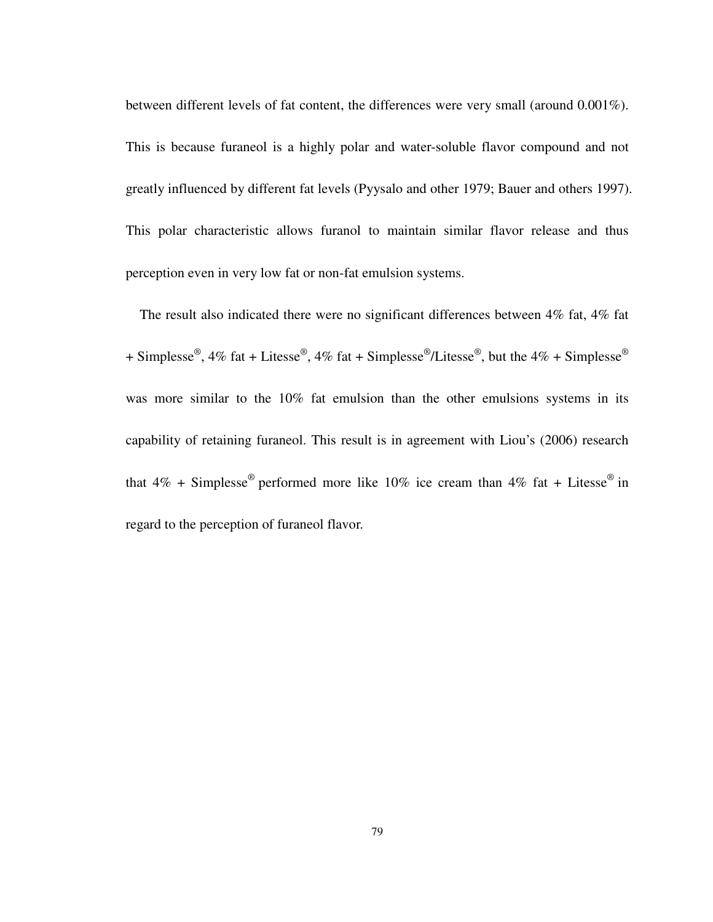between different levels of fat content, the differences were very small (around 0.001%). This is because furaneol is a highly polar and water-soluble flavor compound and not greatly influenced by different fat levels (Pyysalo and other 1979; Bauer and others 1997). This polar characteristic allows furanol to maintain similar flavor release and thus perception even in very low fat or non-fat emulsion systems.

The result also indicated there were no significant differences between 4% fat, 4% fat + Simplesse<sup>®</sup>, 4% fat + Litesse<sup>®</sup>, 4% fat + Simplesse<sup>®</sup>/Litesse<sup>®</sup>, but the 4% + Simplesse<sup>®</sup> was more similar to the 10% fat emulsion than the other emulsions systems in its capability of retaining furaneol. This result is in agreement with Liou's (2006) research that  $4\%$  + Simplesse<sup>®</sup> performed more like  $10\%$  ice cream than  $4\%$  fat + Litesse<sup>®</sup> in regard to the perception of furaneol flavor.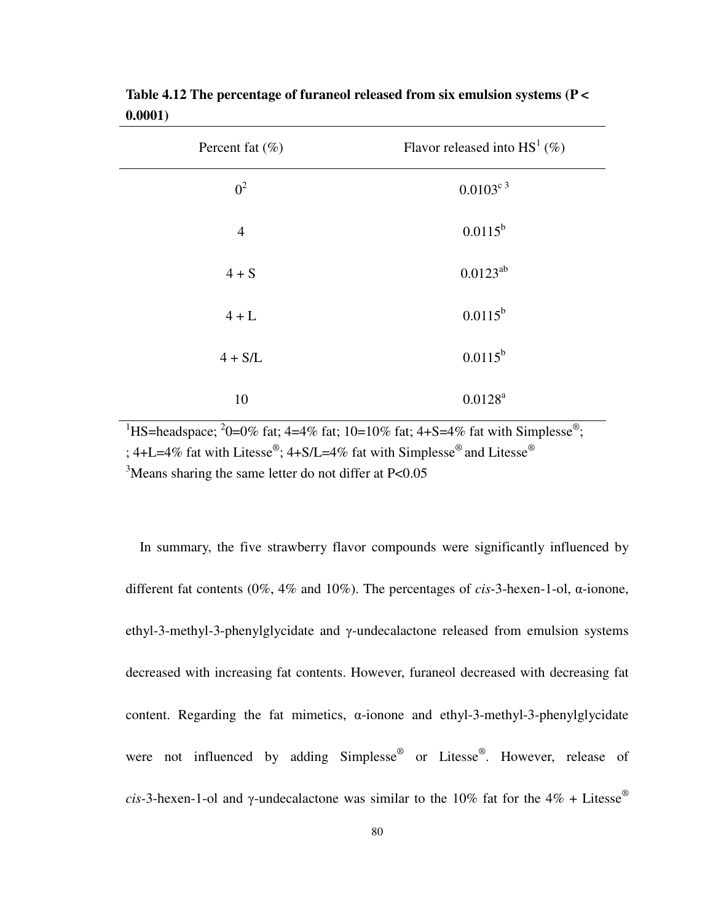| Percent fat $(\% )$ | Flavor released into $HS^1(\%)$ |
|---------------------|---------------------------------|
| $0^2$               | $0.0103^{c}$ <sup>3</sup>       |
| $\overline{4}$      | $0.0115^{b}$                    |
| $4 + S$             | $0.0123^{ab}$                   |
| $4 + L$             | $0.0115^{b}$                    |
| $4 + S/L$           | $0.0115^{b}$                    |
| 10                  | $0.0128^{a}$                    |

**Table 4.12 The percentage of furaneol released from six emulsion systems (P < 0.0001)** 

<sup>1</sup>HS=headspace; <sup>2</sup>0=0% fat; 4=4% fat; 10=10% fat; 4+S=4% fat with Simplesse<sup>®</sup>; ; 4+L=4% fat with Litesse®; 4+S/L=4% fat with Simplesse® and Litesse® <sup>3</sup>Means sharing the same letter do not differ at P<0.05

In summary, the five strawberry flavor compounds were significantly influenced by different fat contents (0%, 4% and 10%). The percentages of *cis*-3-hexen-1-ol, α-ionone, ethyl-3-methyl-3-phenylglycidate and γ-undecalactone released from emulsion systems decreased with increasing fat contents. However, furaneol decreased with decreasing fat content. Regarding the fat mimetics, α-ionone and ethyl-3-methyl-3-phenylglycidate were not influenced by adding Simplesse® or Litesse®. However, release of *cis*-3-hexen-1-ol and γ-undecalactone was similar to the 10% fat for the 4% + Litesse<sup>®</sup>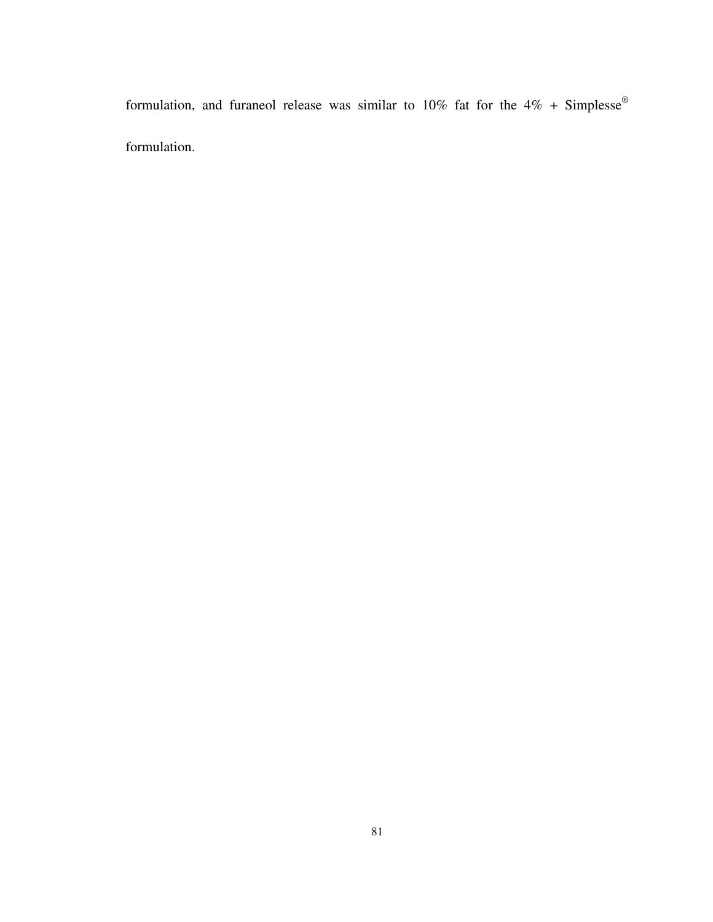formulation, and furaneol release was similar to 10% fat for the  $4\%$  + Simplesse® formulation.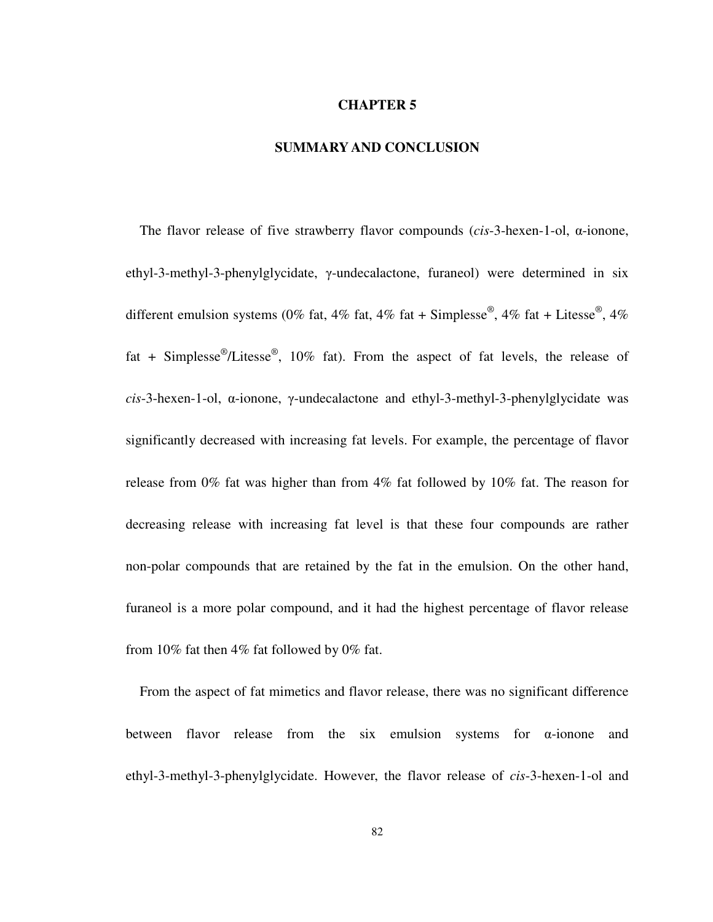#### **CHAPTER 5**

#### **SUMMARY AND CONCLUSION**

The flavor release of five strawberry flavor compounds (*cis*-3-hexen-1-ol, α-ionone, ethyl-3-methyl-3-phenylglycidate, γ-undecalactone, furaneol) were determined in six different emulsion systems (0% fat, 4% fat, 4% fat + Simplesse®, 4% fat + Litesse®, 4% fat + Simplesse<sup>®</sup>/Litesse<sup>®</sup>, 10% fat). From the aspect of fat levels, the release of *cis*-3-hexen-1-ol, α-ionone, γ-undecalactone and ethyl-3-methyl-3-phenylglycidate was significantly decreased with increasing fat levels. For example, the percentage of flavor release from 0% fat was higher than from 4% fat followed by 10% fat. The reason for decreasing release with increasing fat level is that these four compounds are rather non-polar compounds that are retained by the fat in the emulsion. On the other hand, furaneol is a more polar compound, and it had the highest percentage of flavor release from 10% fat then 4% fat followed by 0% fat.

From the aspect of fat mimetics and flavor release, there was no significant difference between flavor release from the six emulsion systems for α-ionone and ethyl-3-methyl-3-phenylglycidate. However, the flavor release of *cis*-3-hexen-1-ol and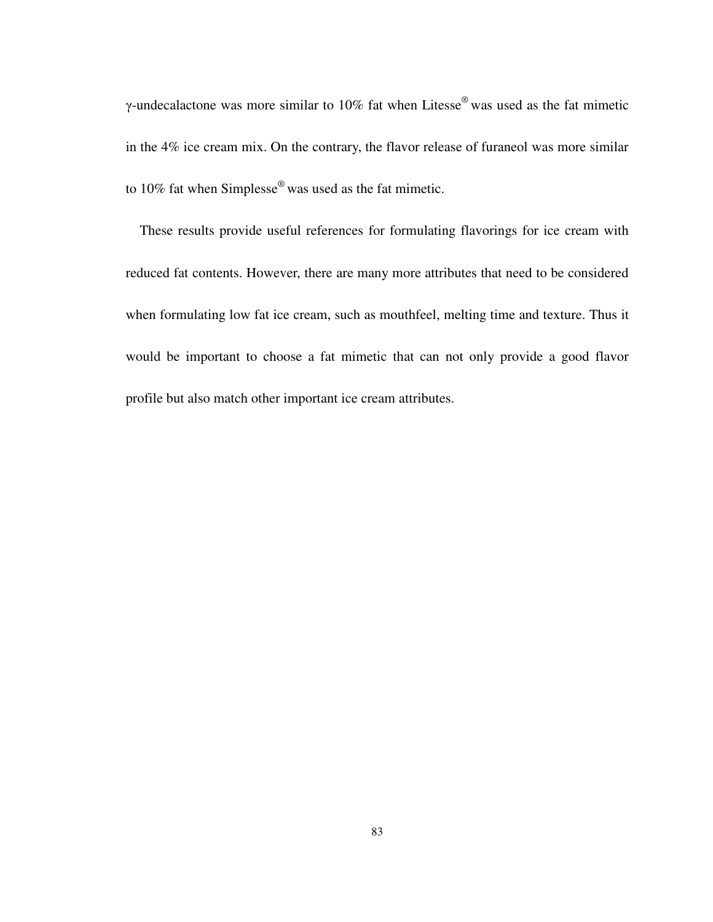γ-undecalactone was more similar to 10% fat when Litesse<sup>®</sup> was used as the fat mimetic in the 4% ice cream mix. On the contrary, the flavor release of furaneol was more similar to 10% fat when Simplesse® was used as the fat mimetic.

These results provide useful references for formulating flavorings for ice cream with reduced fat contents. However, there are many more attributes that need to be considered when formulating low fat ice cream, such as mouthfeel, melting time and texture. Thus it would be important to choose a fat mimetic that can not only provide a good flavor profile but also match other important ice cream attributes.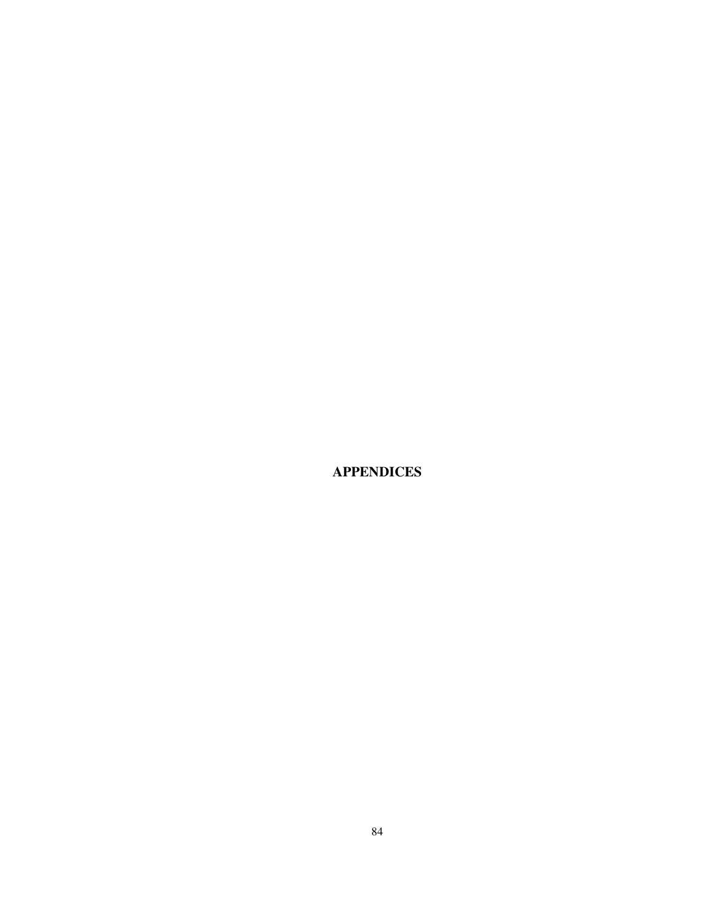**APPENDICES**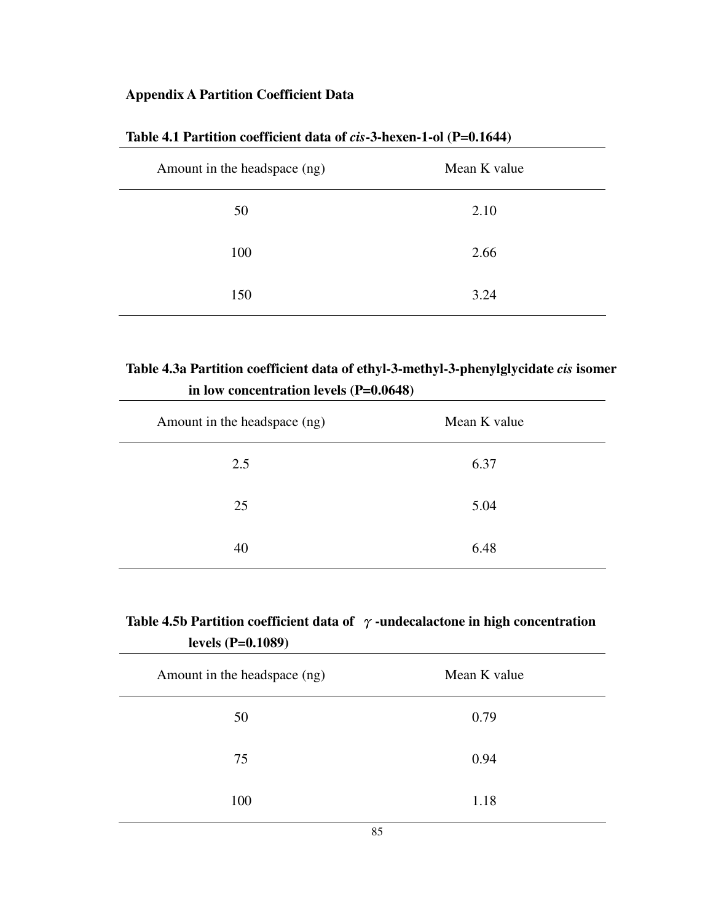## **Appendix A Partition Coefficient Data**

| Amount in the headspace (ng) | Mean K value |
|------------------------------|--------------|
| 50                           | 2.10         |
| 100                          | 2.66         |
| 150                          | 3.24         |

### **Table 4.1 Partition coefficient data of** *cis***-3-hexen-1-ol (P=0.1644)**

## **Table 4.3a Partition coefficient data of ethyl-3-methyl-3-phenylglycidate** *cis* **isomer in low concentration levels (P=0.0648)**

| Amount in the headspace (ng) | Mean K value |
|------------------------------|--------------|
| 2.5                          | 6.37         |
| 25                           | 5.04         |
| 40                           | 6.48         |

|                     | Table 4.5b Partition coefficient data of $\gamma$ -undecalactone in high concentration |
|---------------------|----------------------------------------------------------------------------------------|
| levels $(P=0.1089)$ |                                                                                        |

| Amount in the headspace (ng) | Mean K value |  |  |
|------------------------------|--------------|--|--|
| 50                           | 0.79         |  |  |
| 75                           | 0.94         |  |  |
| 100                          | 1.18         |  |  |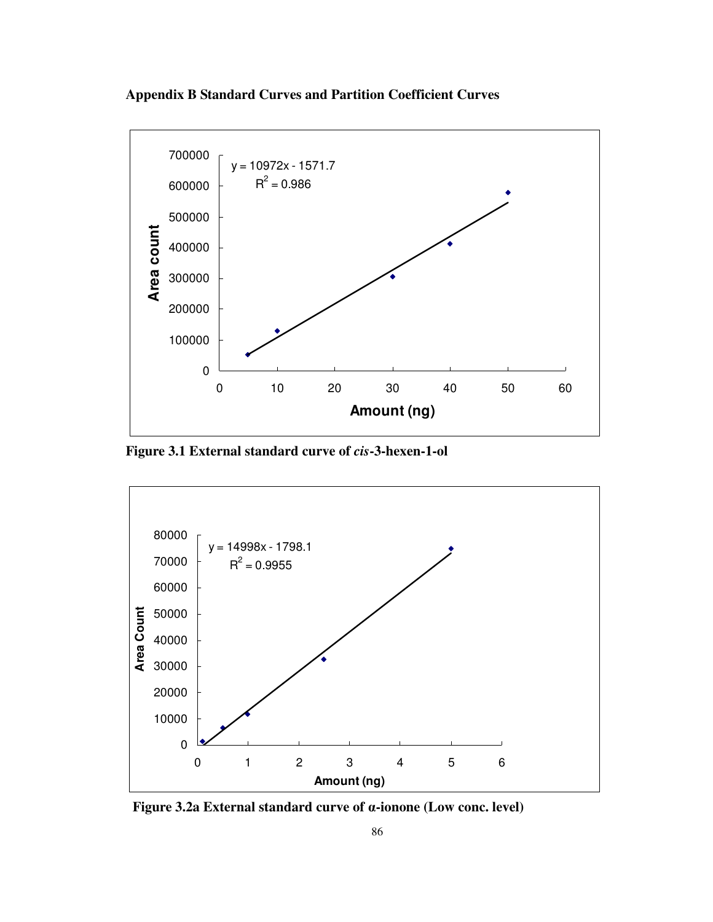



**Figure 3.1 External standard curve of** *cis***-3-hexen-1-ol** 



**Figure 3.2a External standard curve of** α**-ionone (Low conc. level)**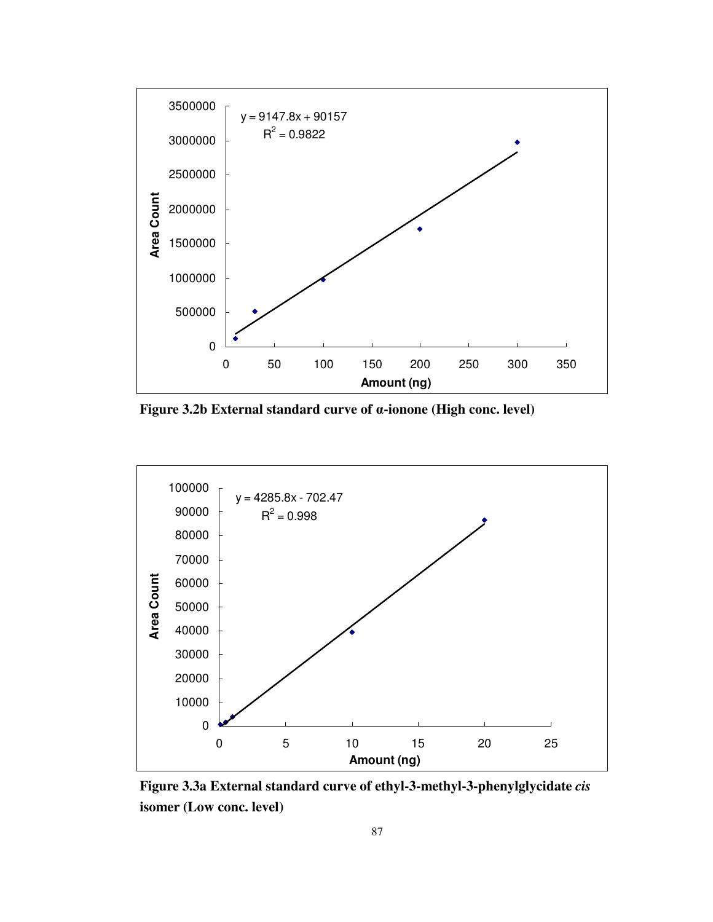

**Figure 3.2b External standard curve of** α**-ionone (High conc. level)** 



**Figure 3.3a External standard curve of ethyl-3-methyl-3-phenylglycidate** *cis*  **isomer (Low conc. level)**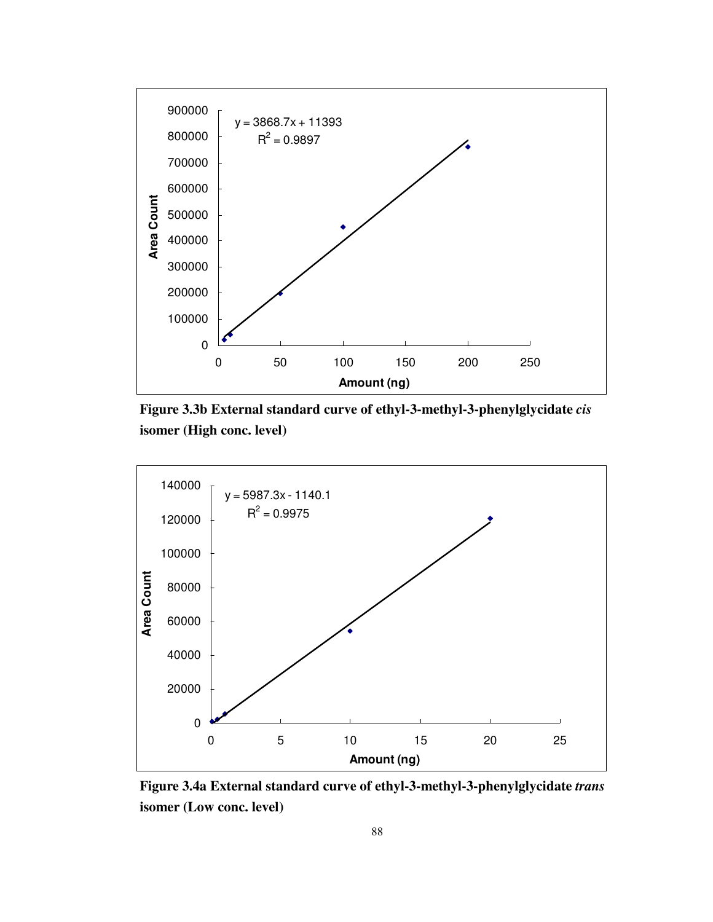





**Figure 3.4a External standard curve of ethyl-3-methyl-3-phenylglycidate** *trans*  **isomer (Low conc. level)**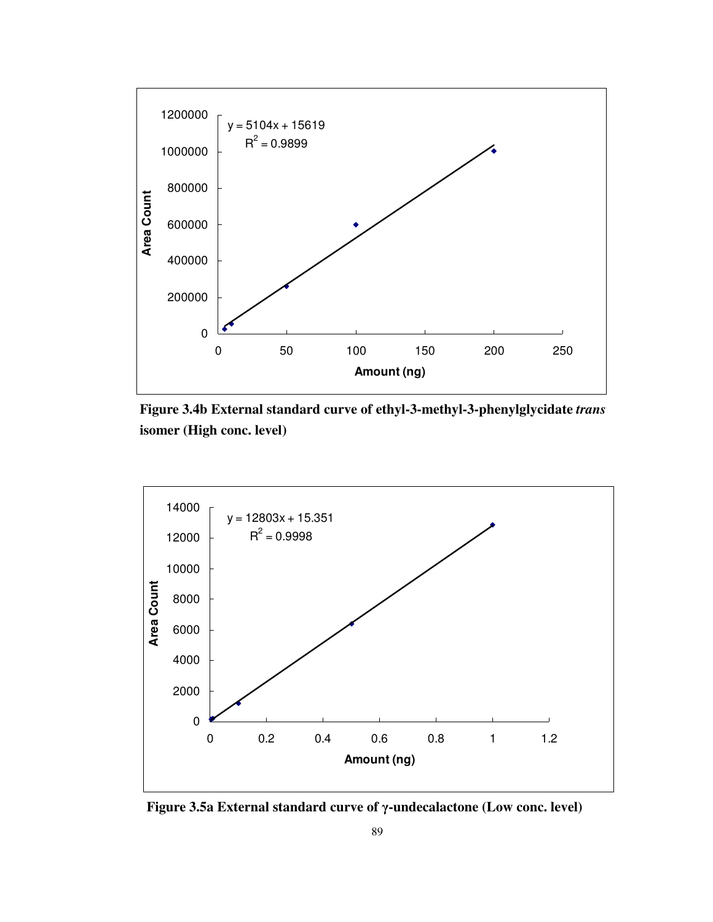





**Figure 3.5a External standard curve of** γ**-undecalactone (Low conc. level)**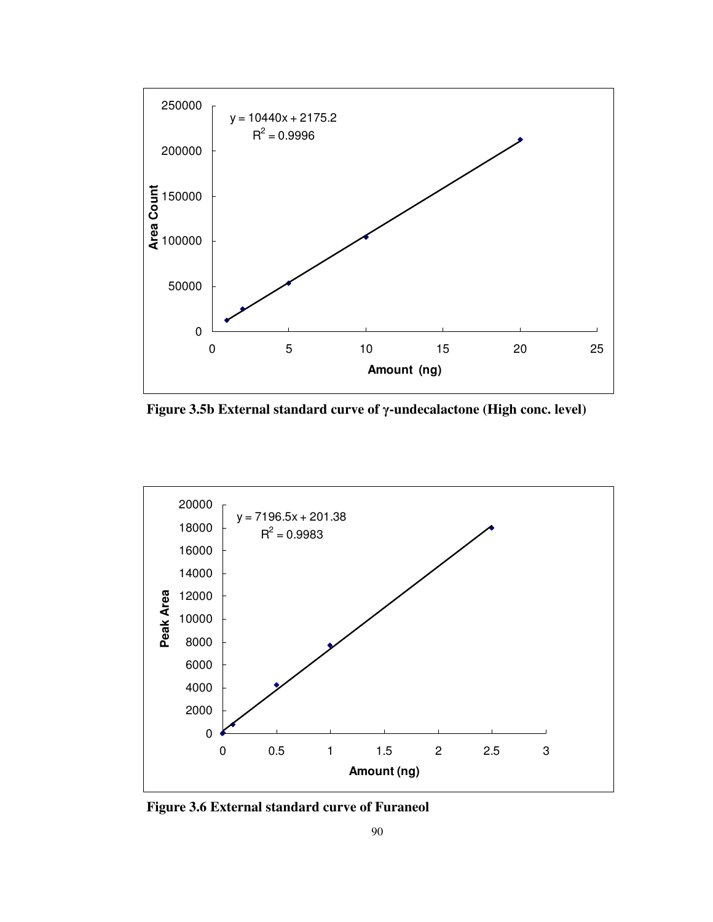

**Figure 3.5b External standard curve of** γ**-undecalactone (High conc. level)** 



**Figure 3.6 External standard curve of Furaneol**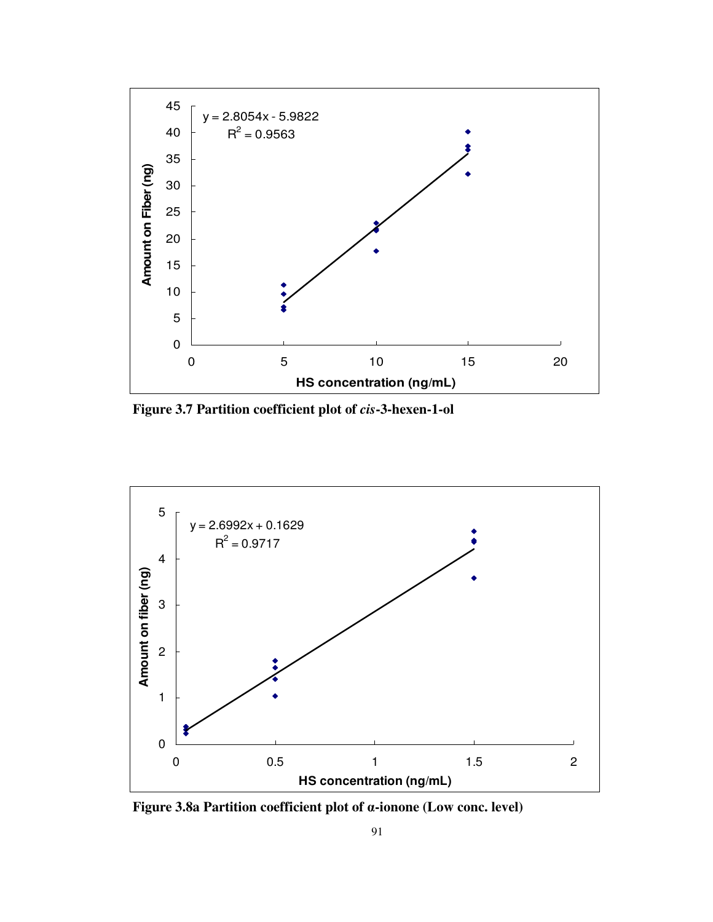

 **Figure 3.7 Partition coefficient plot of** *cis***-3-hexen-1-ol** 



**Figure 3.8a Partition coefficient plot of** α**-ionone (Low conc. level)**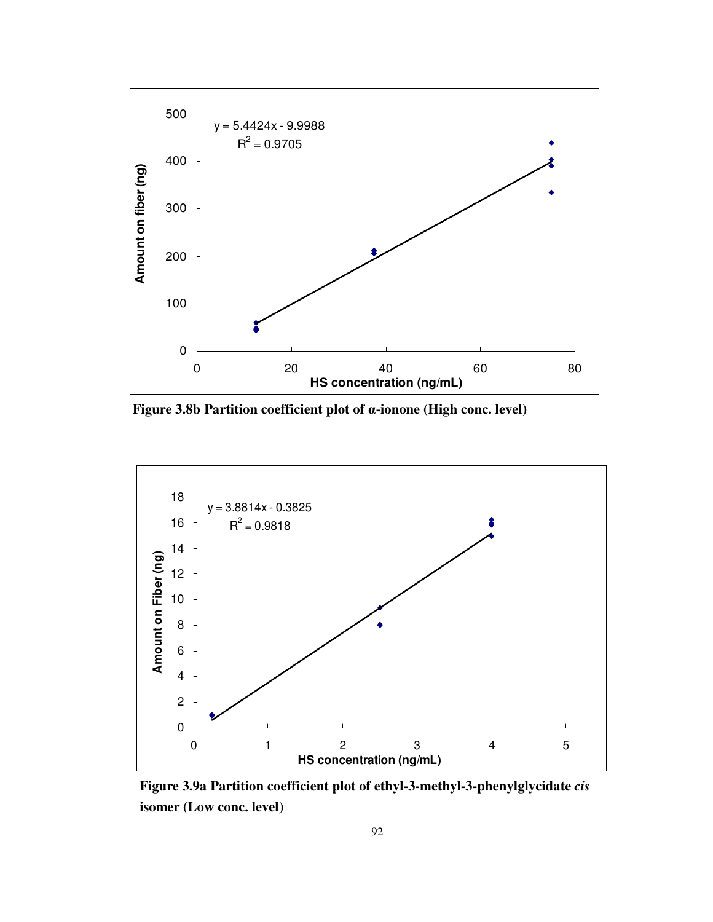

**Figure 3.8b Partition coefficient plot of** α**-ionone (High conc. level)** 



**Figure 3.9a Partition coefficient plot of ethyl-3-methyl-3-phenylglycidate** *cis* **isomer (Low conc. level)**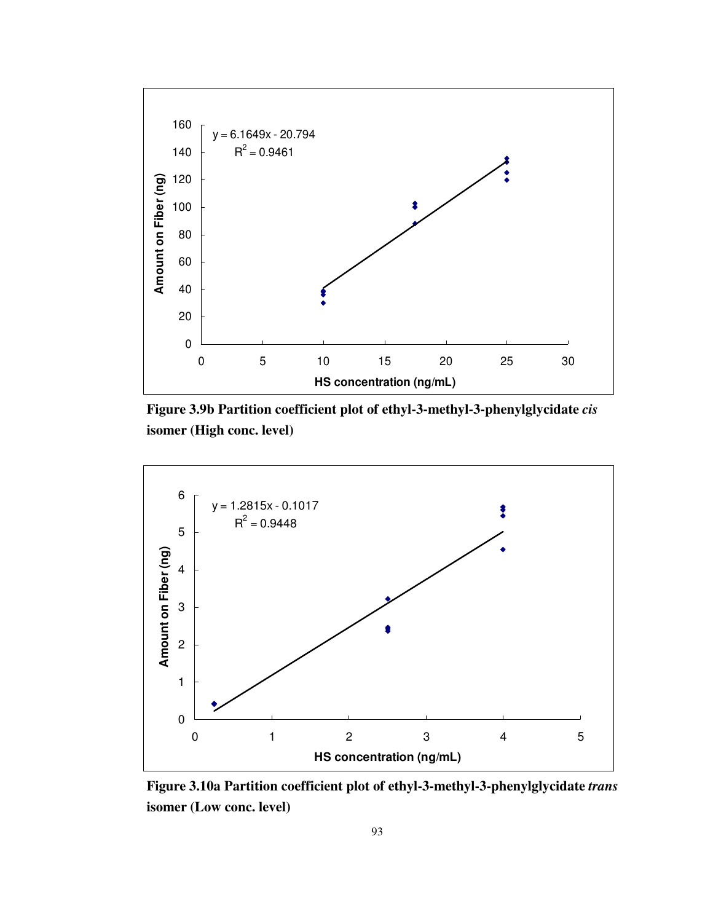





**Figure 3.10a Partition coefficient plot of ethyl-3-methyl-3-phenylglycidate** *trans* **isomer (Low conc. level)**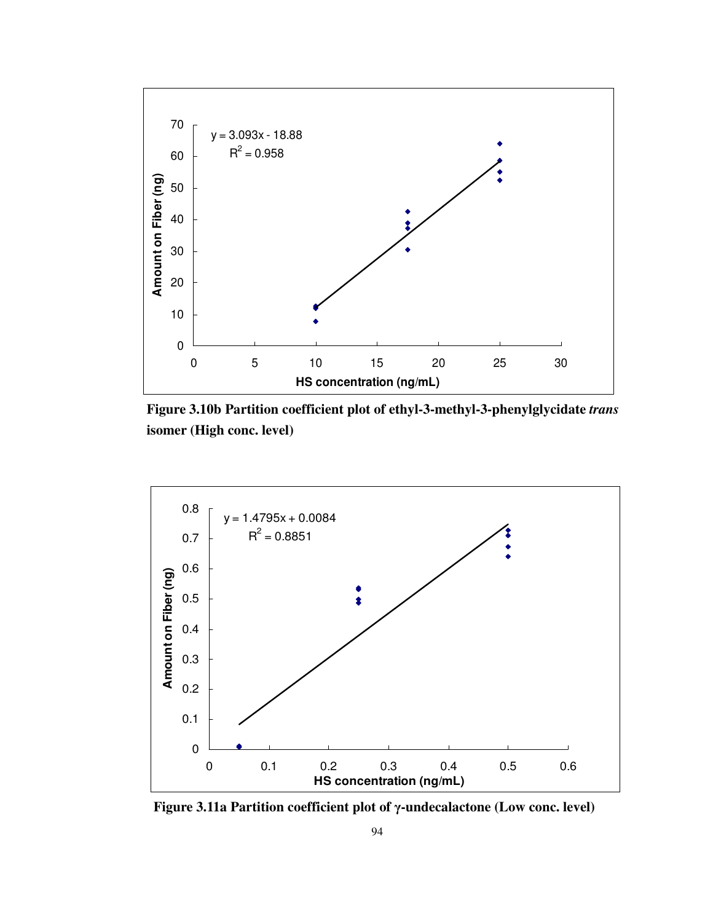





**Figure 3.11a Partition coefficient plot of** γ**-undecalactone (Low conc. level)**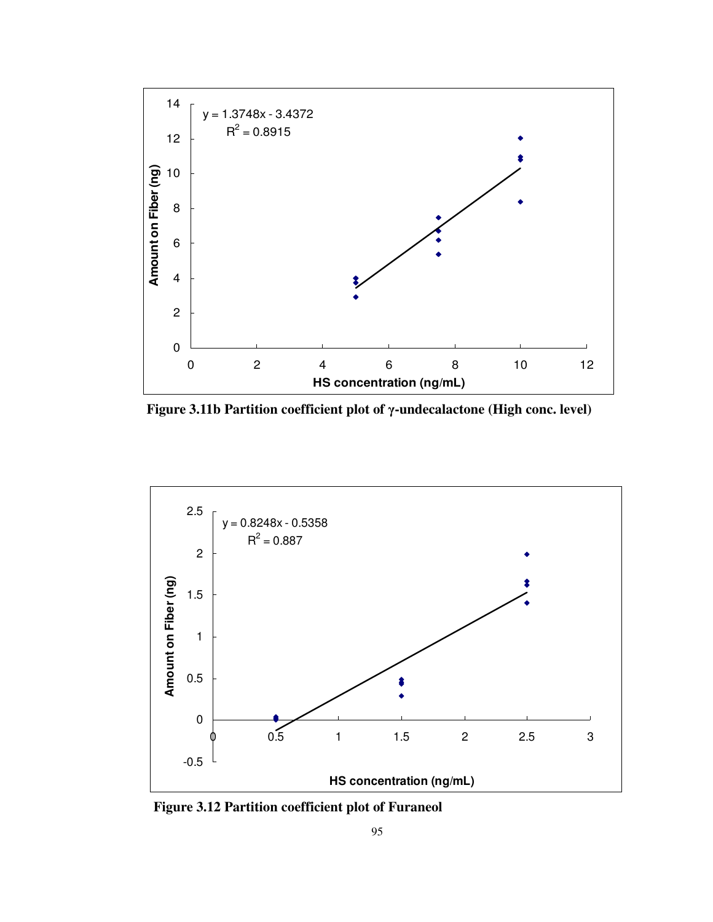

**Figure 3.11b Partition coefficient plot of** γ**-undecalactone (High conc. level)** 



 **Figure 3.12 Partition coefficient plot of Furaneol**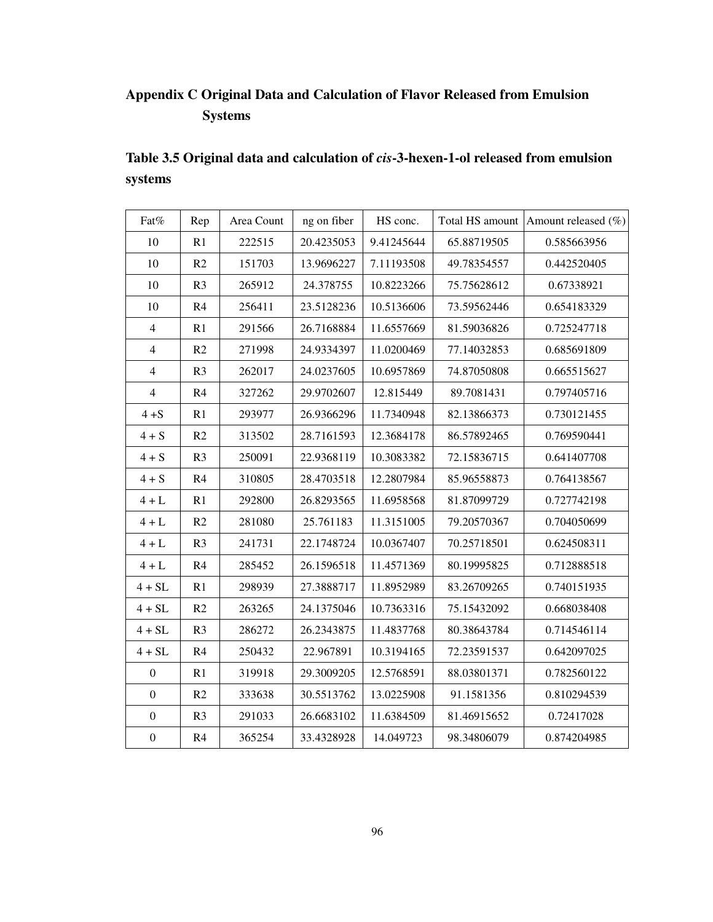# **Appendix C Original Data and Calculation of Flavor Released from Emulsion Systems**

| Table 3.5 Original data and calculation of <i>cis</i> -3-hexen-1-ol released from emulsion |  |
|--------------------------------------------------------------------------------------------|--|
| systems                                                                                    |  |

| Fat%             | Rep            | Area Count | ng on fiber | HS conc.   |             | Total HS amount Amount released (%) |
|------------------|----------------|------------|-------------|------------|-------------|-------------------------------------|
| 10               | R1             | 222515     | 20.4235053  | 9.41245644 | 65.88719505 | 0.585663956                         |
| 10               | R2             | 151703     | 13.9696227  | 7.11193508 | 49.78354557 | 0.442520405                         |
| 10               | R <sub>3</sub> | 265912     | 24.378755   | 10.8223266 | 75.75628612 | 0.67338921                          |
| 10               | R4             | 256411     | 23.5128236  | 10.5136606 | 73.59562446 | 0.654183329                         |
| $\overline{4}$   | R1             | 291566     | 26.7168884  | 11.6557669 | 81.59036826 | 0.725247718                         |
| $\overline{4}$   | R2             | 271998     | 24.9334397  | 11.0200469 | 77.14032853 | 0.685691809                         |
| $\overline{4}$   | R <sub>3</sub> | 262017     | 24.0237605  | 10.6957869 | 74.87050808 | 0.665515627                         |
| $\overline{4}$   | R4             | 327262     | 29.9702607  | 12.815449  | 89.7081431  | 0.797405716                         |
| $4 + S$          | R1             | 293977     | 26.9366296  | 11.7340948 | 82.13866373 | 0.730121455                         |
| $4 + S$          | R2             | 313502     | 28.7161593  | 12.3684178 | 86.57892465 | 0.769590441                         |
| $4 + S$          | R <sub>3</sub> | 250091     | 22.9368119  | 10.3083382 | 72.15836715 | 0.641407708                         |
| $4 + S$          | R4             | 310805     | 28.4703518  | 12.2807984 | 85.96558873 | 0.764138567                         |
| $4 + L$          | R1             | 292800     | 26.8293565  | 11.6958568 | 81.87099729 | 0.727742198                         |
| $4 + L$          | R2             | 281080     | 25.761183   | 11.3151005 | 79.20570367 | 0.704050699                         |
| $4 + L$          | R <sub>3</sub> | 241731     | 22.1748724  | 10.0367407 | 70.25718501 | 0.624508311                         |
| $4+L$            | R4             | 285452     | 26.1596518  | 11.4571369 | 80.19995825 | 0.712888518                         |
| $4 + SL$         | R1             | 298939     | 27.3888717  | 11.8952989 | 83.26709265 | 0.740151935                         |
| $4 + SL$         | R2             | 263265     | 24.1375046  | 10.7363316 | 75.15432092 | 0.668038408                         |
| $4 + SL$         | R <sub>3</sub> | 286272     | 26.2343875  | 11.4837768 | 80.38643784 | 0.714546114                         |
| $4 + SL$         | R <sub>4</sub> | 250432     | 22.967891   | 10.3194165 | 72.23591537 | 0.642097025                         |
| $\boldsymbol{0}$ | R1             | 319918     | 29.3009205  | 12.5768591 | 88.03801371 | 0.782560122                         |
| $\boldsymbol{0}$ | R2             | 333638     | 30.5513762  | 13.0225908 | 91.1581356  | 0.810294539                         |
| $\boldsymbol{0}$ | R <sub>3</sub> | 291033     | 26.6683102  | 11.6384509 | 81.46915652 | 0.72417028                          |
| $\boldsymbol{0}$ | R4             | 365254     | 33.4328928  | 14.049723  | 98.34806079 | 0.874204985                         |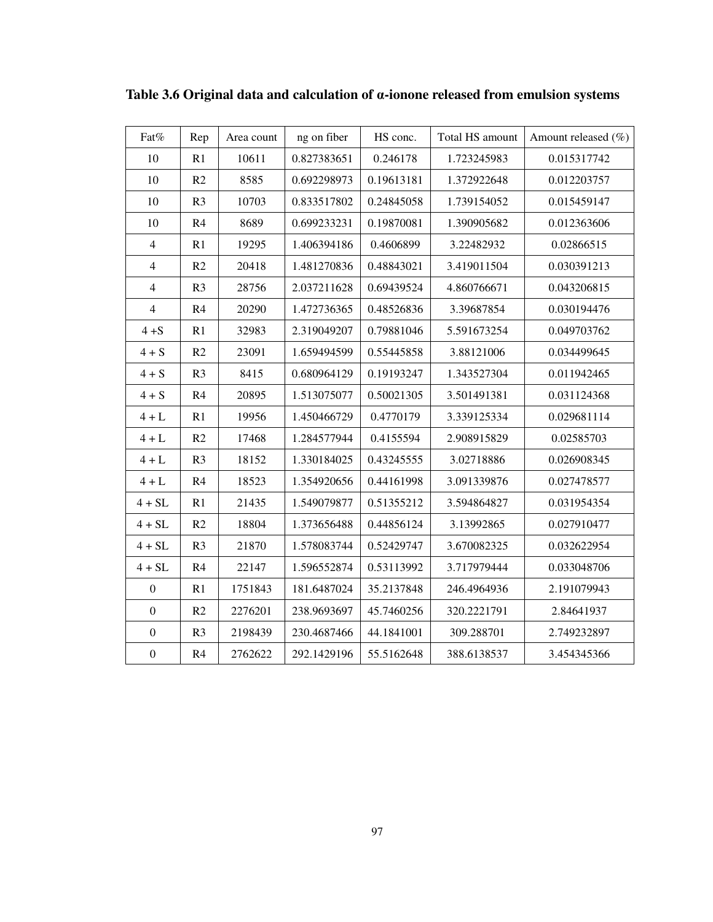| Fat%             | Rep            | Area count | ng on fiber | HS conc.   | Total HS amount | Amount released (%) |
|------------------|----------------|------------|-------------|------------|-----------------|---------------------|
| 10               | R1             | 10611      | 0.827383651 | 0.246178   | 1.723245983     | 0.015317742         |
| 10               | R2             | 8585       | 0.692298973 | 0.19613181 | 1.372922648     | 0.012203757         |
| 10               | R <sub>3</sub> | 10703      | 0.833517802 | 0.24845058 | 1.739154052     | 0.015459147         |
| 10               | R4             | 8689       | 0.699233231 | 0.19870081 | 1.390905682     | 0.012363606         |
| $\overline{4}$   | R1             | 19295      | 1.406394186 | 0.4606899  | 3.22482932      | 0.02866515          |
| $\overline{4}$   | R2             | 20418      | 1.481270836 | 0.48843021 | 3.419011504     | 0.030391213         |
| $\overline{4}$   | R <sub>3</sub> | 28756      | 2.037211628 | 0.69439524 | 4.860766671     | 0.043206815         |
| $\overline{4}$   | R4             | 20290      | 1.472736365 | 0.48526836 | 3.39687854      | 0.030194476         |
| $4 + S$          | R1             | 32983      | 2.319049207 | 0.79881046 | 5.591673254     | 0.049703762         |
| $4 + S$          | R2             | 23091      | 1.659494599 | 0.55445858 | 3.88121006      | 0.034499645         |
| $4 + S$          | R <sub>3</sub> | 8415       | 0.680964129 | 0.19193247 | 1.343527304     | 0.011942465         |
| $4 + S$          | R4             | 20895      | 1.513075077 | 0.50021305 | 3.501491381     | 0.031124368         |
| $4 + L$          | R1             | 19956      | 1.450466729 | 0.4770179  | 3.339125334     | 0.029681114         |
| $4 + L$          | R2             | 17468      | 1.284577944 | 0.4155594  | 2.908915829     | 0.02585703          |
| $4 + L$          | R <sub>3</sub> | 18152      | 1.330184025 | 0.43245555 | 3.02718886      | 0.026908345         |
| $4 + L$          | R4             | 18523      | 1.354920656 | 0.44161998 | 3.091339876     | 0.027478577         |
| $4 + SL$         | R1             | 21435      | 1.549079877 | 0.51355212 | 3.594864827     | 0.031954354         |
| $4 + SL$         | R2             | 18804      | 1.373656488 | 0.44856124 | 3.13992865      | 0.027910477         |
| $4 + SL$         | R <sub>3</sub> | 21870      | 1.578083744 | 0.52429747 | 3.670082325     | 0.032622954         |
| $4 + SL$         | R4             | 22147      | 1.596552874 | 0.53113992 | 3.717979444     | 0.033048706         |
| $\boldsymbol{0}$ | R1             | 1751843    | 181.6487024 | 35.2137848 | 246.4964936     | 2.191079943         |
| $\boldsymbol{0}$ | R2             | 2276201    | 238.9693697 | 45.7460256 | 320.2221791     | 2.84641937          |
| $\boldsymbol{0}$ | R <sub>3</sub> | 2198439    | 230.4687466 | 44.1841001 | 309.288701      | 2.749232897         |
| $\boldsymbol{0}$ | R <sub>4</sub> | 2762622    | 292.1429196 | 55.5162648 | 388.6138537     | 3.454345366         |

**Table 3.6 Original data and calculation of** α**-ionone released from emulsion systems**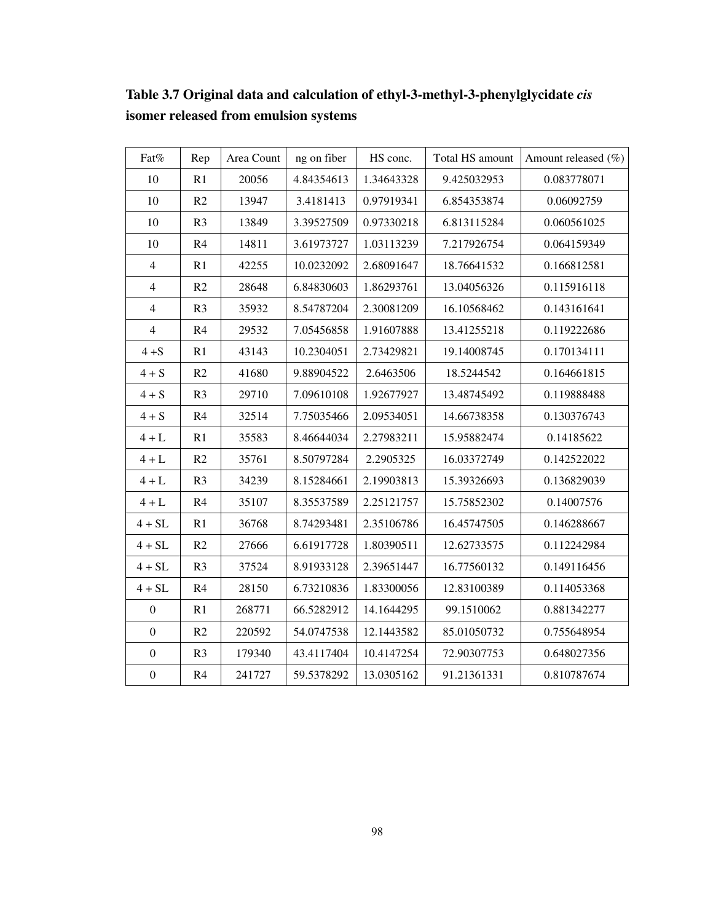| Fat%             | Rep            | Area Count | ng on fiber | HS conc.   | Total HS amount | Amount released (%) |
|------------------|----------------|------------|-------------|------------|-----------------|---------------------|
| 10               | R1             | 20056      | 4.84354613  | 1.34643328 | 9.425032953     | 0.083778071         |
| 10               | R2             | 13947      | 3.4181413   | 0.97919341 | 6.854353874     | 0.06092759          |
| 10               | R <sub>3</sub> | 13849      | 3.39527509  | 0.97330218 | 6.813115284     | 0.060561025         |
| 10               | R4             | 14811      | 3.61973727  | 1.03113239 | 7.217926754     | 0.064159349         |
| $\overline{4}$   | R1             | 42255      | 10.0232092  | 2.68091647 | 18.76641532     | 0.166812581         |
| $\overline{4}$   | R2             | 28648      | 6.84830603  | 1.86293761 | 13.04056326     | 0.115916118         |
| $\overline{4}$   | R <sub>3</sub> | 35932      | 8.54787204  | 2.30081209 | 16.10568462     | 0.143161641         |
| $\overline{4}$   | R4             | 29532      | 7.05456858  | 1.91607888 | 13.41255218     | 0.119222686         |
| $4 + S$          | R1             | 43143      | 10.2304051  | 2.73429821 | 19.14008745     | 0.170134111         |
| $4 + S$          | R2             | 41680      | 9.88904522  | 2.6463506  | 18.5244542      | 0.164661815         |
| $4 + S$          | R <sub>3</sub> | 29710      | 7.09610108  | 1.92677927 | 13.48745492     | 0.119888488         |
| $4 + S$          | R4             | 32514      | 7.75035466  | 2.09534051 | 14.66738358     | 0.130376743         |
| $4 + L$          | R1             | 35583      | 8.46644034  | 2.27983211 | 15.95882474     | 0.14185622          |
| $4+{\rm L}$      | R2             | 35761      | 8.50797284  | 2.2905325  | 16.03372749     | 0.142522022         |
| $4 + L$          | R <sub>3</sub> | 34239      | 8.15284661  | 2.19903813 | 15.39326693     | 0.136829039         |
| $4+L$            | R4             | 35107      | 8.35537589  | 2.25121757 | 15.75852302     | 0.14007576          |
| $4 + SL$         | R1             | 36768      | 8.74293481  | 2.35106786 | 16.45747505     | 0.146288667         |
| $4 + SL$         | R2             | 27666      | 6.61917728  | 1.80390511 | 12.62733575     | 0.112242984         |
| $4 + SL$         | R <sub>3</sub> | 37524      | 8.91933128  | 2.39651447 | 16.77560132     | 0.149116456         |
| $4 + SL$         | R4             | 28150      | 6.73210836  | 1.83300056 | 12.83100389     | 0.114053368         |
| $\boldsymbol{0}$ | R1             | 268771     | 66.5282912  | 14.1644295 | 99.1510062      | 0.881342277         |
| $\boldsymbol{0}$ | R2             | 220592     | 54.0747538  | 12.1443582 | 85.01050732     | 0.755648954         |
| $\boldsymbol{0}$ | R <sub>3</sub> | 179340     | 43.4117404  | 10.4147254 | 72.90307753     | 0.648027356         |
| $\boldsymbol{0}$ | R <sub>4</sub> | 241727     | 59.5378292  | 13.0305162 | 91.21361331     | 0.810787674         |

**Table 3.7 Original data and calculation of ethyl-3-methyl-3-phenylglycidate** *cis* **isomer released from emulsion systems**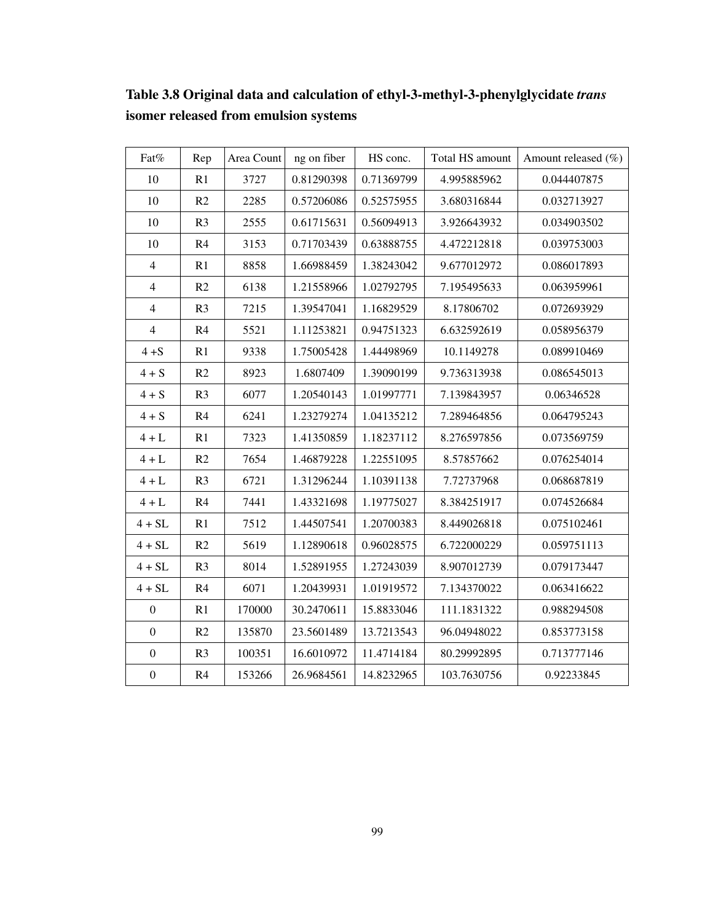| Fat%             | Rep            | Area Count | ng on fiber | HS conc.   | Total HS amount | Amount released (%) |
|------------------|----------------|------------|-------------|------------|-----------------|---------------------|
| 10               | R1             | 3727       | 0.81290398  | 0.71369799 | 4.995885962     | 0.044407875         |
| 10               | R2             | 2285       | 0.57206086  | 0.52575955 | 3.680316844     | 0.032713927         |
| 10               | R <sub>3</sub> | 2555       | 0.61715631  | 0.56094913 | 3.926643932     | 0.034903502         |
| 10               | R4             | 3153       | 0.71703439  | 0.63888755 | 4.472212818     | 0.039753003         |
| $\overline{4}$   | R1             | 8858       | 1.66988459  | 1.38243042 | 9.677012972     | 0.086017893         |
| $\overline{4}$   | R2             | 6138       | 1.21558966  | 1.02792795 | 7.195495633     | 0.063959961         |
| $\overline{4}$   | R <sub>3</sub> | 7215       | 1.39547041  | 1.16829529 | 8.17806702      | 0.072693929         |
| $\overline{4}$   | R <sub>4</sub> | 5521       | 1.11253821  | 0.94751323 | 6.632592619     | 0.058956379         |
| $4 + S$          | R1             | 9338       | 1.75005428  | 1.44498969 | 10.1149278      | 0.089910469         |
| $4 + S$          | R2             | 8923       | 1.6807409   | 1.39090199 | 9.736313938     | 0.086545013         |
| $4 + S$          | R <sub>3</sub> | 6077       | 1.20540143  | 1.01997771 | 7.139843957     | 0.06346528          |
| $4 + S$          | R4             | 6241       | 1.23279274  | 1.04135212 | 7.289464856     | 0.064795243         |
| $4 + L$          | R1             | 7323       | 1.41350859  | 1.18237112 | 8.276597856     | 0.073569759         |
| $4+L$            | R2             | 7654       | 1.46879228  | 1.22551095 | 8.57857662      | 0.076254014         |
| $4 + L$          | R <sub>3</sub> | 6721       | 1.31296244  | 1.10391138 | 7.72737968      | 0.068687819         |
| $4 + L$          | R4             | 7441       | 1.43321698  | 1.19775027 | 8.384251917     | 0.074526684         |
| $4 + SL$         | R1             | 7512       | 1.44507541  | 1.20700383 | 8.449026818     | 0.075102461         |
| $4 + SL$         | R2             | 5619       | 1.12890618  | 0.96028575 | 6.722000229     | 0.059751113         |
| $4 + SL$         | R <sub>3</sub> | 8014       | 1.52891955  | 1.27243039 | 8.907012739     | 0.079173447         |
| $4 + SL$         | R4             | 6071       | 1.20439931  | 1.01919572 | 7.134370022     | 0.063416622         |
| $\boldsymbol{0}$ | R1             | 170000     | 30.2470611  | 15.8833046 | 111.1831322     | 0.988294508         |
| $\boldsymbol{0}$ | R2             | 135870     | 23.5601489  | 13.7213543 | 96.04948022     | 0.853773158         |
| $\boldsymbol{0}$ | R <sub>3</sub> | 100351     | 16.6010972  | 11.4714184 | 80.29992895     | 0.713777146         |
| $\boldsymbol{0}$ | R4             | 153266     | 26.9684561  | 14.8232965 | 103.7630756     | 0.92233845          |

**Table 3.8 Original data and calculation of ethyl-3-methyl-3-phenylglycidate** *trans* **isomer released from emulsion systems**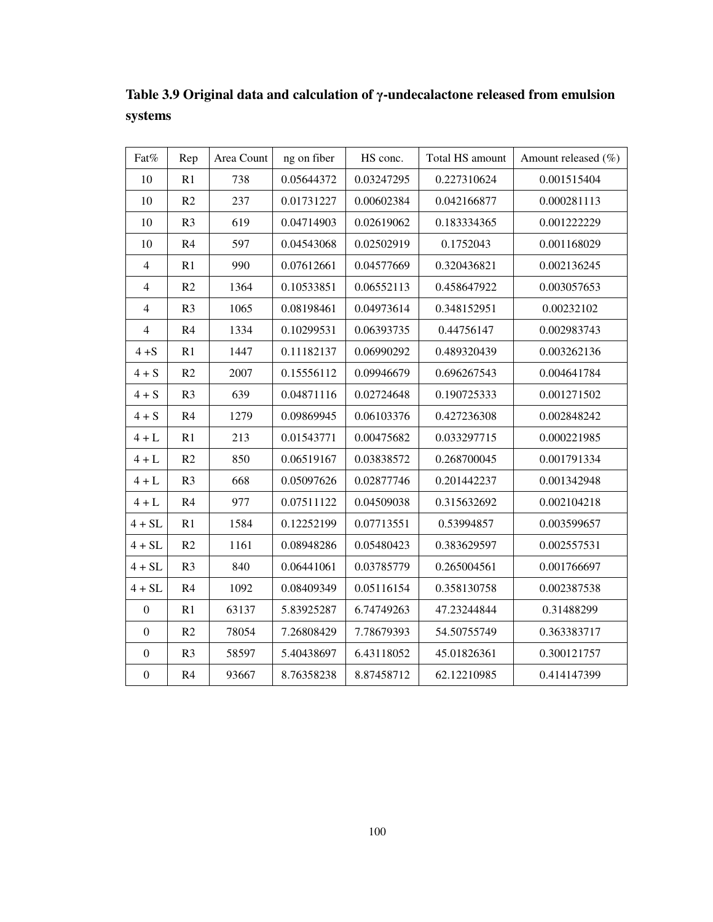| Fat%             | Rep            | Area Count | ng on fiber | HS conc.   | Total HS amount | Amount released $(\% )$ |
|------------------|----------------|------------|-------------|------------|-----------------|-------------------------|
| 10               | R1             | 738        | 0.05644372  | 0.03247295 | 0.227310624     | 0.001515404             |
| 10               | R2             | 237        | 0.01731227  | 0.00602384 | 0.042166877     | 0.000281113             |
| 10               | R3             | 619        | 0.04714903  | 0.02619062 | 0.183334365     | 0.001222229             |
| 10               | R4             | 597        | 0.04543068  | 0.02502919 | 0.1752043       | 0.001168029             |
| $\overline{4}$   | R1             | 990        | 0.07612661  | 0.04577669 | 0.320436821     | 0.002136245             |
| $\overline{4}$   | R2             | 1364       | 0.10533851  | 0.06552113 | 0.458647922     | 0.003057653             |
| $\overline{4}$   | R <sub>3</sub> | 1065       | 0.08198461  | 0.04973614 | 0.348152951     | 0.00232102              |
| $\overline{4}$   | R4             | 1334       | 0.10299531  | 0.06393735 | 0.44756147      | 0.002983743             |
| $4 + S$          | R1             | 1447       | 0.11182137  | 0.06990292 | 0.489320439     | 0.003262136             |
| $4 + S$          | R2             | 2007       | 0.15556112  | 0.09946679 | 0.696267543     | 0.004641784             |
| $4+S$            | R <sub>3</sub> | 639        | 0.04871116  | 0.02724648 | 0.190725333     | 0.001271502             |
| $4 + S$          | R4             | 1279       | 0.09869945  | 0.06103376 | 0.427236308     | 0.002848242             |
| $4 + L$          | R1             | 213        | 0.01543771  | 0.00475682 | 0.033297715     | 0.000221985             |
| $4 + L$          | R2             | 850        | 0.06519167  | 0.03838572 | 0.268700045     | 0.001791334             |
| $4 + L$          | R <sub>3</sub> | 668        | 0.05097626  | 0.02877746 | 0.201442237     | 0.001342948             |
| $4 + L$          | R4             | 977        | 0.07511122  | 0.04509038 | 0.315632692     | 0.002104218             |
| $4 + SL$         | R1             | 1584       | 0.12252199  | 0.07713551 | 0.53994857      | 0.003599657             |
| $4 + SL$         | R2             | 1161       | 0.08948286  | 0.05480423 | 0.383629597     | 0.002557531             |
| $4 + SL$         | R <sub>3</sub> | 840        | 0.06441061  | 0.03785779 | 0.265004561     | 0.001766697             |
| $4 + SL$         | R4             | 1092       | 0.08409349  | 0.05116154 | 0.358130758     | 0.002387538             |
| $\mathbf{0}$     | R1             | 63137      | 5.83925287  | 6.74749263 | 47.23244844     | 0.31488299              |
| $\mathbf{0}$     | R2             | 78054      | 7.26808429  | 7.78679393 | 54.50755749     | 0.363383717             |
| $\boldsymbol{0}$ | R <sub>3</sub> | 58597      | 5.40438697  | 6.43118052 | 45.01826361     | 0.300121757             |
| $\boldsymbol{0}$ | R4             | 93667      | 8.76358238  | 8.87458712 | 62.12210985     | 0.414147399             |

**Table 3.9 Original data and calculation of** γ**-undecalactone released from emulsion systems**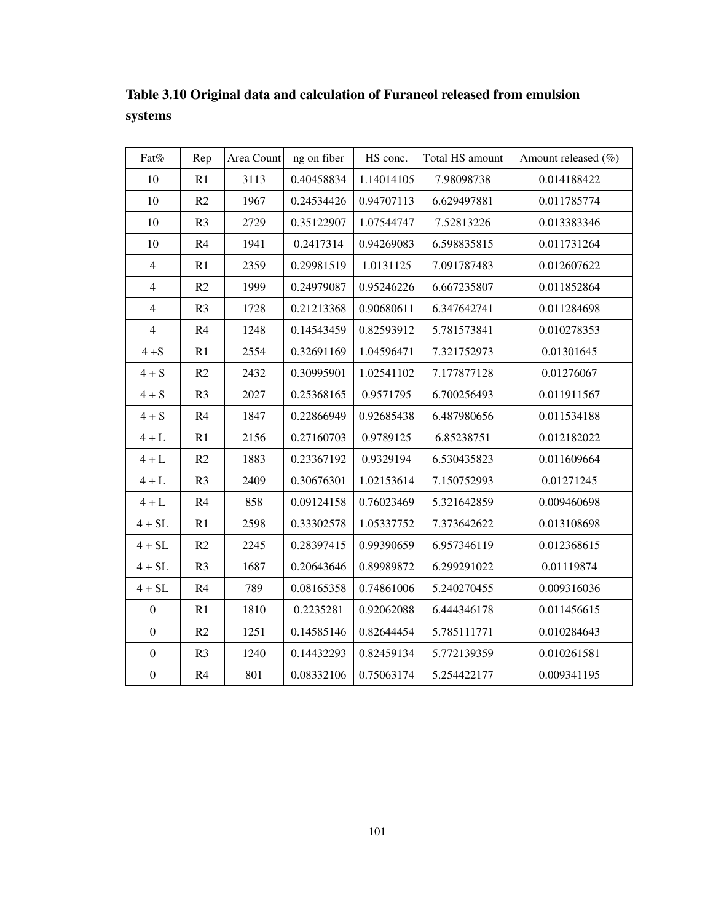Fat% Rep  $\left| \begin{array}{c} \text{Area Count} \\ \text{Area Count} \end{array} \right|$  area Gount  $\left| \begin{array}{c} \text{Area Cont} \\ \text{Area Cont} \end{array} \right|$  area Gount  $\left| \begin{array}{c} \text{Area Cont} \\ \text{Area Cont} \end{array} \right|$ 10 | R1 | 3113 | 0.40458834 | 1.14014105 | 7.98098738 | 0.014188422 10 | R2 | 1967 | 0.24534426 | 0.94707113 | 6.629497881 | 0.011785774 10 | R3 | 2729 | 0.35122907 | 1.07544747 | 7.52813226 | 0.013383346 10 R4 1941 0.2417314 0.94269083 6.598835815 0.011731264 4 R1 2359 0.29981519 1.0131125 7.091787483 0.012607622 4 R2 1999 0.24979087 0.95246226 6.667235807 0.011852864 4 R3 1728 0.21213368 0.90680611 6.347642741 0.011284698 4 | R4 | 1248 | 0.14543459 | 0.82593912 | 5.781573841 | 0.010278353 4 +S R1 2554 0.32691169 1.04596471 7.321752973 0.01301645 4 + S R2 2432 0.30995901 1.02541102 7.177877128 0.01276067 4 + S | R3 | 2027 | 0.25368165 | 0.9571795 | 6.700256493 | 0.011911567 4 + S R4 1847 0.22866949 0.92685438 6.487980656 0.011534188 4 + L R1 2156 0.27160703 0.9789125 6.85238751 0.012182022  $4 + L$  R2 1883 0.23367192 0.9329194 6.530435823 0.011609664 4 + L R3 2409 0.30676301 1.02153614 7.150752993 0.01271245 4 + L R4 858 0.09124158 0.76023469 5.321642859 0.009460698 4 + SL R1 2598 0.33302578 1.05337752 7.373642622 0.013108698 4 + SL R2 2245 0.28397415 0.99390659 6.957346119 0.012368615 4 + SL R3 1687 0.20643646 0.89989872 6.299291022 0.01119874 4 + SL R4 789 0.08165358 0.74861006 5.240270455 0.009316036 0 | R1 | 1810 | 0.2235281 | 0.92062088 | 6.444346178 | 0.011456615 0 | R2 | 1251 | 0.14585146 | 0.82644454 | 5.785111771 | 0.010284643 0 | R3 | 1240 | 0.14432293 | 0.82459134 | 5.772139359 | 0.010261581 0 R4 801 0.08332106 0.75063174 5.254422177 0.009341195

**Table 3.10 Original data and calculation of Furaneol released from emulsion systems**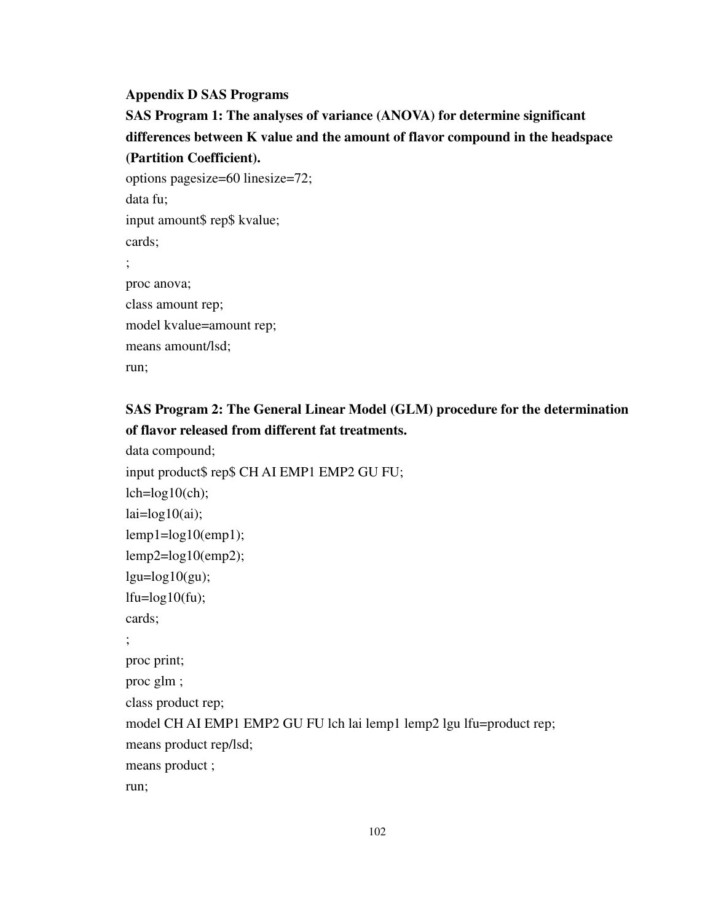#### **Appendix D SAS Programs**

**SAS Program 1: The analyses of variance (ANOVA) for determine significant differences between K value and the amount of flavor compound in the headspace (Partition Coefficient).**

options pagesize=60 linesize=72; data fu; input amount\$ rep\$ kvalue; cards; ; proc anova; class amount rep; model kvalue=amount rep; means amount/lsd; run;

### **SAS Program 2: The General Linear Model (GLM) procedure for the determination of flavor released from different fat treatments.**

```
data compound; 
input product$ rep$ CH AI EMP1 EMP2 GU FU; 
lch = log10(ch);lai = log10(ai);lemp1=log10(emp1); 
lemp2=log10(emp2); 
lgu = log10(gu);ltu = log10(tu);
cards; 
; 
proc print; 
proc glm ; 
class product rep; 
model CH AI EMP1 EMP2 GU FU lch lai lemp1 lemp2 lgu lfu=product rep; 
means product rep/lsd; 
means product ; 
run;
```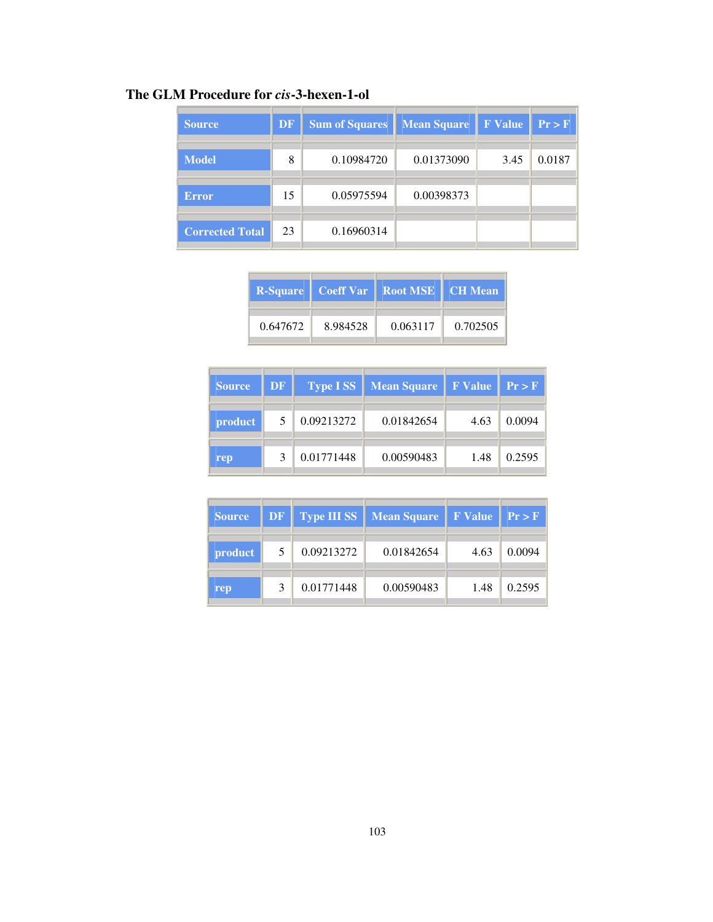### **The GLM Procedure for** *cis***-3-hexen-1-ol**

| <b>Source</b>          | <b>DF</b> | <b>Sum of Squares</b> | <b>Mean Square</b> | <b>F</b> Value | Pr > F |
|------------------------|-----------|-----------------------|--------------------|----------------|--------|
|                        |           |                       |                    |                |        |
| <b>Model</b>           | 8         | 0.10984720            | 0.01373090         | 3.45           | 0.0187 |
|                        |           |                       |                    |                |        |
| <b>Error</b>           | 15        | 0.05975594            | 0.00398373         |                |        |
| <b>Corrected Total</b> | 23        | 0.16960314            |                    |                |        |

|          |          | <b>R-Square   Coeff Var   Root MSE   CH Mean</b> |          |
|----------|----------|--------------------------------------------------|----------|
| 0.647672 | 8.984528 | 0.063117                                         | 0.702505 |

| <b>Source</b> | DF          |            | <b>Type ISS</b>   Mean Square   F Value   $Pr > F$ |      |        |
|---------------|-------------|------------|----------------------------------------------------|------|--------|
| product       |             | 0.09213272 | 0.01842654                                         | 4.63 | 0.0094 |
| rep           | $\mathbf 3$ | 0.01771448 | 0.00590483                                         | 1.48 | 0.2595 |

| <b>Source</b> | DF |            | <b>Type III SS</b>   Mean Square | F Value   Pr > F |        |
|---------------|----|------------|----------------------------------|------------------|--------|
| product       | 5  | 0.09213272 | 0.01842654                       | 4.63             | 0.0094 |
| rep           |    | 0.01771448 | 0.00590483                       | 1.48             | 0.2595 |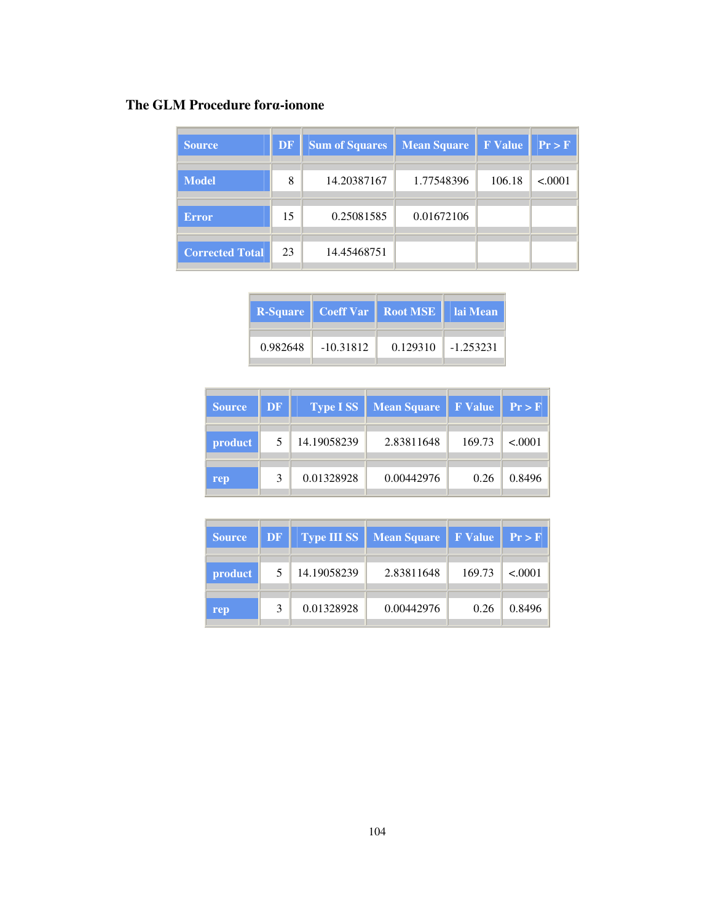## **The GLM Procedure for**α**-ionone**

| <b>Source</b>          | <b>DF</b> | <b>Sum of Squares</b> | <b>Mean Square</b> | <b>F</b> Value | Pr > F  |
|------------------------|-----------|-----------------------|--------------------|----------------|---------|
| <b>Model</b>           | 8         | 14.20387167           | 1.77548396         | 106.18         | < .0001 |
| <b>Error</b>           | 15        | 0.25081585            | 0.01672106         |                |         |
| <b>Corrected Total</b> | 23        | 14.45468751           |                    |                |         |

|          |             | <b>R-Square</b>   Coeff Var   Root MSE     lai Mean |          |
|----------|-------------|-----------------------------------------------------|----------|
| 0.982648 | $-10.31812$ | 0.129310                                            | 1.253231 |

| <b>Source</b> | <b>DF</b> | <b>Type ISS</b> | <b>Mean Square</b> | <b>F</b> Value | Pr > F  |
|---------------|-----------|-----------------|--------------------|----------------|---------|
| product       | 5         | 14.19058239     | 2.83811648         | 169.73         | < 0.001 |
| rep           | 3         | 0.01328928      | 0.00442976         | 0.26           | 0.8496  |

| <b>Source</b> | DF | <b>Type III SS</b> | <b>Mean Square</b> | <b>F</b> Value | Pr > F  |
|---------------|----|--------------------|--------------------|----------------|---------|
| product       | 5  | 14.19058239        | 2.83811648         | 169.73         | < 0.001 |
| rep           | 3  | 0.01328928         | 0.00442976         | 0.26           | 0.8496  |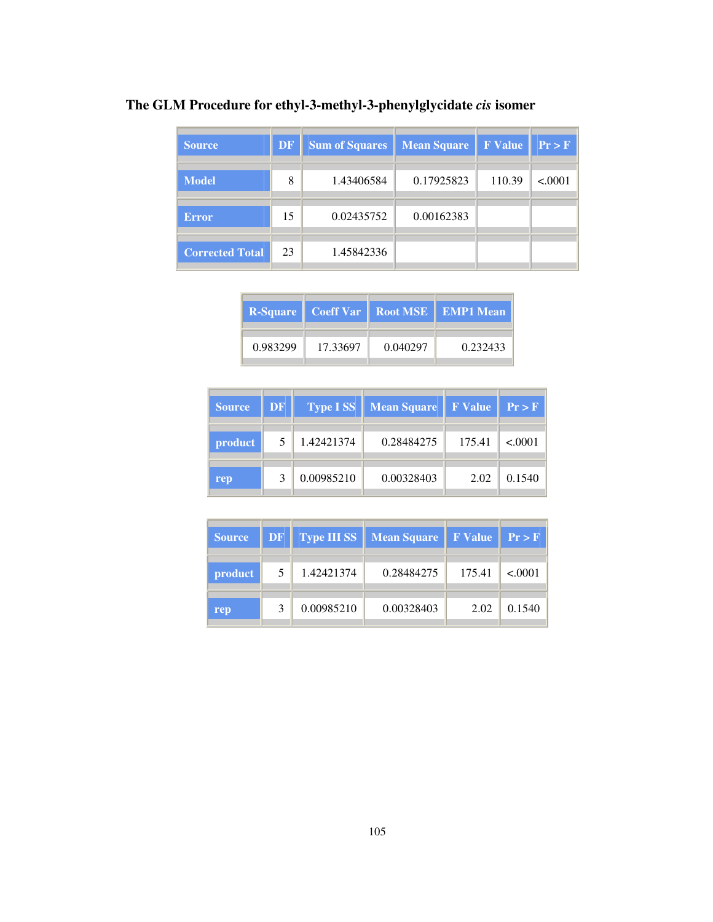## **The GLM Procedure for ethyl-3-methyl-3-phenylglycidate** *cis* **isomer**

| <b>Source</b>          | DF | <b>Sum of Squares</b> | <b>Mean Square</b> | <b>F</b> Value | Pr > F  |
|------------------------|----|-----------------------|--------------------|----------------|---------|
| <b>Model</b>           | 8  | 1.43406584            | 0.17925823         | 110.39         | < .0001 |
| <b>Error</b>           | 15 | 0.02435752            | 0.00162383         |                |         |
| <b>Corrected Total</b> | 23 | 1.45842336            |                    |                |         |

|          |          |          | <b>R-Square</b>   Coeff Var   Root MSE   <b>EMP1 Mean</b> |
|----------|----------|----------|-----------------------------------------------------------|
| 0.983299 | 17.33697 | 0.040297 | 0.232433                                                  |

| <b>Source</b> | DF |            | <b>Type ISS</b>   Mean Square | $\parallel$ F Value | $  \Pr > F$ |
|---------------|----|------------|-------------------------------|---------------------|-------------|
| product       | 5  | 1.42421374 | 0.28484275                    | 175.41              | < .0001     |
| rep           |    | 0.00985210 | 0.00328403                    | 2.02                | 0.1540      |

| <b>Source</b>  | $DF$         |            | <b>Type III SS</b>   Mean Square   F Value   $Pr > F$ |        |         |
|----------------|--------------|------------|-------------------------------------------------------|--------|---------|
| <i>product</i> | 5.           | 1.42421374 | 0.28484275                                            | 175.41 | < 0.001 |
| rep            | $\mathbf{z}$ | 0.00985210 | 0.00328403                                            | 2.02   | 0.1540  |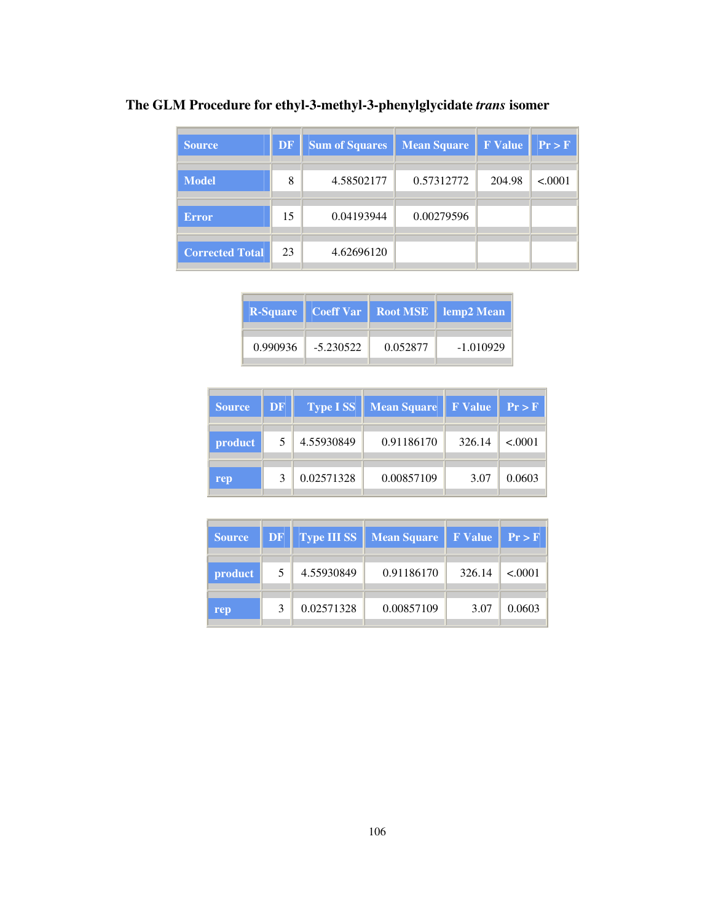## **The GLM Procedure for ethyl-3-methyl-3-phenylglycidate** *trans* **isomer**

| <b>Source</b>          | <b>DF</b> | <b>Sum of Squares</b> | <b>Mean Square</b> | <b>F</b> Value | Pr > F  |
|------------------------|-----------|-----------------------|--------------------|----------------|---------|
| <b>Model</b>           | 8         | 4.58502177            | 0.57312772         | 204.98         | < .0001 |
| <b>Error</b>           | 15        | 0.04193944            | 0.00279596         |                |         |
| <b>Corrected Total</b> | 23        | 4.62696120            |                    |                |         |

|          |             |          | <b>R-Square   Coeff Var   Root MSE   lemp2 Mean</b> |
|----------|-------------|----------|-----------------------------------------------------|
| 0.990936 | $-5.230522$ | 0.052877 | $-1.010929$                                         |

| <b>Source</b>  | DF <sup>'</sup> |            | <b>Type ISS</b>   Mean Square | $\parallel$ F Value | $  \Pr > F$ |
|----------------|-----------------|------------|-------------------------------|---------------------|-------------|
| <i>product</i> | 5               | 4.55930849 | 0.91186170                    | 326.14              | < 0001      |
| rep            |                 | 0.02571328 | 0.00857109                    | 3.07                | 0.0603      |

| <b>Source</b> | DF |            | <b>Type III SS</b>   Mean Square | <b>FValue</b> Pr>F |         |
|---------------|----|------------|----------------------------------|--------------------|---------|
| product       | 5. | 4.55930849 | 0.91186170                       | 326.14             | < 0.001 |
| rep           | 3  | 0.02571328 | 0.00857109                       | 3.07               | 0.0603  |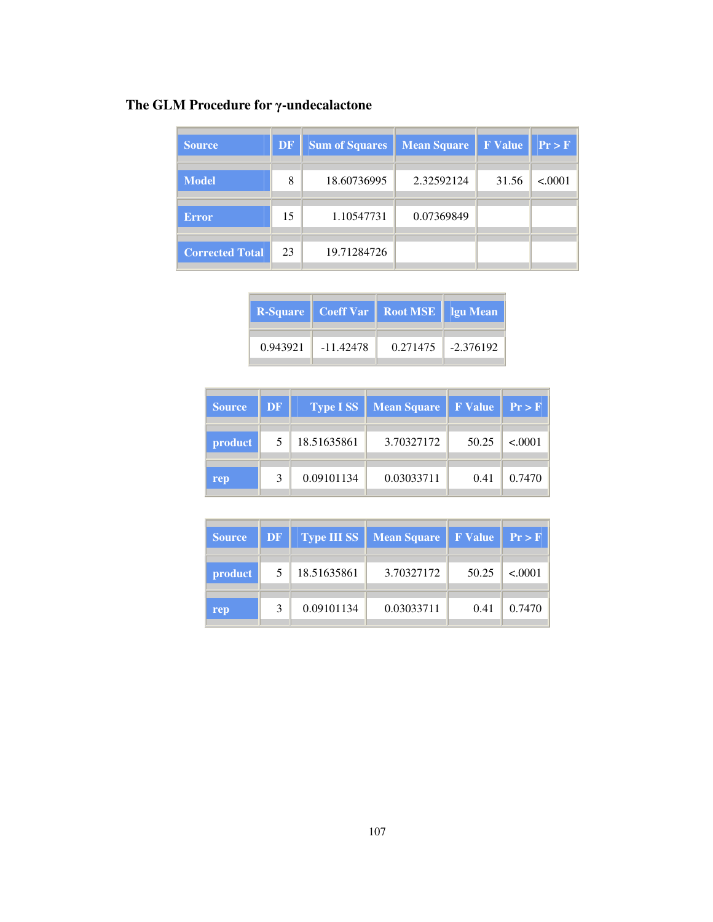# **The GLM Procedure for** γ**-undecalactone**

| <b>Source</b>          | DF | <b>Sum of Squares</b> | <b>Mean Square</b> | <b>F</b> Value | Pr > F  |
|------------------------|----|-----------------------|--------------------|----------------|---------|
| <b>Model</b>           | 8  | 18.60736995           | 2.32592124         | 31.56          | < .0001 |
| <b>Error</b>           | 15 | 1.10547731            | 0.07369849         |                |         |
| <b>Corrected Total</b> | 23 | 19.71284726           |                    |                |         |

|          |           | <b>R-Square   Coeff Var   Root MSE   Igu Mean</b> |                      |
|----------|-----------|---------------------------------------------------|----------------------|
| 0.943921 | -11.42478 |                                                   | $0.271475$ -2.376192 |

| <b>Source</b> | <b>DF</b> | <b>Type ISS</b> | <b>Mean Square</b> | F Value   Pr > F |         |
|---------------|-----------|-----------------|--------------------|------------------|---------|
| product       | 5         | 18.51635861     | 3.70327172         | 50.25            | < 0.001 |
| rep           | 3         | 0.09101134      | 0.03033711         | 0.41             | 0.7470  |

| <b>Source</b> | DF | <b>Type III SS</b> | <b>Mean Square</b> | <b>F</b> Value | Pr > F  |
|---------------|----|--------------------|--------------------|----------------|---------|
| product       | 5  | 18.51635861        | 3.70327172         | 50.25          | < 0.001 |
| rep           | 3  | 0.09101134         | 0.03033711         | 0.41           | 0.7470  |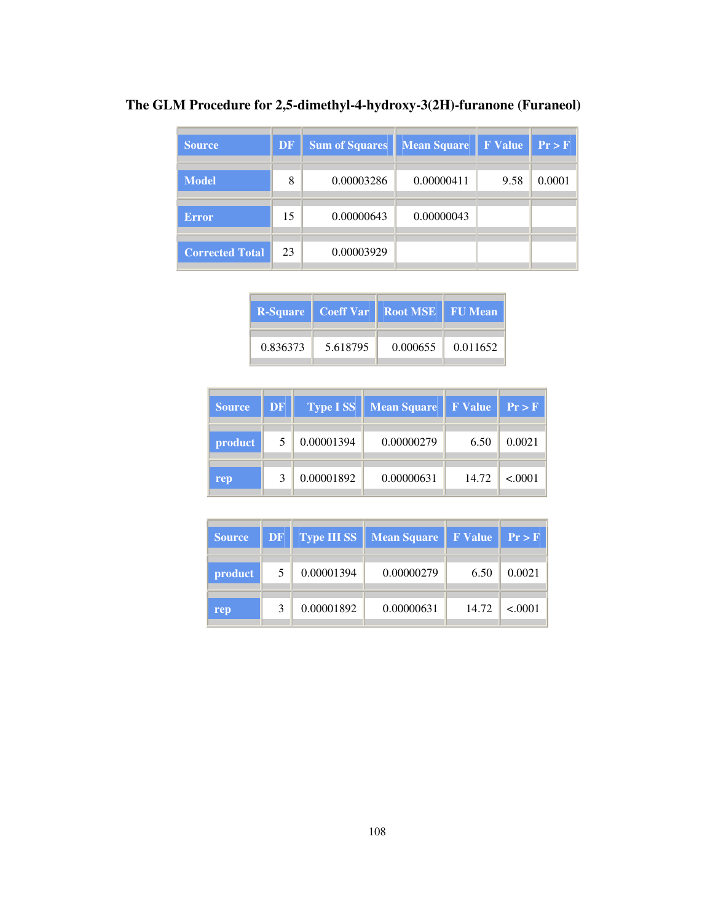| Source                 | <b>DF</b> | <b>Sum of Squares</b> | <b>Mean Square</b> | <b>F</b> Value | Pr > F |
|------------------------|-----------|-----------------------|--------------------|----------------|--------|
| <b>Model</b>           | 8         | 0.00003286            | 0.00000411         | 9.58           | 0.0001 |
| <b>Error</b>           | 15        | 0.00000643            | 0.00000043         |                |        |
| <b>Corrected Total</b> | 23        | 0.00003929            |                    |                |        |

**The GLM Procedure for 2,5-dimethyl-4-hydroxy-3(2H)-furanone (Furaneol)** 

|          |          | <b>R-Square   Coeff Var   Root MSE   FU Mean</b> |          |
|----------|----------|--------------------------------------------------|----------|
| 0.836373 | 5.618795 | 0.000655                                         | 0.011652 |

 $\overline{\phantom{a}}$ 

| <b>Source</b> | DF <sup>'</sup> |            | <b>Type ISS</b> Mean Square | <b>F</b> Value | Pr > F  |
|---------------|-----------------|------------|-----------------------------|----------------|---------|
| product       | 5               | 0.00001394 | 0.00000279                  | 6.50           | 0.0021  |
| rep           |                 | 0.00001892 | 0.00000631                  | 14.72          | < .0001 |

| <b>Source</b>  | DF |            | <b>Type III SS</b>   Mean Square | <b>FValue</b> Pr>F |         |
|----------------|----|------------|----------------------------------|--------------------|---------|
| <i>product</i> | 5  | 0.00001394 | 0.00000279                       | 6.50               | 0.0021  |
| rep            | 3  | 0.00001892 | 0.00000631                       | 14.72              | < 0.001 |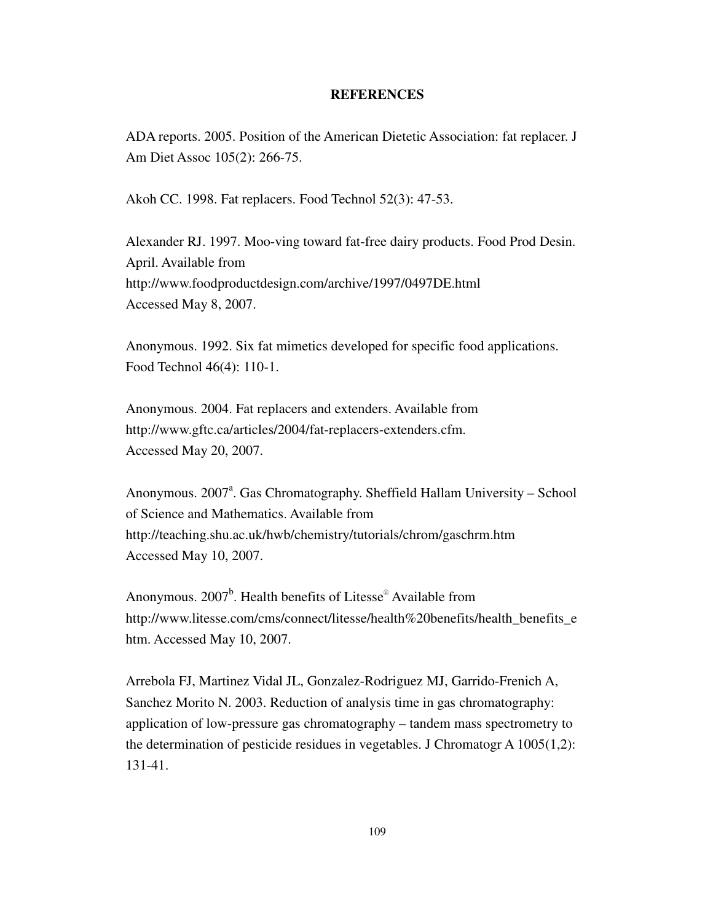#### **REFERENCES**

ADA reports. 2005. Position of the American Dietetic Association: fat replacer. J Am Diet Assoc 105(2): 266-75.

Akoh CC. 1998. Fat replacers. Food Technol 52(3): 47-53.

Alexander RJ. 1997. Moo-ving toward fat-free dairy products. Food Prod Desin. April. Available from http://www.foodproductdesign.com/archive/1997/0497DE.html Accessed May 8, 2007.

Anonymous. 1992. Six fat mimetics developed for specific food applications. Food Technol 46(4): 110-1.

Anonymous. 2004. Fat replacers and extenders. Available from http://www.gftc.ca/articles/2004/fat-replacers-extenders.cfm. Accessed May 20, 2007.

Anonymous. 2007<sup>a</sup>. Gas Chromatography. Sheffield Hallam University - School of Science and Mathematics. Available from http://teaching.shu.ac.uk/hwb/chemistry/tutorials/chrom/gaschrm.htm Accessed May 10, 2007.

Anonymous.  $2007^b$ . Health benefits of Litesse<sup>®</sup> Available from http://www.litesse.com/cms/connect/litesse/health%20benefits/health\_benefits\_e htm. Accessed May 10, 2007.

Arrebola FJ, Martinez Vidal JL, Gonzalez-Rodriguez MJ, Garrido-Frenich A, Sanchez Morito N. 2003. Reduction of analysis time in gas chromatography: application of low-pressure gas chromatography – tandem mass spectrometry to the determination of pesticide residues in vegetables. J Chromatogr A 1005(1,2): 131-41.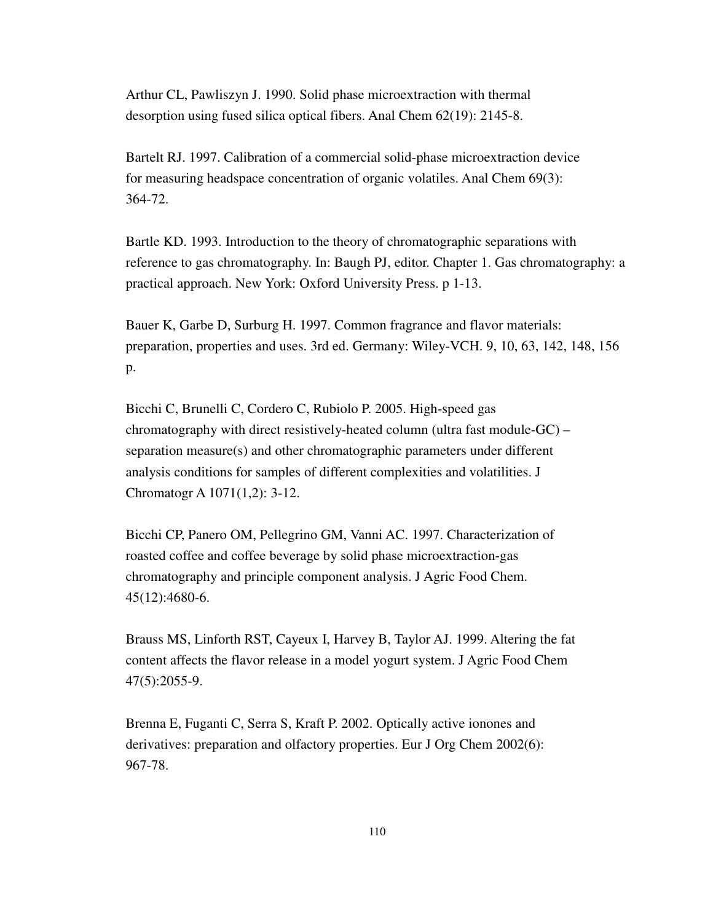Arthur CL, Pawliszyn J. 1990. Solid phase microextraction with thermal desorption using fused silica optical fibers. Anal Chem 62(19): 2145-8.

Bartelt RJ. 1997. Calibration of a commercial solid-phase microextraction device for measuring headspace concentration of organic volatiles. Anal Chem 69(3): 364-72.

Bartle KD. 1993. Introduction to the theory of chromatographic separations with reference to gas chromatography. In: Baugh PJ, editor. Chapter 1. Gas chromatography: a practical approach. New York: Oxford University Press. p 1-13.

Bauer K, Garbe D, Surburg H. 1997. Common fragrance and flavor materials: preparation, properties and uses. 3rd ed. Germany: Wiley-VCH. 9, 10, 63, 142, 148, 156 p.

Bicchi C, Brunelli C, Cordero C, Rubiolo P. 2005. High-speed gas chromatography with direct resistively-heated column (ultra fast module-GC) – separation measure(s) and other chromatographic parameters under different analysis conditions for samples of different complexities and volatilities. J Chromatogr A 1071(1,2): 3-12.

Bicchi CP, Panero OM, Pellegrino GM, Vanni AC. 1997. Characterization of roasted coffee and coffee beverage by solid phase microextraction-gas chromatography and principle component analysis. J Agric Food Chem. 45(12):4680-6.

Brauss MS, Linforth RST, Cayeux I, Harvey B, Taylor AJ. 1999. Altering the fat content affects the flavor release in a model yogurt system. J Agric Food Chem 47(5):2055-9.

Brenna E, Fuganti C, Serra S, Kraft P. 2002. Optically active ionones and derivatives: preparation and olfactory properties. Eur J Org Chem 2002(6): 967-78.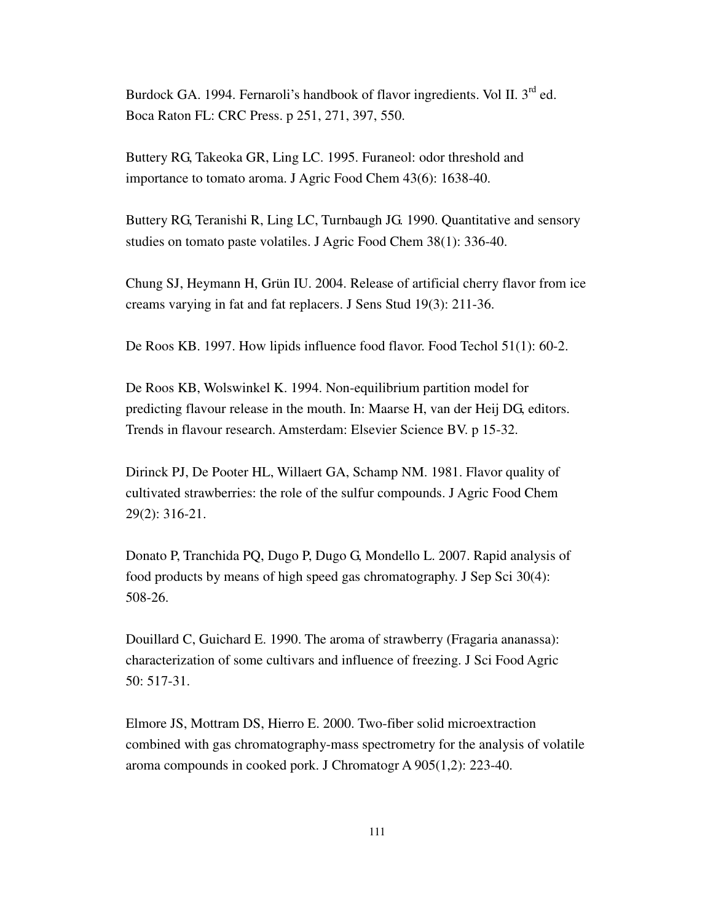Burdock GA. 1994. Fernaroli's handbook of flavor ingredients. Vol II.  $3^{rd}$  ed. Boca Raton FL: CRC Press. p 251, 271, 397, 550.

Buttery RG, Takeoka GR, Ling LC. 1995. Furaneol: odor threshold and importance to tomato aroma. J Agric Food Chem 43(6): 1638-40.

Buttery RG, Teranishi R, Ling LC, Turnbaugh JG. 1990. Quantitative and sensory studies on tomato paste volatiles. J Agric Food Chem 38(1): 336-40.

Chung SJ, Heymann H, Grün IU. 2004. Release of artificial cherry flavor from ice creams varying in fat and fat replacers. J Sens Stud 19(3): 211-36.

De Roos KB. 1997. How lipids influence food flavor. Food Techol 51(1): 60-2.

De Roos KB, Wolswinkel K. 1994. Non-equilibrium partition model for predicting flavour release in the mouth. In: Maarse H, van der Heij DG, editors. Trends in flavour research. Amsterdam: Elsevier Science BV. p 15-32.

Dirinck PJ, De Pooter HL, Willaert GA, Schamp NM. 1981. Flavor quality of cultivated strawberries: the role of the sulfur compounds. J Agric Food Chem 29(2): 316-21.

Donato P, Tranchida PQ, Dugo P, Dugo G, Mondello L. 2007. Rapid analysis of food products by means of high speed gas chromatography. J Sep Sci 30(4): 508-26.

Douillard C, Guichard E. 1990. The aroma of strawberry (Fragaria ananassa): characterization of some cultivars and influence of freezing. J Sci Food Agric 50: 517-31.

Elmore JS, Mottram DS, Hierro E. 2000. Two-fiber solid microextraction combined with gas chromatography-mass spectrometry for the analysis of volatile aroma compounds in cooked pork. J Chromatogr A 905(1,2): 223-40.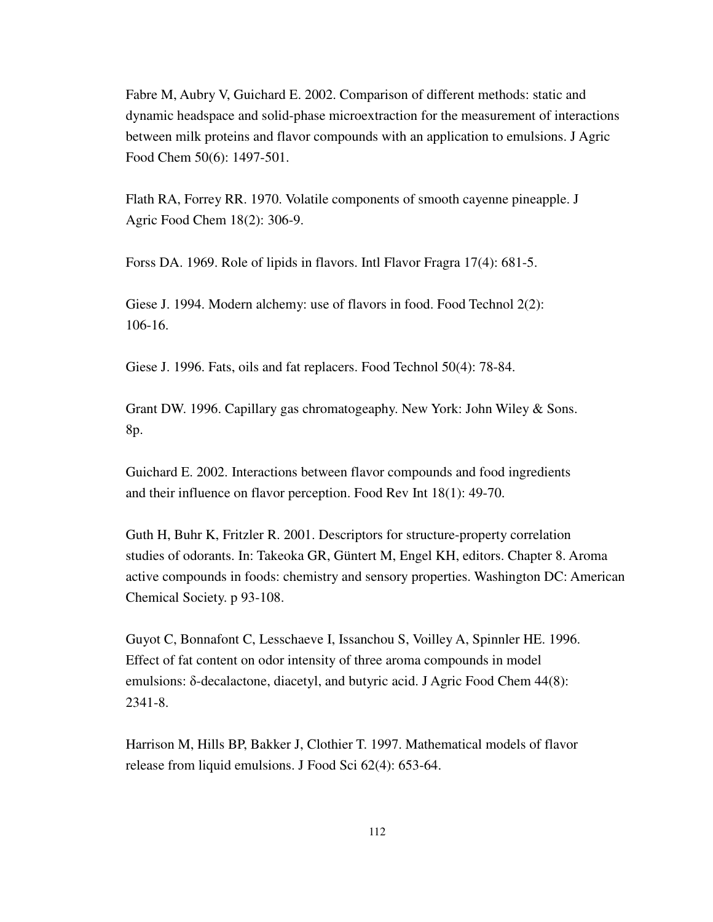Fabre M, Aubry V, Guichard E. 2002. Comparison of different methods: static and dynamic headspace and solid-phase microextraction for the measurement of interactions between milk proteins and flavor compounds with an application to emulsions. J Agric Food Chem 50(6): 1497-501.

Flath RA, Forrey RR. 1970. Volatile components of smooth cayenne pineapple. J Agric Food Chem 18(2): 306-9.

Forss DA. 1969. Role of lipids in flavors. Intl Flavor Fragra 17(4): 681-5.

Giese J. 1994. Modern alchemy: use of flavors in food. Food Technol 2(2): 106-16.

Giese J. 1996. Fats, oils and fat replacers. Food Technol 50(4): 78-84.

Grant DW. 1996. Capillary gas chromatogeaphy. New York: John Wiley & Sons. 8p.

Guichard E. 2002. Interactions between flavor compounds and food ingredients and their influence on flavor perception. Food Rev Int 18(1): 49-70.

Guth H, Buhr K, Fritzler R. 2001. Descriptors for structure-property correlation studies of odorants. In: Takeoka GR, Güntert M, Engel KH, editors. Chapter 8. Aroma active compounds in foods: chemistry and sensory properties. Washington DC: American Chemical Society. p 93-108.

Guyot C, Bonnafont C, Lesschaeve I, Issanchou S, Voilley A, Spinnler HE. 1996. Effect of fat content on odor intensity of three aroma compounds in model emulsions:  $\delta$ -decalactone, diacetyl, and butyric acid. J Agric Food Chem 44(8): 2341-8.

Harrison M, Hills BP, Bakker J, Clothier T. 1997. Mathematical models of flavor release from liquid emulsions. J Food Sci 62(4): 653-64.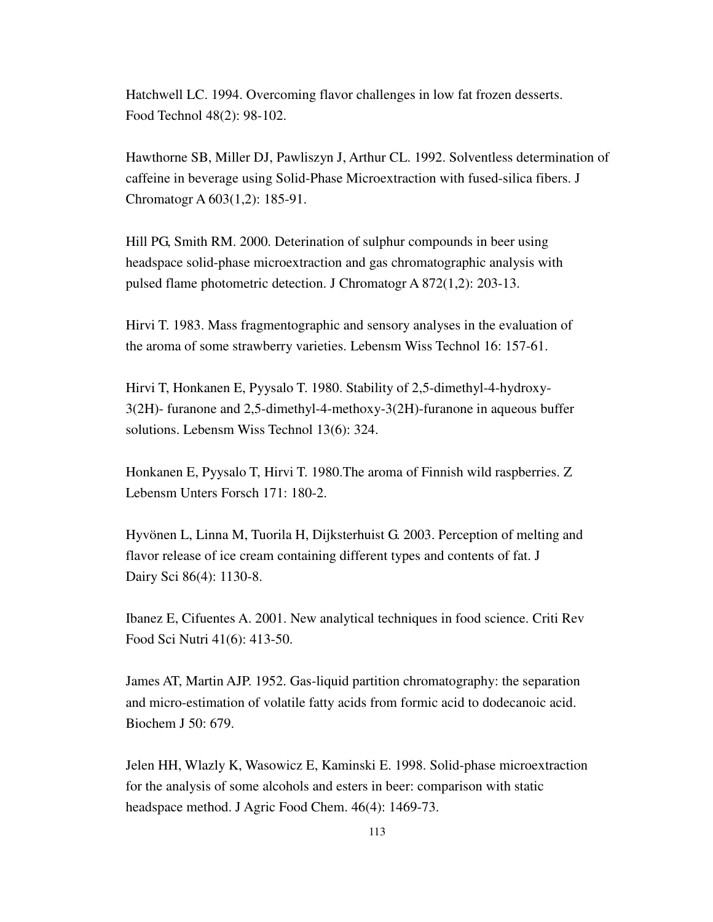Hatchwell LC. 1994. Overcoming flavor challenges in low fat frozen desserts. Food Technol 48(2): 98-102.

Hawthorne SB, Miller DJ, Pawliszyn J, Arthur CL. 1992. Solventless determination of caffeine in beverage using Solid-Phase Microextraction with fused-silica fibers. J Chromatogr A 603(1,2): 185-91.

Hill PG, Smith RM. 2000. Deterination of sulphur compounds in beer using headspace solid-phase microextraction and gas chromatographic analysis with pulsed flame photometric detection. J Chromatogr A 872(1,2): 203-13.

Hirvi T. 1983. Mass fragmentographic and sensory analyses in the evaluation of the aroma of some strawberry varieties. Lebensm Wiss Technol 16: 157-61.

Hirvi T, Honkanen E, Pyysalo T. 1980. Stability of 2,5-dimethyl-4-hydroxy-3(2H)- furanone and 2,5-dimethyl-4-methoxy-3(2H)-furanone in aqueous buffer solutions. Lebensm Wiss Technol 13(6): 324.

Honkanen E, Pyysalo T, Hirvi T. 1980.The aroma of Finnish wild raspberries. Z Lebensm Unters Forsch 171: 180-2.

Hyvönen L, Linna M, Tuorila H, Dijksterhuist G. 2003. Perception of melting and flavor release of ice cream containing different types and contents of fat. J Dairy Sci 86(4): 1130-8.

Ibanez E, Cifuentes A. 2001. New analytical techniques in food science. Criti Rev Food Sci Nutri 41(6): 413-50.

James AT, Martin AJP. 1952. Gas-liquid partition chromatography: the separation and micro-estimation of volatile fatty acids from formic acid to dodecanoic acid. Biochem J 50: 679.

Jelen HH, Wlazly K, Wasowicz E, Kaminski E. 1998. Solid-phase microextraction for the analysis of some alcohols and esters in beer: comparison with static headspace method. J Agric Food Chem. 46(4): 1469-73.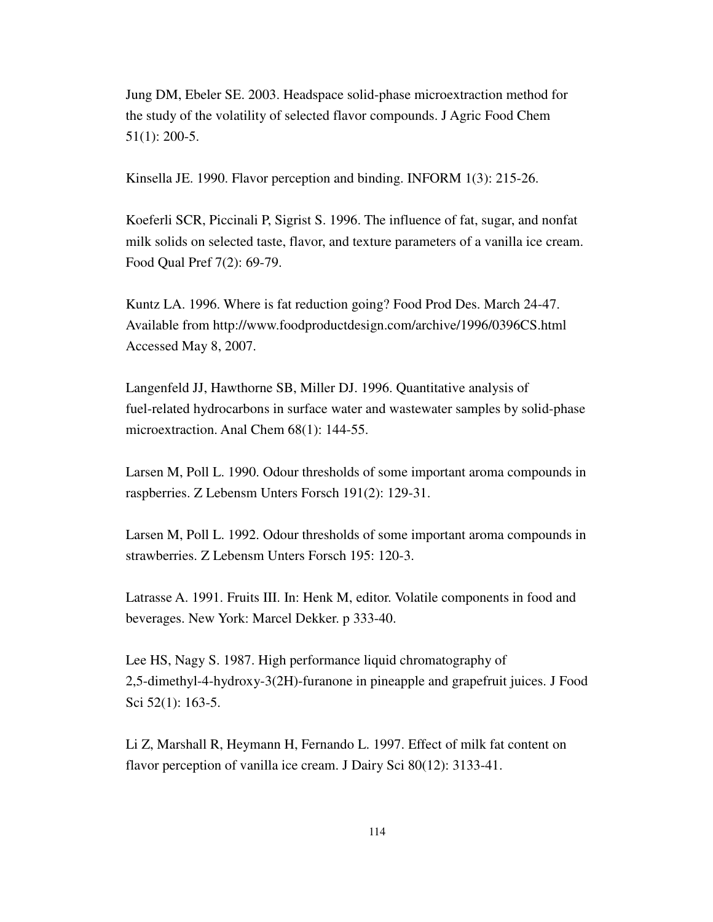Jung DM, Ebeler SE. 2003. Headspace solid-phase microextraction method for the study of the volatility of selected flavor compounds. J Agric Food Chem 51(1): 200-5.

Kinsella JE. 1990. Flavor perception and binding. INFORM 1(3): 215-26.

Koeferli SCR, Piccinali P, Sigrist S. 1996. The influence of fat, sugar, and nonfat milk solids on selected taste, flavor, and texture parameters of a vanilla ice cream. Food Qual Pref 7(2): 69-79.

Kuntz LA. 1996. Where is fat reduction going? Food Prod Des. March 24-47. Available from http://www.foodproductdesign.com/archive/1996/0396CS.html Accessed May 8, 2007.

Langenfeld JJ, Hawthorne SB, Miller DJ. 1996. Quantitative analysis of fuel-related hydrocarbons in surface water and wastewater samples by solid-phase microextraction. Anal Chem 68(1): 144-55.

Larsen M, Poll L. 1990. Odour thresholds of some important aroma compounds in raspberries. Z Lebensm Unters Forsch 191(2): 129-31.

Larsen M, Poll L. 1992. Odour thresholds of some important aroma compounds in strawberries. Z Lebensm Unters Forsch 195: 120-3.

Latrasse A. 1991. Fruits III. In: Henk M, editor. Volatile components in food and beverages. New York: Marcel Dekker. p 333-40.

Lee HS, Nagy S. 1987. High performance liquid chromatography of 2,5-dimethyl-4-hydroxy-3(2H)-furanone in pineapple and grapefruit juices. J Food Sci 52(1): 163-5.

Li Z, Marshall R, Heymann H, Fernando L. 1997. Effect of milk fat content on flavor perception of vanilla ice cream. J Dairy Sci 80(12): 3133-41.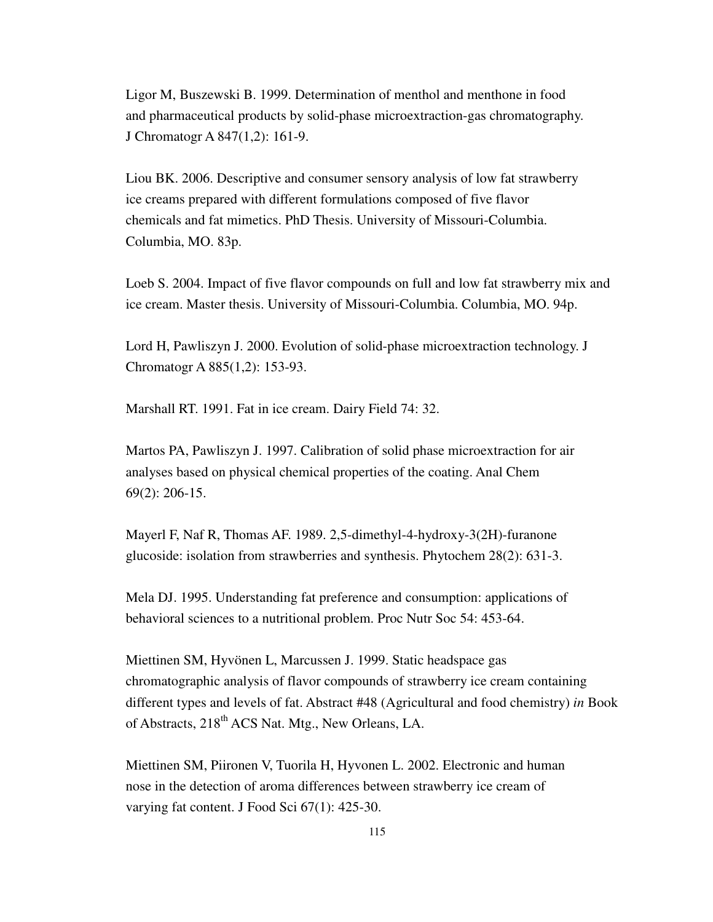Ligor M, Buszewski B. 1999. Determination of menthol and menthone in food and pharmaceutical products by solid-phase microextraction-gas chromatography. J Chromatogr A 847(1,2): 161-9.

Liou BK. 2006. Descriptive and consumer sensory analysis of low fat strawberry ice creams prepared with different formulations composed of five flavor chemicals and fat mimetics. PhD Thesis. University of Missouri-Columbia. Columbia, MO. 83p.

Loeb S. 2004. Impact of five flavor compounds on full and low fat strawberry mix and ice cream. Master thesis. University of Missouri-Columbia. Columbia, MO. 94p.

Lord H, Pawliszyn J. 2000. Evolution of solid-phase microextraction technology. J Chromatogr A 885(1,2): 153-93.

Marshall RT. 1991. Fat in ice cream. Dairy Field 74: 32.

Martos PA, Pawliszyn J. 1997. Calibration of solid phase microextraction for air analyses based on physical chemical properties of the coating. Anal Chem 69(2): 206-15.

Mayerl F, Naf R, Thomas AF. 1989. 2,5-dimethyl-4-hydroxy-3(2H)-furanone glucoside: isolation from strawberries and synthesis. Phytochem 28(2): 631-3.

Mela DJ. 1995. Understanding fat preference and consumption: applications of behavioral sciences to a nutritional problem. Proc Nutr Soc 54: 453-64.

Miettinen SM, Hyvönen L, Marcussen J. 1999. Static headspace gas chromatographic analysis of flavor compounds of strawberry ice cream containing different types and levels of fat. Abstract #48 (Agricultural and food chemistry) *in* Book of Abstracts, 218<sup>th</sup> ACS Nat. Mtg., New Orleans, LA.

Miettinen SM, Piironen V, Tuorila H, Hyvonen L. 2002. Electronic and human nose in the detection of aroma differences between strawberry ice cream of varying fat content. J Food Sci 67(1): 425-30.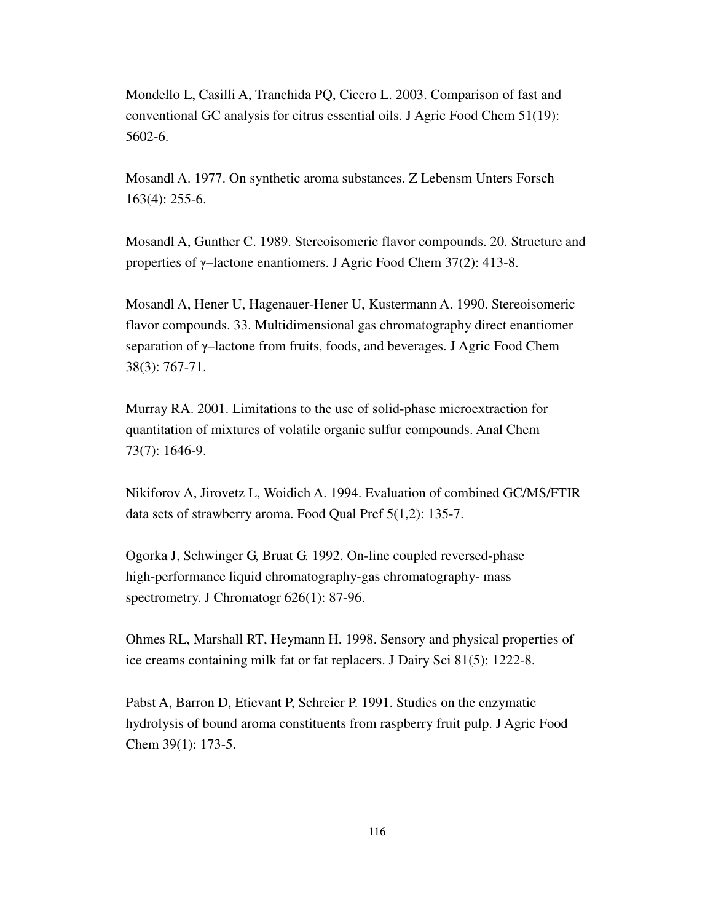Mondello L, Casilli A, Tranchida PQ, Cicero L. 2003. Comparison of fast and conventional GC analysis for citrus essential oils. J Agric Food Chem 51(19): 5602-6.

Mosandl A. 1977. On synthetic aroma substances. Z Lebensm Unters Forsch 163(4): 255-6.

Mosandl A, Gunther C. 1989. Stereoisomeric flavor compounds. 20. Structure and properties of γ–lactone enantiomers. J Agric Food Chem 37(2): 413-8.

Mosandl A, Hener U, Hagenauer-Hener U, Kustermann A. 1990. Stereoisomeric flavor compounds. 33. Multidimensional gas chromatography direct enantiomer separation of γ–lactone from fruits, foods, and beverages. J Agric Food Chem 38(3): 767-71.

Murray RA. 2001. Limitations to the use of solid-phase microextraction for quantitation of mixtures of volatile organic sulfur compounds. Anal Chem 73(7): 1646-9.

Nikiforov A, Jirovetz L, Woidich A. 1994. Evaluation of combined GC/MS/FTIR data sets of strawberry aroma. Food Qual Pref 5(1,2): 135-7.

Ogorka J, Schwinger G, Bruat G. 1992. On-line coupled reversed-phase high-performance liquid chromatography-gas chromatography- mass spectrometry. J Chromatogr 626(1): 87-96.

Ohmes RL, Marshall RT, Heymann H. 1998. Sensory and physical properties of ice creams containing milk fat or fat replacers. J Dairy Sci 81(5): 1222-8.

Pabst A, Barron D, Etievant P, Schreier P. 1991. Studies on the enzymatic hydrolysis of bound aroma constituents from raspberry fruit pulp. J Agric Food Chem 39(1): 173-5.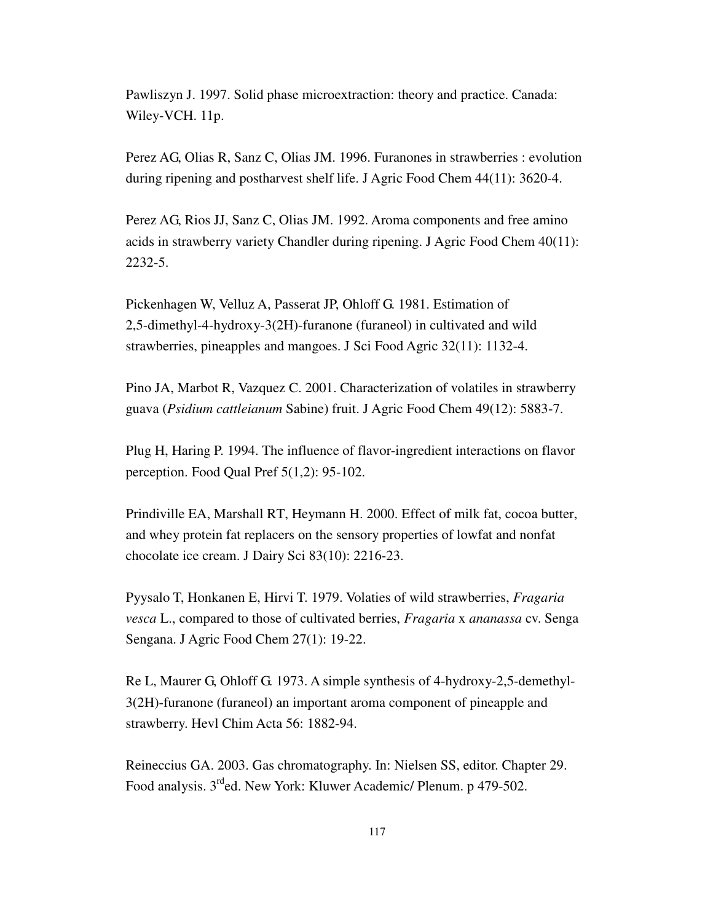Pawliszyn J. 1997. Solid phase microextraction: theory and practice. Canada: Wiley-VCH. 11p.

Perez AG, Olias R, Sanz C, Olias JM. 1996. Furanones in strawberries : evolution during ripening and postharvest shelf life. J Agric Food Chem 44(11): 3620-4.

Perez AG, Rios JJ, Sanz C, Olias JM. 1992. Aroma components and free amino acids in strawberry variety Chandler during ripening. J Agric Food Chem 40(11): 2232-5.

Pickenhagen W, Velluz A, Passerat JP, Ohloff G. 1981. Estimation of 2,5-dimethyl-4-hydroxy-3(2H)-furanone (furaneol) in cultivated and wild strawberries, pineapples and mangoes. J Sci Food Agric 32(11): 1132-4.

Pino JA, Marbot R, Vazquez C. 2001. Characterization of volatiles in strawberry guava (*Psidium cattleianum* Sabine) fruit. J Agric Food Chem 49(12): 5883-7.

Plug H, Haring P. 1994. The influence of flavor-ingredient interactions on flavor perception. Food Qual Pref 5(1,2): 95-102.

Prindiville EA, Marshall RT, Heymann H. 2000. Effect of milk fat, cocoa butter, and whey protein fat replacers on the sensory properties of lowfat and nonfat chocolate ice cream. J Dairy Sci 83(10): 2216-23.

Pyysalo T, Honkanen E, Hirvi T. 1979. Volaties of wild strawberries, *Fragaria vesca* L., compared to those of cultivated berries, *Fragaria* x *ananassa* cv. Senga Sengana. J Agric Food Chem 27(1): 19-22.

Re L, Maurer G, Ohloff G. 1973. A simple synthesis of 4-hydroxy-2,5-demethyl-3(2H)-furanone (furaneol) an important aroma component of pineapple and strawberry. Hevl Chim Acta 56: 1882-94.

Reineccius GA. 2003. Gas chromatography. In: Nielsen SS, editor. Chapter 29. Food analysis. 3<sup>rd</sup>ed. New York: Kluwer Academic/ Plenum. p 479-502.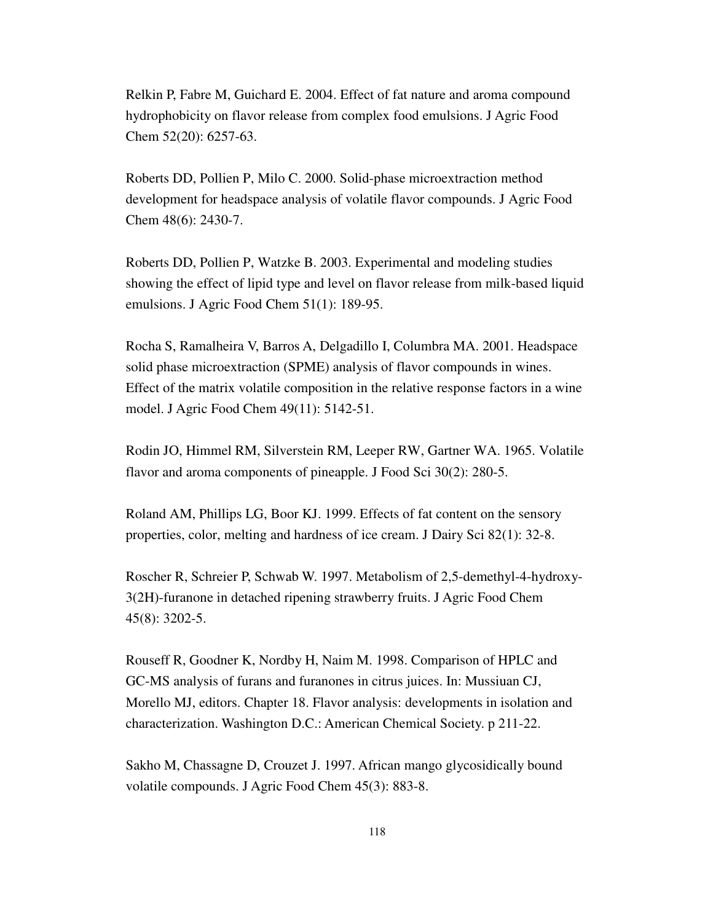Relkin P, Fabre M, Guichard E. 2004. Effect of fat nature and aroma compound hydrophobicity on flavor release from complex food emulsions. J Agric Food Chem 52(20): 6257-63.

Roberts DD, Pollien P, Milo C. 2000. Solid-phase microextraction method development for headspace analysis of volatile flavor compounds. J Agric Food Chem 48(6): 2430-7.

Roberts DD, Pollien P, Watzke B. 2003. Experimental and modeling studies showing the effect of lipid type and level on flavor release from milk-based liquid emulsions. J Agric Food Chem 51(1): 189-95.

Rocha S, Ramalheira V, Barros A, Delgadillo I, Columbra MA. 2001. Headspace solid phase microextraction (SPME) analysis of flavor compounds in wines. Effect of the matrix volatile composition in the relative response factors in a wine model. J Agric Food Chem 49(11): 5142-51.

Rodin JO, Himmel RM, Silverstein RM, Leeper RW, Gartner WA. 1965. Volatile flavor and aroma components of pineapple. J Food Sci 30(2): 280-5.

Roland AM, Phillips LG, Boor KJ. 1999. Effects of fat content on the sensory properties, color, melting and hardness of ice cream. J Dairy Sci 82(1): 32-8.

Roscher R, Schreier P, Schwab W. 1997. Metabolism of 2,5-demethyl-4-hydroxy-3(2H)-furanone in detached ripening strawberry fruits. J Agric Food Chem 45(8): 3202-5.

Rouseff R, Goodner K, Nordby H, Naim M. 1998. Comparison of HPLC and GC-MS analysis of furans and furanones in citrus juices. In: Mussiuan CJ, Morello MJ, editors. Chapter 18. Flavor analysis: developments in isolation and characterization. Washington D.C.: American Chemical Society. p 211-22.

Sakho M, Chassagne D, Crouzet J. 1997. African mango glycosidically bound volatile compounds. J Agric Food Chem 45(3): 883-8.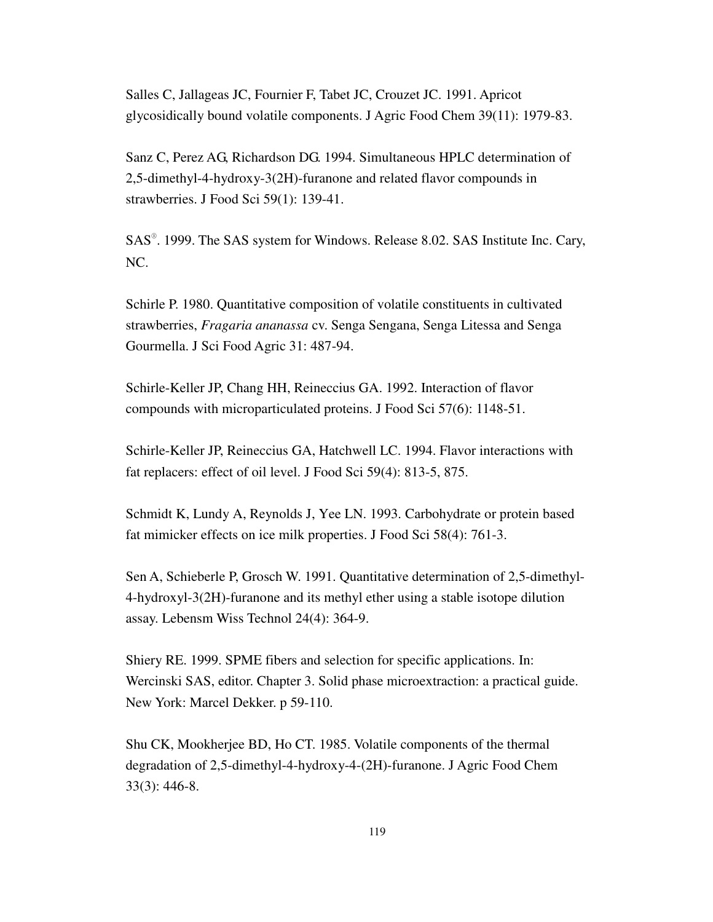Salles C, Jallageas JC, Fournier F, Tabet JC, Crouzet JC. 1991. Apricot glycosidically bound volatile components. J Agric Food Chem 39(11): 1979-83.

Sanz C, Perez AG, Richardson DG. 1994. Simultaneous HPLC determination of 2,5-dimethyl-4-hydroxy-3(2H)-furanone and related flavor compounds in strawberries. J Food Sci 59(1): 139-41.

SAS®. 1999. The SAS system for Windows. Release 8.02. SAS Institute Inc. Cary, NC.

Schirle P. 1980. Quantitative composition of volatile constituents in cultivated strawberries, *Fragaria ananassa* cv. Senga Sengana, Senga Litessa and Senga Gourmella. J Sci Food Agric 31: 487-94.

Schirle-Keller JP, Chang HH, Reineccius GA. 1992. Interaction of flavor compounds with microparticulated proteins. J Food Sci 57(6): 1148-51.

Schirle-Keller JP, Reineccius GA, Hatchwell LC. 1994. Flavor interactions with fat replacers: effect of oil level. J Food Sci 59(4): 813-5, 875.

Schmidt K, Lundy A, Reynolds J, Yee LN. 1993. Carbohydrate or protein based fat mimicker effects on ice milk properties. J Food Sci 58(4): 761-3.

Sen A, Schieberle P, Grosch W. 1991. Quantitative determination of 2,5-dimethyl-4-hydroxyl-3(2H)-furanone and its methyl ether using a stable isotope dilution assay. Lebensm Wiss Technol 24(4): 364-9.

Shiery RE. 1999. SPME fibers and selection for specific applications. In: Wercinski SAS, editor. Chapter 3. Solid phase microextraction: a practical guide. New York: Marcel Dekker. p 59-110.

Shu CK, Mookherjee BD, Ho CT. 1985. Volatile components of the thermal degradation of 2,5-dimethyl-4-hydroxy-4-(2H)-furanone. J Agric Food Chem 33(3): 446-8.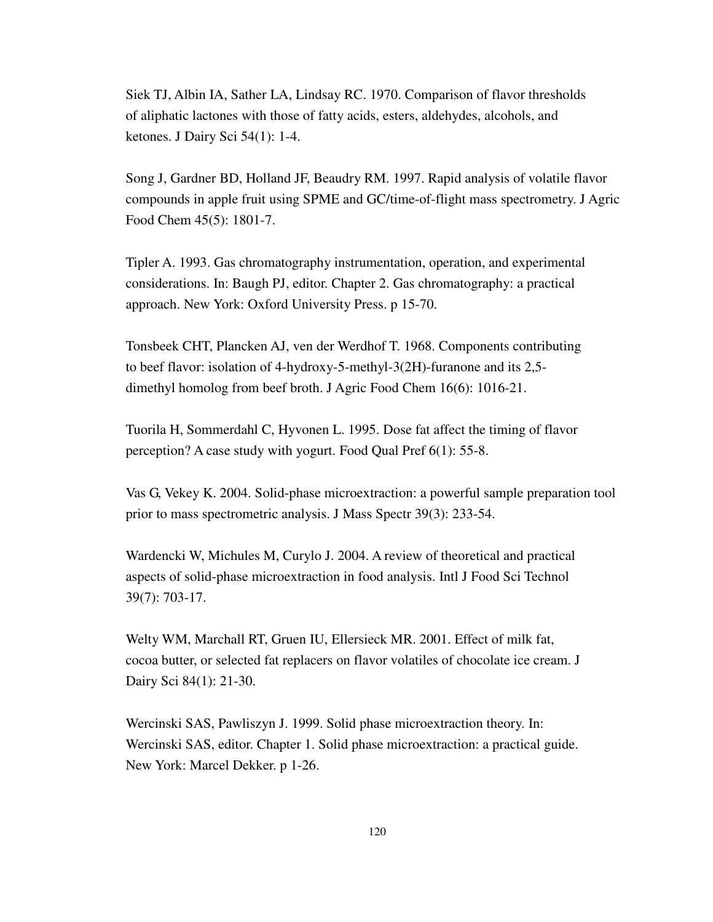Siek TJ, Albin IA, Sather LA, Lindsay RC. 1970. Comparison of flavor thresholds of aliphatic lactones with those of fatty acids, esters, aldehydes, alcohols, and ketones. J Dairy Sci 54(1): 1-4.

Song J, Gardner BD, Holland JF, Beaudry RM. 1997. Rapid analysis of volatile flavor compounds in apple fruit using SPME and GC/time-of-flight mass spectrometry. J Agric Food Chem 45(5): 1801-7.

Tipler A. 1993. Gas chromatography instrumentation, operation, and experimental considerations. In: Baugh PJ, editor. Chapter 2. Gas chromatography: a practical approach. New York: Oxford University Press. p 15-70.

Tonsbeek CHT, Plancken AJ, ven der Werdhof T. 1968. Components contributing to beef flavor: isolation of 4-hydroxy-5-methyl-3(2H)-furanone and its 2,5 dimethyl homolog from beef broth. J Agric Food Chem 16(6): 1016-21.

Tuorila H, Sommerdahl C, Hyvonen L. 1995. Dose fat affect the timing of flavor perception? A case study with yogurt. Food Qual Pref 6(1): 55-8.

Vas G, Vekey K. 2004. Solid-phase microextraction: a powerful sample preparation tool prior to mass spectrometric analysis. J Mass Spectr 39(3): 233-54.

Wardencki W, Michules M, Curylo J. 2004. A review of theoretical and practical aspects of solid-phase microextraction in food analysis. Intl J Food Sci Technol 39(7): 703-17.

Welty WM, Marchall RT, Gruen IU, Ellersieck MR. 2001. Effect of milk fat, cocoa butter, or selected fat replacers on flavor volatiles of chocolate ice cream. J Dairy Sci 84(1): 21-30.

Wercinski SAS, Pawliszyn J. 1999. Solid phase microextraction theory. In: Wercinski SAS, editor. Chapter 1. Solid phase microextraction: a practical guide. New York: Marcel Dekker. p 1-26.